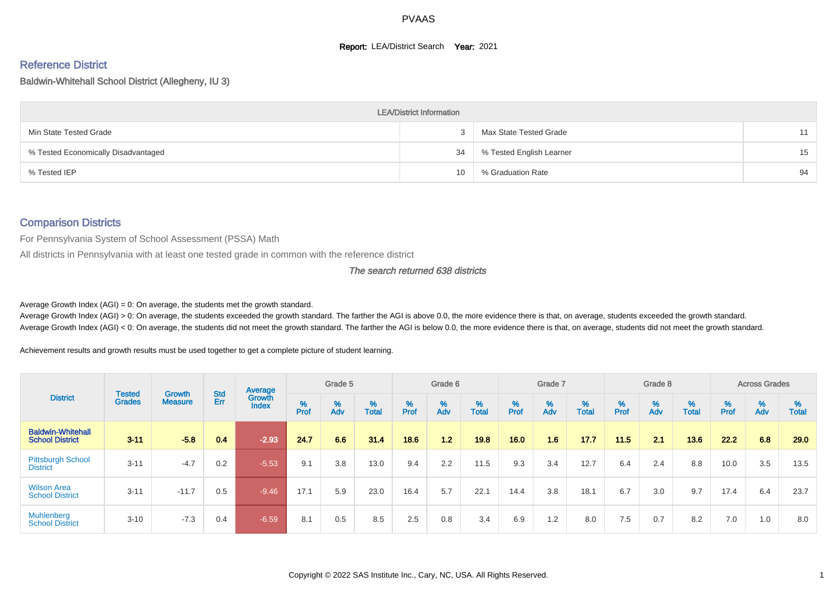#### **Report: LEA/District Search Year: 2021**

## Reference District

Baldwin-Whitehall School District (Allegheny, IU 3)

|                                     | <b>LEA/District Information</b> |                          |    |
|-------------------------------------|---------------------------------|--------------------------|----|
| Min State Tested Grade              |                                 | Max State Tested Grade   | 11 |
| % Tested Economically Disadvantaged | 34                              | % Tested English Learner | 15 |
| % Tested IEP                        | 10                              | % Graduation Rate        | 94 |

#### Comparison Districts

For Pennsylvania System of School Assessment (PSSA) Math

All districts in Pennsylvania with at least one tested grade in common with the reference district

The search returned 638 districts

Average Growth Index  $(AGI) = 0$ : On average, the students met the growth standard.

Average Growth Index (AGI) > 0: On average, the students exceeded the growth standard. The farther the AGI is above 0.0, the more evidence there is that, on average, students exceeded the growth standard. Average Growth Index (AGI) < 0: On average, the students did not meet the growth standard. The farther the AGI is below 0.0, the more evidence there is that, on average, students did not meet the growth standard.

Achievement results and growth results must be used together to get a complete picture of student learning.

|                                                    |                                |                                 |            | Average                |        | Grade 5  |                   |        | Grade 6  |                   |           | Grade 7  |                   |           | Grade 8  |                   |          | <b>Across Grades</b> |                   |
|----------------------------------------------------|--------------------------------|---------------------------------|------------|------------------------|--------|----------|-------------------|--------|----------|-------------------|-----------|----------|-------------------|-----------|----------|-------------------|----------|----------------------|-------------------|
| <b>District</b>                                    | <b>Tested</b><br><b>Grades</b> | <b>Growth</b><br><b>Measure</b> | Std<br>Err | Growth<br><b>Index</b> | % Pref | %<br>Adv | %<br><b>Total</b> | % Pref | %<br>Adv | %<br><b>Total</b> | %<br>Prof | %<br>Adv | %<br><b>Total</b> | %<br>Prof | %<br>Adv | %<br><b>Total</b> | $%$ Prof | %<br>Adv             | %<br><b>Total</b> |
| <b>Baldwin-Whitehall</b><br><b>School District</b> | $3 - 11$                       | $-5.8$                          | 0.4        | $-2.93$                | 24.7   | 6.6      | 31.4              | 18.6   | 1.2      | 19.8              | 16.0      | 1.6      | 17.7              | 11.5      | 2.1      | 13.6              | 22.2     | 6.8                  | 29.0              |
| <b>Pittsburgh School</b><br><b>District</b>        | $3 - 11$                       | $-4.7$                          | 0.2        | $-5.53$                | 9.1    | 3.8      | 13.0              | 9.4    | 2.2      | 11.5              | 9.3       | 3.4      | 12.7              | 6.4       | 2.4      | 8.8               | 10.0     | 3.5                  | 13.5              |
| <b>Wilson Area</b><br><b>School District</b>       | $3 - 11$                       | $-11.7$                         | 0.5        | $-9.46$                | 17.1   | 5.9      | 23.0              | 16.4   | 5.7      | 22.1              | 14.4      | 3.8      | 18.1              | 6.7       | 3.0      | 9.7               | 17.4     | 6.4                  | 23.7              |
| <b>Muhlenberg</b><br><b>School District</b>        | $3 - 10$                       | $-7.3$                          | 0.4        | $-6.59$                | 8.1    | 0.5      | 8.5               | 2.5    | 0.8      | 3.4               | 6.9       | 1.2      | 8.0               | 7.5       | 0.7      | 8.2               | 7.0      | 1.0                  | 8.0               |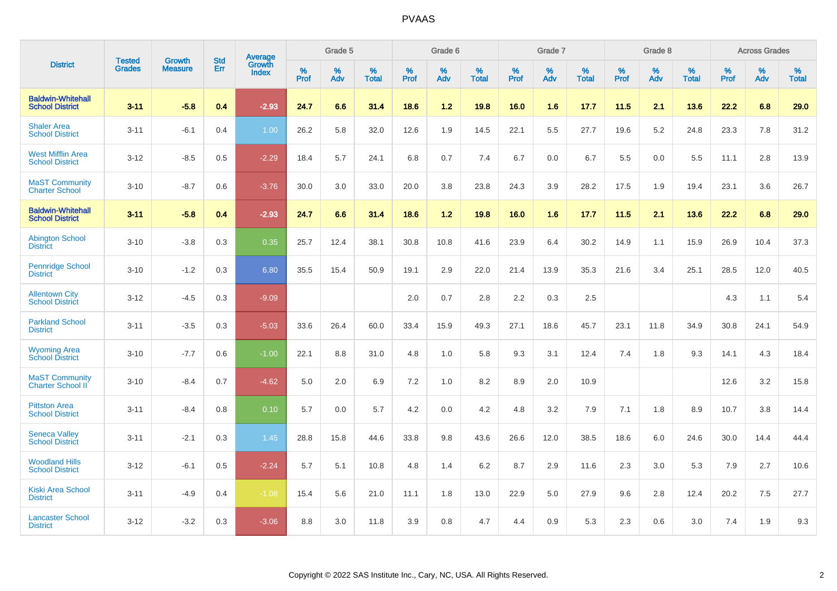|                                                    |                                |                                 | <b>Std</b> | Average                |           | Grade 5  |                   |           | Grade 6  |                   |              | Grade 7  |                   |           | Grade 8  |                   |           | <b>Across Grades</b> |            |
|----------------------------------------------------|--------------------------------|---------------------------------|------------|------------------------|-----------|----------|-------------------|-----------|----------|-------------------|--------------|----------|-------------------|-----------|----------|-------------------|-----------|----------------------|------------|
| <b>District</b>                                    | <b>Tested</b><br><b>Grades</b> | <b>Growth</b><br><b>Measure</b> | Err        | Growth<br><b>Index</b> | %<br>Prof | %<br>Adv | %<br><b>Total</b> | %<br>Prof | %<br>Adv | %<br><b>Total</b> | $\%$<br>Prof | %<br>Adv | %<br><b>Total</b> | %<br>Prof | %<br>Adv | %<br><b>Total</b> | %<br>Prof | %<br>Adv             | %<br>Total |
| <b>Baldwin-Whitehall</b><br><b>School District</b> | $3 - 11$                       | $-5.8$                          | 0.4        | $-2.93$                | 24.7      | 6.6      | 31.4              | 18.6      | 1.2      | 19.8              | 16.0         | 1.6      | 17.7              | 11.5      | 2.1      | 13.6              | 22.2      | 6.8                  | 29.0       |
| <b>Shaler Area</b><br><b>School District</b>       | $3 - 11$                       | $-6.1$                          | 0.4        | 1.00                   | 26.2      | 5.8      | 32.0              | 12.6      | 1.9      | 14.5              | 22.1         | 5.5      | 27.7              | 19.6      | 5.2      | 24.8              | 23.3      | 7.8                  | 31.2       |
| <b>West Mifflin Area</b><br><b>School District</b> | $3 - 12$                       | $-8.5$                          | 0.5        | $-2.29$                | 18.4      | 5.7      | 24.1              | 6.8       | 0.7      | 7.4               | 6.7          | 0.0      | 6.7               | 5.5       | 0.0      | 5.5               | 11.1      | 2.8                  | 13.9       |
| <b>MaST Community</b><br><b>Charter School</b>     | $3 - 10$                       | $-8.7$                          | 0.6        | $-3.76$                | 30.0      | 3.0      | 33.0              | 20.0      | 3.8      | 23.8              | 24.3         | 3.9      | 28.2              | 17.5      | 1.9      | 19.4              | 23.1      | 3.6                  | 26.7       |
| <b>Baldwin-Whitehall</b><br><b>School District</b> | $3 - 11$                       | $-5.8$                          | 0.4        | $-2.93$                | 24.7      | 6.6      | 31.4              | 18.6      | $1.2$    | 19.8              | 16.0         | 1.6      | 17.7              | 11.5      | 2.1      | 13.6              | 22.2      | 6.8                  | 29.0       |
| <b>Abington School</b><br><b>District</b>          | $3 - 10$                       | $-3.8$                          | 0.3        | 0.35                   | 25.7      | 12.4     | 38.1              | 30.8      | 10.8     | 41.6              | 23.9         | 6.4      | 30.2              | 14.9      | 1.1      | 15.9              | 26.9      | 10.4                 | 37.3       |
| <b>Pennridge School</b><br><b>District</b>         | $3 - 10$                       | $-1.2$                          | 0.3        | 6.80                   | 35.5      | 15.4     | 50.9              | 19.1      | 2.9      | 22.0              | 21.4         | 13.9     | 35.3              | 21.6      | 3.4      | 25.1              | 28.5      | 12.0                 | 40.5       |
| <b>Allentown City</b><br><b>School District</b>    | $3 - 12$                       | $-4.5$                          | 0.3        | $-9.09$                |           |          |                   | 2.0       | 0.7      | 2.8               | 2.2          | 0.3      | 2.5               |           |          |                   | 4.3       | 1.1                  | 5.4        |
| <b>Parkland School</b><br><b>District</b>          | $3 - 11$                       | $-3.5$                          | 0.3        | $-5.03$                | 33.6      | 26.4     | 60.0              | 33.4      | 15.9     | 49.3              | 27.1         | 18.6     | 45.7              | 23.1      | 11.8     | 34.9              | 30.8      | 24.1                 | 54.9       |
| <b>Wyoming Area</b><br><b>School District</b>      | $3 - 10$                       | $-7.7$                          | 0.6        | $-1.00$                | 22.1      | 8.8      | 31.0              | 4.8       | 1.0      | 5.8               | 9.3          | 3.1      | 12.4              | 7.4       | 1.8      | 9.3               | 14.1      | 4.3                  | 18.4       |
| <b>MaST Community</b><br><b>Charter School II</b>  | $3 - 10$                       | $-8.4$                          | 0.7        | $-4.62$                | 5.0       | 2.0      | 6.9               | 7.2       | 1.0      | 8.2               | 8.9          | 2.0      | 10.9              |           |          |                   | 12.6      | 3.2                  | 15.8       |
| <b>Pittston Area</b><br><b>School District</b>     | $3 - 11$                       | $-8.4$                          | 0.8        | 0.10                   | 5.7       | 0.0      | 5.7               | 4.2       | 0.0      | 4.2               | 4.8          | 3.2      | 7.9               | 7.1       | 1.8      | 8.9               | 10.7      | 3.8                  | 14.4       |
| <b>Seneca Valley</b><br><b>School District</b>     | $3 - 11$                       | $-2.1$                          | 0.3        | 1.45                   | 28.8      | 15.8     | 44.6              | 33.8      | 9.8      | 43.6              | 26.6         | 12.0     | 38.5              | 18.6      | 6.0      | 24.6              | 30.0      | 14.4                 | 44.4       |
| <b>Woodland Hills</b><br><b>School District</b>    | $3 - 12$                       | $-6.1$                          | 0.5        | $-2.24$                | 5.7       | 5.1      | 10.8              | 4.8       | 1.4      | 6.2               | 8.7          | 2.9      | 11.6              | 2.3       | 3.0      | 5.3               | 7.9       | 2.7                  | 10.6       |
| <b>Kiski Area School</b><br><b>District</b>        | $3 - 11$                       | $-4.9$                          | 0.4        | $-1.08$                | 15.4      | 5.6      | 21.0              | 11.1      | 1.8      | 13.0              | 22.9         | 5.0      | 27.9              | 9.6       | 2.8      | 12.4              | 20.2      | 7.5                  | 27.7       |
| <b>Lancaster School</b><br><b>District</b>         | $3 - 12$                       | $-3.2$                          | 0.3        | $-3.06$                | 8.8       | 3.0      | 11.8              | 3.9       | 0.8      | 4.7               | 4.4          | 0.9      | 5.3               | 2.3       | 0.6      | 3.0               | 7.4       | 1.9                  | 9.3        |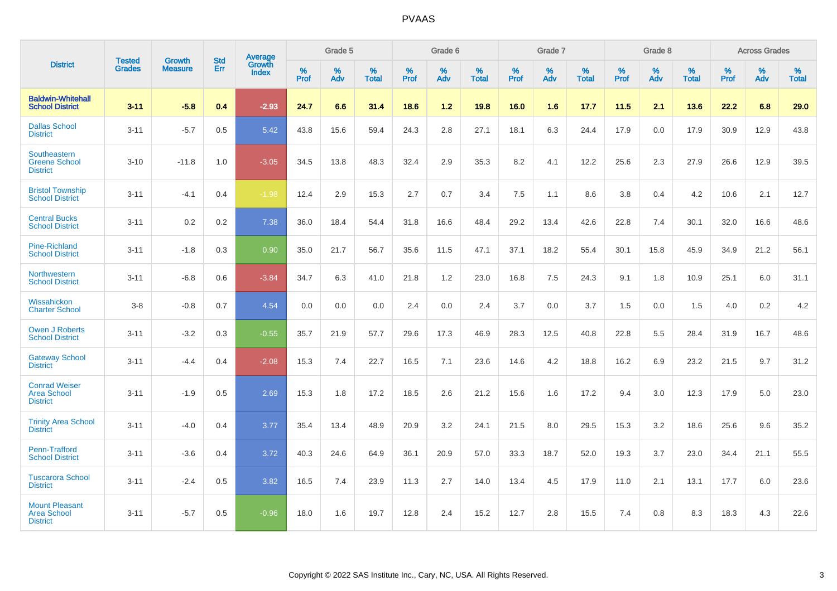|                                                                |                                |                          | <b>Std</b> | Average                |           | Grade 5  |                   |           | Grade 6  |                   |           | Grade 7  |                   |           | Grade 8  |                   |           | <b>Across Grades</b> |                   |
|----------------------------------------------------------------|--------------------------------|--------------------------|------------|------------------------|-----------|----------|-------------------|-----------|----------|-------------------|-----------|----------|-------------------|-----------|----------|-------------------|-----------|----------------------|-------------------|
| <b>District</b>                                                | <b>Tested</b><br><b>Grades</b> | Growth<br><b>Measure</b> | Err        | Growth<br><b>Index</b> | %<br>Prof | %<br>Adv | %<br><b>Total</b> | %<br>Prof | %<br>Adv | %<br><b>Total</b> | %<br>Prof | %<br>Adv | %<br><b>Total</b> | %<br>Prof | %<br>Adv | %<br><b>Total</b> | %<br>Prof | %<br>Adv             | %<br><b>Total</b> |
| <b>Baldwin-Whitehall</b><br><b>School District</b>             | $3 - 11$                       | $-5.8$                   | 0.4        | $-2.93$                | 24.7      | 6.6      | 31.4              | 18.6      | 1.2      | 19.8              | 16.0      | 1.6      | 17.7              | 11.5      | 2.1      | 13.6              | 22.2      | 6.8                  | 29.0              |
| <b>Dallas School</b><br><b>District</b>                        | $3 - 11$                       | $-5.7$                   | 0.5        | 5.42                   | 43.8      | 15.6     | 59.4              | 24.3      | 2.8      | 27.1              | 18.1      | 6.3      | 24.4              | 17.9      | 0.0      | 17.9              | 30.9      | 12.9                 | 43.8              |
| Southeastern<br><b>Greene School</b><br><b>District</b>        | $3 - 10$                       | $-11.8$                  | 1.0        | $-3.05$                | 34.5      | 13.8     | 48.3              | 32.4      | 2.9      | 35.3              | 8.2       | 4.1      | 12.2              | 25.6      | 2.3      | 27.9              | 26.6      | 12.9                 | 39.5              |
| <b>Bristol Township</b><br><b>School District</b>              | $3 - 11$                       | $-4.1$                   | 0.4        | $-1.98$                | 12.4      | 2.9      | 15.3              | 2.7       | 0.7      | 3.4               | 7.5       | 1.1      | 8.6               | 3.8       | 0.4      | 4.2               | 10.6      | 2.1                  | 12.7              |
| <b>Central Bucks</b><br><b>School District</b>                 | $3 - 11$                       | 0.2                      | 0.2        | 7.38                   | 36.0      | 18.4     | 54.4              | 31.8      | 16.6     | 48.4              | 29.2      | 13.4     | 42.6              | 22.8      | 7.4      | 30.1              | 32.0      | 16.6                 | 48.6              |
| <b>Pine-Richland</b><br><b>School District</b>                 | $3 - 11$                       | $-1.8$                   | 0.3        | 0.90                   | 35.0      | 21.7     | 56.7              | 35.6      | 11.5     | 47.1              | 37.1      | 18.2     | 55.4              | 30.1      | 15.8     | 45.9              | 34.9      | 21.2                 | 56.1              |
| Northwestern<br><b>School District</b>                         | $3 - 11$                       | $-6.8$                   | 0.6        | $-3.84$                | 34.7      | 6.3      | 41.0              | 21.8      | 1.2      | 23.0              | 16.8      | 7.5      | 24.3              | 9.1       | 1.8      | 10.9              | 25.1      | 6.0                  | 31.1              |
| Wissahickon<br><b>Charter School</b>                           | $3-8$                          | $-0.8$                   | 0.7        | 4.54                   | 0.0       | 0.0      | 0.0               | 2.4       | 0.0      | 2.4               | 3.7       | 0.0      | 3.7               | 1.5       | 0.0      | 1.5               | 4.0       | $0.2\,$              | 4.2               |
| <b>Owen J Roberts</b><br><b>School District</b>                | $3 - 11$                       | $-3.2$                   | 0.3        | $-0.55$                | 35.7      | 21.9     | 57.7              | 29.6      | 17.3     | 46.9              | 28.3      | 12.5     | 40.8              | 22.8      | 5.5      | 28.4              | 31.9      | 16.7                 | 48.6              |
| <b>Gateway School</b><br><b>District</b>                       | $3 - 11$                       | $-4.4$                   | 0.4        | $-2.08$                | 15.3      | 7.4      | 22.7              | 16.5      | 7.1      | 23.6              | 14.6      | 4.2      | 18.8              | 16.2      | 6.9      | 23.2              | 21.5      | 9.7                  | 31.2              |
| <b>Conrad Weiser</b><br><b>Area School</b><br><b>District</b>  | $3 - 11$                       | $-1.9$                   | 0.5        | 2.69                   | 15.3      | 1.8      | 17.2              | 18.5      | 2.6      | 21.2              | 15.6      | 1.6      | 17.2              | 9.4       | 3.0      | 12.3              | 17.9      | 5.0                  | 23.0              |
| <b>Trinity Area School</b><br><b>District</b>                  | $3 - 11$                       | $-4.0$                   | 0.4        | 3.77                   | 35.4      | 13.4     | 48.9              | 20.9      | 3.2      | 24.1              | 21.5      | 8.0      | 29.5              | 15.3      | 3.2      | 18.6              | 25.6      | 9.6                  | 35.2              |
| Penn-Trafford<br><b>School District</b>                        | $3 - 11$                       | $-3.6$                   | 0.4        | 3.72                   | 40.3      | 24.6     | 64.9              | 36.1      | 20.9     | 57.0              | 33.3      | 18.7     | 52.0              | 19.3      | 3.7      | 23.0              | 34.4      | 21.1                 | 55.5              |
| <b>Tuscarora School</b><br><b>District</b>                     | $3 - 11$                       | $-2.4$                   | 0.5        | 3.82                   | 16.5      | 7.4      | 23.9              | 11.3      | 2.7      | 14.0              | 13.4      | 4.5      | 17.9              | 11.0      | 2.1      | 13.1              | 17.7      | 6.0                  | 23.6              |
| <b>Mount Pleasant</b><br><b>Area School</b><br><b>District</b> | $3 - 11$                       | $-5.7$                   | 0.5        | $-0.96$                | 18.0      | 1.6      | 19.7              | 12.8      | 2.4      | 15.2              | 12.7      | 2.8      | 15.5              | 7.4       | 0.8      | 8.3               | 18.3      | 4.3                  | 22.6              |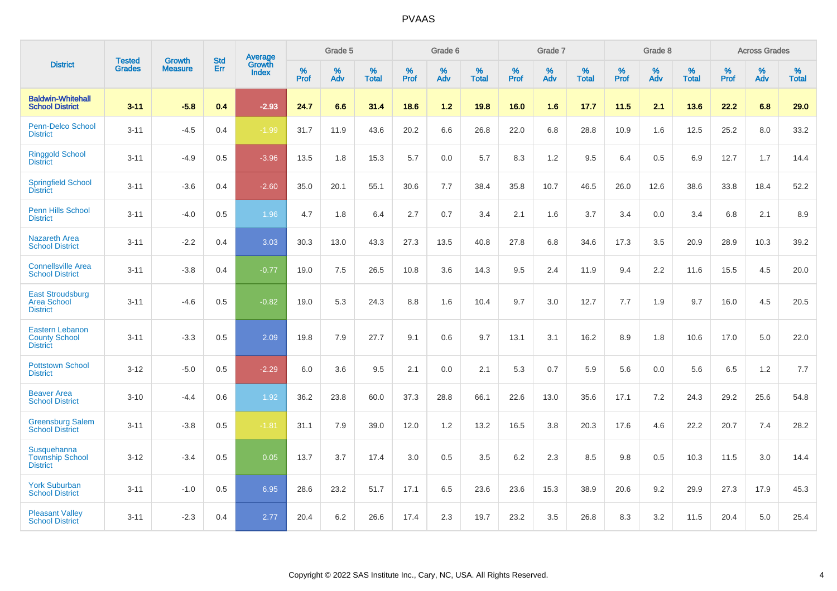|                                                                   |                                |                                 | <b>Std</b> | Average                       |           | Grade 5  |                   |           | Grade 6  |                   |           | Grade 7  |                   |           | Grade 8  |                   |           | <b>Across Grades</b> |                   |
|-------------------------------------------------------------------|--------------------------------|---------------------------------|------------|-------------------------------|-----------|----------|-------------------|-----------|----------|-------------------|-----------|----------|-------------------|-----------|----------|-------------------|-----------|----------------------|-------------------|
| <b>District</b>                                                   | <b>Tested</b><br><b>Grades</b> | <b>Growth</b><br><b>Measure</b> | Err        | <b>Growth</b><br><b>Index</b> | %<br>Prof | %<br>Adv | %<br><b>Total</b> | %<br>Prof | %<br>Adv | %<br><b>Total</b> | %<br>Prof | %<br>Adv | %<br><b>Total</b> | %<br>Prof | %<br>Adv | %<br><b>Total</b> | %<br>Prof | %<br>Adv             | %<br><b>Total</b> |
| <b>Baldwin-Whitehall</b><br><b>School District</b>                | $3 - 11$                       | $-5.8$                          | 0.4        | $-2.93$                       | 24.7      | 6.6      | 31.4              | 18.6      | $1.2$    | 19.8              | 16.0      | 1.6      | 17.7              | 11.5      | 2.1      | 13.6              | 22.2      | 6.8                  | 29.0              |
| <b>Penn-Delco School</b><br><b>District</b>                       | $3 - 11$                       | $-4.5$                          | 0.4        | $-1.99$                       | 31.7      | 11.9     | 43.6              | 20.2      | 6.6      | 26.8              | 22.0      | 6.8      | 28.8              | 10.9      | 1.6      | 12.5              | 25.2      | 8.0                  | 33.2              |
| <b>Ringgold School</b><br><b>District</b>                         | $3 - 11$                       | $-4.9$                          | 0.5        | $-3.96$                       | 13.5      | 1.8      | 15.3              | 5.7       | 0.0      | 5.7               | 8.3       | 1.2      | 9.5               | 6.4       | 0.5      | 6.9               | 12.7      | 1.7                  | 14.4              |
| <b>Springfield School</b><br><b>District</b>                      | $3 - 11$                       | $-3.6$                          | 0.4        | $-2.60$                       | 35.0      | 20.1     | 55.1              | 30.6      | 7.7      | 38.4              | 35.8      | 10.7     | 46.5              | 26.0      | 12.6     | 38.6              | 33.8      | 18.4                 | 52.2              |
| Penn Hills School<br><b>District</b>                              | $3 - 11$                       | $-4.0$                          | 0.5        | 1.96                          | 4.7       | 1.8      | 6.4               | 2.7       | 0.7      | 3.4               | 2.1       | 1.6      | 3.7               | 3.4       | 0.0      | 3.4               | 6.8       | 2.1                  | 8.9               |
| <b>Nazareth Area</b><br><b>School District</b>                    | $3 - 11$                       | $-2.2$                          | 0.4        | 3.03                          | 30.3      | 13.0     | 43.3              | 27.3      | 13.5     | 40.8              | 27.8      | 6.8      | 34.6              | 17.3      | 3.5      | 20.9              | 28.9      | 10.3                 | 39.2              |
| <b>Connellsville Area</b><br><b>School District</b>               | $3 - 11$                       | $-3.8$                          | 0.4        | $-0.77$                       | 19.0      | 7.5      | 26.5              | 10.8      | 3.6      | 14.3              | 9.5       | 2.4      | 11.9              | 9.4       | 2.2      | 11.6              | 15.5      | 4.5                  | 20.0              |
| <b>East Stroudsburg</b><br><b>Area School</b><br><b>District</b>  | $3 - 11$                       | $-4.6$                          | 0.5        | $-0.82$                       | 19.0      | 5.3      | 24.3              | 8.8       | 1.6      | 10.4              | 9.7       | 3.0      | 12.7              | 7.7       | 1.9      | 9.7               | 16.0      | 4.5                  | 20.5              |
| <b>Eastern Lebanon</b><br><b>County School</b><br><b>District</b> | $3 - 11$                       | $-3.3$                          | 0.5        | 2.09                          | 19.8      | 7.9      | 27.7              | 9.1       | 0.6      | 9.7               | 13.1      | 3.1      | 16.2              | 8.9       | 1.8      | 10.6              | 17.0      | 5.0                  | 22.0              |
| <b>Pottstown School</b><br><b>District</b>                        | $3 - 12$                       | $-5.0$                          | 0.5        | $-2.29$                       | 6.0       | 3.6      | 9.5               | 2.1       | 0.0      | 2.1               | 5.3       | 0.7      | 5.9               | 5.6       | 0.0      | 5.6               | 6.5       | 1.2                  | 7.7               |
| <b>Beaver Area</b><br><b>School District</b>                      | $3 - 10$                       | $-4.4$                          | 0.6        | 1.92                          | 36.2      | 23.8     | 60.0              | 37.3      | 28.8     | 66.1              | 22.6      | 13.0     | 35.6              | 17.1      | 7.2      | 24.3              | 29.2      | 25.6                 | 54.8              |
| <b>Greensburg Salem</b><br><b>School District</b>                 | $3 - 11$                       | $-3.8$                          | 0.5        | $-1.81$                       | 31.1      | 7.9      | 39.0              | 12.0      | 1.2      | 13.2              | 16.5      | 3.8      | 20.3              | 17.6      | 4.6      | 22.2              | 20.7      | 7.4                  | 28.2              |
| Susquehanna<br><b>Township School</b><br><b>District</b>          | $3 - 12$                       | $-3.4$                          | 0.5        | 0.05                          | 13.7      | 3.7      | 17.4              | 3.0       | 0.5      | 3.5               | 6.2       | 2.3      | 8.5               | 9.8       | 0.5      | 10.3              | 11.5      | 3.0                  | 14.4              |
| <b>York Suburban</b><br><b>School District</b>                    | $3 - 11$                       | $-1.0$                          | 0.5        | 6.95                          | 28.6      | 23.2     | 51.7              | 17.1      | 6.5      | 23.6              | 23.6      | 15.3     | 38.9              | 20.6      | 9.2      | 29.9              | 27.3      | 17.9                 | 45.3              |
| <b>Pleasant Valley</b><br><b>School District</b>                  | $3 - 11$                       | $-2.3$                          | 0.4        | 2.77                          | 20.4      | 6.2      | 26.6              | 17.4      | 2.3      | 19.7              | 23.2      | 3.5      | 26.8              | 8.3       | 3.2      | 11.5              | 20.4      | 5.0                  | 25.4              |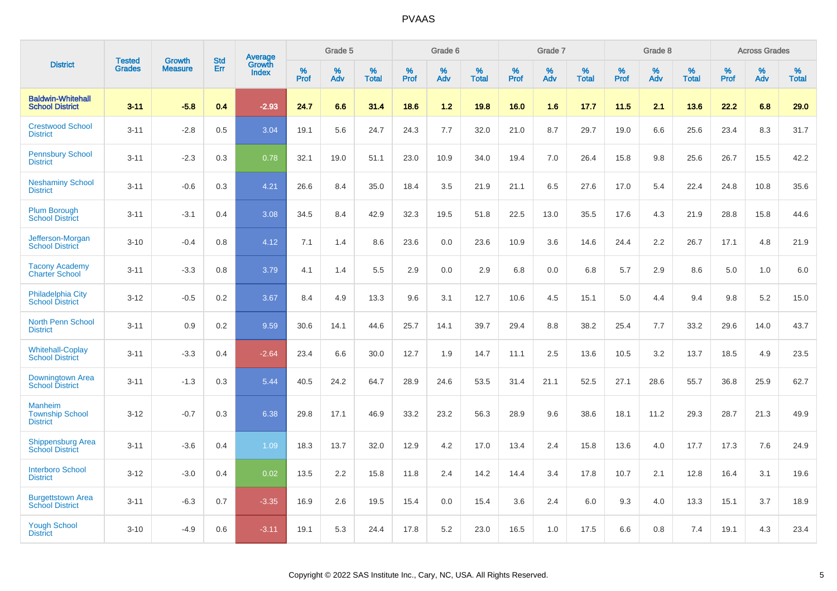|                                                      |                                | <b>Growth</b>  | <b>Std</b> | Average                |              | Grade 5     |                      |              | Grade 6     |                      |              | Grade 7     |                      |              | Grade 8     |                      |                     | <b>Across Grades</b> |                      |
|------------------------------------------------------|--------------------------------|----------------|------------|------------------------|--------------|-------------|----------------------|--------------|-------------|----------------------|--------------|-------------|----------------------|--------------|-------------|----------------------|---------------------|----------------------|----------------------|
| <b>District</b>                                      | <b>Tested</b><br><b>Grades</b> | <b>Measure</b> | Err        | Growth<br><b>Index</b> | $\%$<br>Prof | $\%$<br>Adv | $\%$<br><b>Total</b> | $\%$<br>Prof | $\%$<br>Adv | $\%$<br><b>Total</b> | $\%$<br>Prof | $\%$<br>Adv | $\%$<br><b>Total</b> | $\%$<br>Prof | $\%$<br>Adv | $\%$<br><b>Total</b> | $\%$<br><b>Prof</b> | $\%$<br>Adv          | $\%$<br><b>Total</b> |
| <b>Baldwin-Whitehall</b><br><b>School District</b>   | $3 - 11$                       | $-5.8$         | 0.4        | $-2.93$                | 24.7         | 6.6         | 31.4                 | 18.6         | 1.2         | 19.8                 | 16.0         | 1.6         | 17.7                 | 11.5         | 2.1         | 13.6                 | 22.2                | 6.8                  | 29.0                 |
| <b>Crestwood School</b><br><b>District</b>           | $3 - 11$                       | $-2.8$         | 0.5        | 3.04                   | 19.1         | 5.6         | 24.7                 | 24.3         | 7.7         | 32.0                 | 21.0         | 8.7         | 29.7                 | 19.0         | 6.6         | 25.6                 | 23.4                | 8.3                  | 31.7                 |
| <b>Pennsbury School</b><br><b>District</b>           | $3 - 11$                       | $-2.3$         | 0.3        | 0.78                   | 32.1         | 19.0        | 51.1                 | 23.0         | 10.9        | 34.0                 | 19.4         | 7.0         | 26.4                 | 15.8         | 9.8         | 25.6                 | 26.7                | 15.5                 | 42.2                 |
| <b>Neshaminy School</b><br><b>District</b>           | $3 - 11$                       | $-0.6$         | 0.3        | 4.21                   | 26.6         | 8.4         | 35.0                 | 18.4         | 3.5         | 21.9                 | 21.1         | 6.5         | 27.6                 | 17.0         | 5.4         | 22.4                 | 24.8                | 10.8                 | 35.6                 |
| <b>Plum Borough</b><br><b>School District</b>        | $3 - 11$                       | $-3.1$         | 0.4        | 3.08                   | 34.5         | 8.4         | 42.9                 | 32.3         | 19.5        | 51.8                 | 22.5         | 13.0        | 35.5                 | 17.6         | 4.3         | 21.9                 | 28.8                | 15.8                 | 44.6                 |
| Jefferson-Morgan<br><b>School District</b>           | $3 - 10$                       | $-0.4$         | 0.8        | 4.12                   | 7.1          | 1.4         | 8.6                  | 23.6         | 0.0         | 23.6                 | 10.9         | 3.6         | 14.6                 | 24.4         | 2.2         | 26.7                 | 17.1                | 4.8                  | 21.9                 |
| <b>Tacony Academy</b><br><b>Charter School</b>       | $3 - 11$                       | $-3.3$         | 0.8        | 3.79                   | 4.1          | 1.4         | 5.5                  | 2.9          | 0.0         | 2.9                  | 6.8          | 0.0         | 6.8                  | 5.7          | 2.9         | 8.6                  | 5.0                 | 1.0                  | $6.0\,$              |
| <b>Philadelphia City</b><br><b>School District</b>   | $3 - 12$                       | $-0.5$         | 0.2        | 3.67                   | 8.4          | 4.9         | 13.3                 | 9.6          | 3.1         | 12.7                 | 10.6         | 4.5         | 15.1                 | 5.0          | 4.4         | 9.4                  | 9.8                 | 5.2                  | 15.0                 |
| <b>North Penn School</b><br><b>District</b>          | $3 - 11$                       | 0.9            | 0.2        | 9.59                   | 30.6         | 14.1        | 44.6                 | 25.7         | 14.1        | 39.7                 | 29.4         | 8.8         | 38.2                 | 25.4         | 7.7         | 33.2                 | 29.6                | 14.0                 | 43.7                 |
| <b>Whitehall-Coplay</b><br><b>School District</b>    | $3 - 11$                       | $-3.3$         | 0.4        | $-2.64$                | 23.4         | 6.6         | 30.0                 | 12.7         | 1.9         | 14.7                 | 11.1         | 2.5         | 13.6                 | 10.5         | 3.2         | 13.7                 | 18.5                | 4.9                  | 23.5                 |
| Downingtown Area<br><b>School District</b>           | $3 - 11$                       | $-1.3$         | 0.3        | 5.44                   | 40.5         | 24.2        | 64.7                 | 28.9         | 24.6        | 53.5                 | 31.4         | 21.1        | 52.5                 | 27.1         | 28.6        | 55.7                 | 36.8                | 25.9                 | 62.7                 |
| Manheim<br><b>Township School</b><br><b>District</b> | $3 - 12$                       | $-0.7$         | 0.3        | 6.38                   | 29.8         | 17.1        | 46.9                 | 33.2         | 23.2        | 56.3                 | 28.9         | 9.6         | 38.6                 | 18.1         | 11.2        | 29.3                 | 28.7                | 21.3                 | 49.9                 |
| <b>Shippensburg Area</b><br><b>School District</b>   | $3 - 11$                       | $-3.6$         | 0.4        | 1.09                   | 18.3         | 13.7        | 32.0                 | 12.9         | 4.2         | 17.0                 | 13.4         | 2.4         | 15.8                 | 13.6         | 4.0         | 17.7                 | 17.3                | 7.6                  | 24.9                 |
| <b>Interboro School</b><br><b>District</b>           | $3 - 12$                       | $-3.0$         | 0.4        | 0.02                   | 13.5         | 2.2         | 15.8                 | 11.8         | 2.4         | 14.2                 | 14.4         | 3.4         | 17.8                 | 10.7         | 2.1         | 12.8                 | 16.4                | 3.1                  | 19.6                 |
| <b>Burgettstown Area</b><br><b>School District</b>   | $3 - 11$                       | $-6.3$         | 0.7        | $-3.35$                | 16.9         | 2.6         | 19.5                 | 15.4         | 0.0         | 15.4                 | 3.6          | 2.4         | 6.0                  | 9.3          | 4.0         | 13.3                 | 15.1                | 3.7                  | 18.9                 |
| <b>Yough School</b><br><b>District</b>               | $3 - 10$                       | $-4.9$         | 0.6        | $-3.11$                | 19.1         | 5.3         | 24.4                 | 17.8         | 5.2         | 23.0                 | 16.5         | 1.0         | 17.5                 | 6.6          | 0.8         | 7.4                  | 19.1                | 4.3                  | 23.4                 |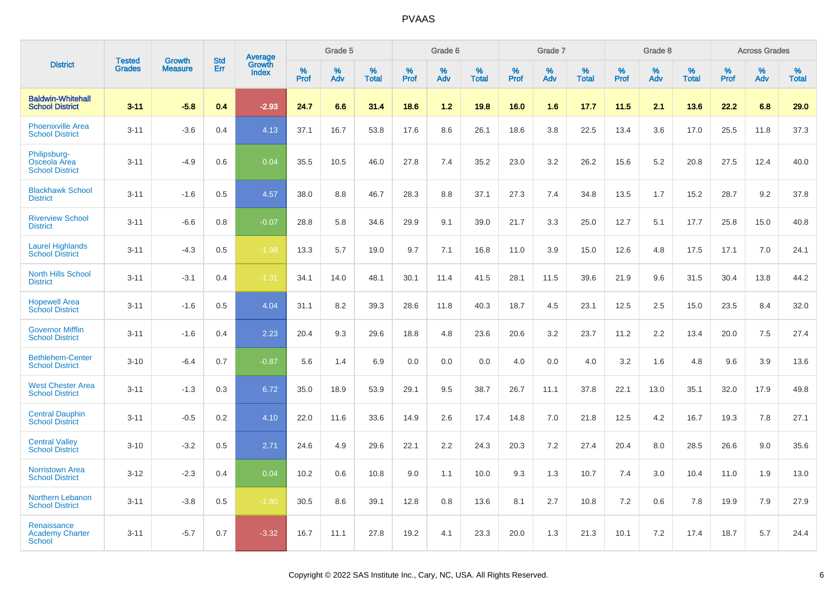|                                                        | <b>Tested</b> | <b>Growth</b>  | <b>Std</b> | Average                |              | Grade 5  |                   |              | Grade 6  |                   |              | Grade 7  |                   |              | Grade 8  |                   |              | <b>Across Grades</b> |                   |
|--------------------------------------------------------|---------------|----------------|------------|------------------------|--------------|----------|-------------------|--------------|----------|-------------------|--------------|----------|-------------------|--------------|----------|-------------------|--------------|----------------------|-------------------|
| <b>District</b>                                        | <b>Grades</b> | <b>Measure</b> | Err        | Growth<br><b>Index</b> | $\%$<br>Prof | %<br>Adv | %<br><b>Total</b> | $\%$<br>Prof | %<br>Adv | %<br><b>Total</b> | $\%$<br>Prof | %<br>Adv | %<br><b>Total</b> | $\%$<br>Prof | %<br>Adv | %<br><b>Total</b> | $\%$<br>Prof | %<br>Adv             | %<br><b>Total</b> |
| <b>Baldwin-Whitehall</b><br><b>School District</b>     | $3 - 11$      | $-5.8$         | 0.4        | $-2.93$                | 24.7         | 6.6      | 31.4              | 18.6         | 1.2      | 19.8              | 16.0         | 1.6      | 17.7              | 11.5         | 2.1      | 13.6              | 22.2         | 6.8                  | 29.0              |
| <b>Phoenixville Area</b><br><b>School District</b>     | $3 - 11$      | $-3.6$         | 0.4        | 4.13                   | 37.1         | 16.7     | 53.8              | 17.6         | 8.6      | 26.1              | 18.6         | 3.8      | 22.5              | 13.4         | 3.6      | 17.0              | 25.5         | 11.8                 | 37.3              |
| Philipsburg-<br>Osceola Area<br><b>School District</b> | $3 - 11$      | $-4.9$         | 0.6        | 0.04                   | 35.5         | 10.5     | 46.0              | 27.8         | 7.4      | 35.2              | 23.0         | 3.2      | 26.2              | 15.6         | 5.2      | 20.8              | 27.5         | 12.4                 | 40.0              |
| <b>Blackhawk School</b><br><b>District</b>             | $3 - 11$      | $-1.6$         | 0.5        | 4.57                   | 38.0         | 8.8      | 46.7              | 28.3         | 8.8      | 37.1              | 27.3         | 7.4      | 34.8              | 13.5         | 1.7      | 15.2              | 28.7         | 9.2                  | 37.8              |
| <b>Riverview School</b><br><b>District</b>             | $3 - 11$      | $-6.6$         | 0.8        | $-0.07$                | 28.8         | 5.8      | 34.6              | 29.9         | 9.1      | 39.0              | 21.7         | 3.3      | 25.0              | 12.7         | 5.1      | 17.7              | 25.8         | 15.0                 | 40.8              |
| <b>Laurel Highlands</b><br><b>School District</b>      | $3 - 11$      | $-4.3$         | 0.5        | $-1.98$                | 13.3         | 5.7      | 19.0              | 9.7          | 7.1      | 16.8              | 11.0         | 3.9      | 15.0              | 12.6         | 4.8      | 17.5              | 17.1         | 7.0                  | 24.1              |
| <b>North Hills School</b><br><b>District</b>           | $3 - 11$      | $-3.1$         | 0.4        | $-1.31$                | 34.1         | 14.0     | 48.1              | 30.1         | 11.4     | 41.5              | 28.1         | 11.5     | 39.6              | 21.9         | 9.6      | 31.5              | 30.4         | 13.8                 | 44.2              |
| <b>Hopewell Area</b><br><b>School District</b>         | $3 - 11$      | $-1.6$         | 0.5        | 4.04                   | 31.1         | 8.2      | 39.3              | 28.6         | 11.8     | 40.3              | 18.7         | 4.5      | 23.1              | 12.5         | 2.5      | 15.0              | 23.5         | 8.4                  | 32.0              |
| <b>Governor Mifflin</b><br><b>School District</b>      | $3 - 11$      | $-1.6$         | 0.4        | 2.23                   | 20.4         | 9.3      | 29.6              | 18.8         | 4.8      | 23.6              | 20.6         | 3.2      | 23.7              | 11.2         | 2.2      | 13.4              | 20.0         | 7.5                  | 27.4              |
| <b>Bethlehem-Center</b><br><b>School District</b>      | $3 - 10$      | $-6.4$         | 0.7        | $-0.87$                | 5.6          | 1.4      | 6.9               | 0.0          | 0.0      | 0.0               | 4.0          | 0.0      | 4.0               | 3.2          | 1.6      | 4.8               | 9.6          | 3.9                  | 13.6              |
| <b>West Chester Area</b><br><b>School District</b>     | $3 - 11$      | $-1.3$         | 0.3        | 6.72                   | 35.0         | 18.9     | 53.9              | 29.1         | 9.5      | 38.7              | 26.7         | 11.1     | 37.8              | 22.1         | 13.0     | 35.1              | 32.0         | 17.9                 | 49.8              |
| <b>Central Dauphin</b><br><b>School District</b>       | $3 - 11$      | $-0.5$         | 0.2        | 4.10                   | 22.0         | 11.6     | 33.6              | 14.9         | 2.6      | 17.4              | 14.8         | 7.0      | 21.8              | 12.5         | 4.2      | 16.7              | 19.3         | 7.8                  | 27.1              |
| <b>Central Valley</b><br><b>School District</b>        | $3 - 10$      | $-3.2$         | 0.5        | 2.71                   | 24.6         | 4.9      | 29.6              | 22.1         | 2.2      | 24.3              | 20.3         | 7.2      | 27.4              | 20.4         | 8.0      | 28.5              | 26.6         | 9.0                  | 35.6              |
| <b>Norristown Area</b><br><b>School District</b>       | $3 - 12$      | $-2.3$         | 0.4        | 0.04                   | 10.2         | 0.6      | 10.8              | 9.0          | 1.1      | 10.0              | 9.3          | 1.3      | 10.7              | 7.4          | 3.0      | 10.4              | 11.0         | 1.9                  | 13.0              |
| Northern Lebanon<br><b>School District</b>             | $3 - 11$      | $-3.8$         | 0.5        | $-1.80$                | 30.5         | 8.6      | 39.1              | 12.8         | 0.8      | 13.6              | 8.1          | 2.7      | 10.8              | 7.2          | 0.6      | 7.8               | 19.9         | 7.9                  | 27.9              |
| Renaissance<br><b>Academy Charter</b><br>School        | $3 - 11$      | $-5.7$         | 0.7        | $-3.32$                | 16.7         | 11.1     | 27.8              | 19.2         | 4.1      | 23.3              | 20.0         | 1.3      | 21.3              | 10.1         | 7.2      | 17.4              | 18.7         | 5.7                  | 24.4              |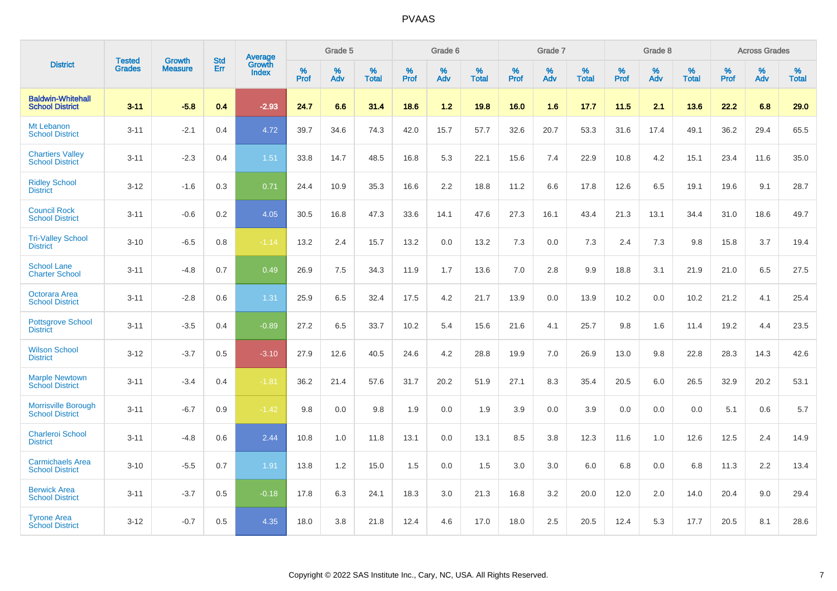|                                                      |                                |                                 | <b>Std</b> | Average                |           | Grade 5  |                   |           | Grade 6  |                   |              | Grade 7  |                   |           | Grade 8  |                   |           | <b>Across Grades</b> |            |
|------------------------------------------------------|--------------------------------|---------------------------------|------------|------------------------|-----------|----------|-------------------|-----------|----------|-------------------|--------------|----------|-------------------|-----------|----------|-------------------|-----------|----------------------|------------|
| <b>District</b>                                      | <b>Tested</b><br><b>Grades</b> | <b>Growth</b><br><b>Measure</b> | Err        | Growth<br><b>Index</b> | %<br>Prof | %<br>Adv | %<br><b>Total</b> | %<br>Prof | %<br>Adv | %<br><b>Total</b> | $\%$<br>Prof | %<br>Adv | %<br><b>Total</b> | %<br>Prof | %<br>Adv | %<br><b>Total</b> | %<br>Prof | %<br>Adv             | %<br>Total |
| <b>Baldwin-Whitehall</b><br><b>School District</b>   | $3 - 11$                       | $-5.8$                          | 0.4        | $-2.93$                | 24.7      | 6.6      | 31.4              | 18.6      | $1.2$    | 19.8              | 16.0         | 1.6      | 17.7              | 11.5      | 2.1      | 13.6              | 22.2      | 6.8                  | 29.0       |
| Mt Lebanon<br><b>School District</b>                 | $3 - 11$                       | $-2.1$                          | 0.4        | 4.72                   | 39.7      | 34.6     | 74.3              | 42.0      | 15.7     | 57.7              | 32.6         | 20.7     | 53.3              | 31.6      | 17.4     | 49.1              | 36.2      | 29.4                 | 65.5       |
| <b>Chartiers Valley</b><br><b>School District</b>    | $3 - 11$                       | $-2.3$                          | 0.4        | 1.51                   | 33.8      | 14.7     | 48.5              | 16.8      | 5.3      | 22.1              | 15.6         | 7.4      | 22.9              | 10.8      | 4.2      | 15.1              | 23.4      | 11.6                 | 35.0       |
| <b>Ridley School</b><br><b>District</b>              | $3 - 12$                       | $-1.6$                          | 0.3        | 0.71                   | 24.4      | 10.9     | 35.3              | 16.6      | 2.2      | 18.8              | 11.2         | 6.6      | 17.8              | 12.6      | 6.5      | 19.1              | 19.6      | 9.1                  | 28.7       |
| <b>Council Rock</b><br><b>School District</b>        | $3 - 11$                       | $-0.6$                          | 0.2        | 4.05                   | 30.5      | 16.8     | 47.3              | 33.6      | 14.1     | 47.6              | 27.3         | 16.1     | 43.4              | 21.3      | 13.1     | 34.4              | 31.0      | 18.6                 | 49.7       |
| <b>Tri-Valley School</b><br><b>District</b>          | $3 - 10$                       | $-6.5$                          | 0.8        | $-1.14$                | 13.2      | 2.4      | 15.7              | 13.2      | 0.0      | 13.2              | 7.3          | 0.0      | 7.3               | 2.4       | 7.3      | 9.8               | 15.8      | 3.7                  | 19.4       |
| <b>School Lane</b><br><b>Charter School</b>          | $3 - 11$                       | $-4.8$                          | 0.7        | 0.49                   | 26.9      | 7.5      | 34.3              | 11.9      | 1.7      | 13.6              | 7.0          | 2.8      | 9.9               | 18.8      | 3.1      | 21.9              | 21.0      | 6.5                  | 27.5       |
| Octorara Area<br><b>School District</b>              | $3 - 11$                       | $-2.8$                          | 0.6        | 1.31                   | 25.9      | 6.5      | 32.4              | 17.5      | 4.2      | 21.7              | 13.9         | 0.0      | 13.9              | 10.2      | 0.0      | 10.2              | 21.2      | 4.1                  | 25.4       |
| <b>Pottsgrove School</b><br><b>District</b>          | $3 - 11$                       | $-3.5$                          | 0.4        | $-0.89$                | 27.2      | 6.5      | 33.7              | 10.2      | 5.4      | 15.6              | 21.6         | 4.1      | 25.7              | 9.8       | 1.6      | 11.4              | 19.2      | 4.4                  | 23.5       |
| <b>Wilson School</b><br><b>District</b>              | $3 - 12$                       | $-3.7$                          | 0.5        | $-3.10$                | 27.9      | 12.6     | 40.5              | 24.6      | 4.2      | 28.8              | 19.9         | 7.0      | 26.9              | 13.0      | 9.8      | 22.8              | 28.3      | 14.3                 | 42.6       |
| <b>Marple Newtown</b><br><b>School District</b>      | $3 - 11$                       | $-3.4$                          | 0.4        | $-1.81$                | 36.2      | 21.4     | 57.6              | 31.7      | 20.2     | 51.9              | 27.1         | 8.3      | 35.4              | 20.5      | 6.0      | 26.5              | 32.9      | 20.2                 | 53.1       |
| <b>Morrisville Borough</b><br><b>School District</b> | $3 - 11$                       | $-6.7$                          | 0.9        | $-1.42$                | 9.8       | 0.0      | 9.8               | 1.9       | 0.0      | 1.9               | 3.9          | 0.0      | 3.9               | 0.0       | 0.0      | 0.0               | 5.1       | 0.6                  | 5.7        |
| <b>Charleroi School</b><br><b>District</b>           | $3 - 11$                       | $-4.8$                          | 0.6        | 2.44                   | 10.8      | 1.0      | 11.8              | 13.1      | 0.0      | 13.1              | 8.5          | 3.8      | 12.3              | 11.6      | 1.0      | 12.6              | 12.5      | 2.4                  | 14.9       |
| <b>Carmichaels Area</b><br><b>School District</b>    | $3 - 10$                       | $-5.5$                          | 0.7        | 1.91                   | 13.8      | 1.2      | 15.0              | 1.5       | 0.0      | 1.5               | 3.0          | 3.0      | 6.0               | 6.8       | 0.0      | 6.8               | 11.3      | 2.2                  | 13.4       |
| <b>Berwick Area</b><br><b>School District</b>        | $3 - 11$                       | $-3.7$                          | 0.5        | $-0.18$                | 17.8      | 6.3      | 24.1              | 18.3      | 3.0      | 21.3              | 16.8         | 3.2      | 20.0              | 12.0      | 2.0      | 14.0              | 20.4      | 9.0                  | 29.4       |
| <b>Tyrone Area</b><br><b>School District</b>         | $3 - 12$                       | $-0.7$                          | 0.5        | 4.35                   | 18.0      | 3.8      | 21.8              | 12.4      | 4.6      | 17.0              | 18.0         | 2.5      | 20.5              | 12.4      | 5.3      | 17.7              | 20.5      | 8.1                  | 28.6       |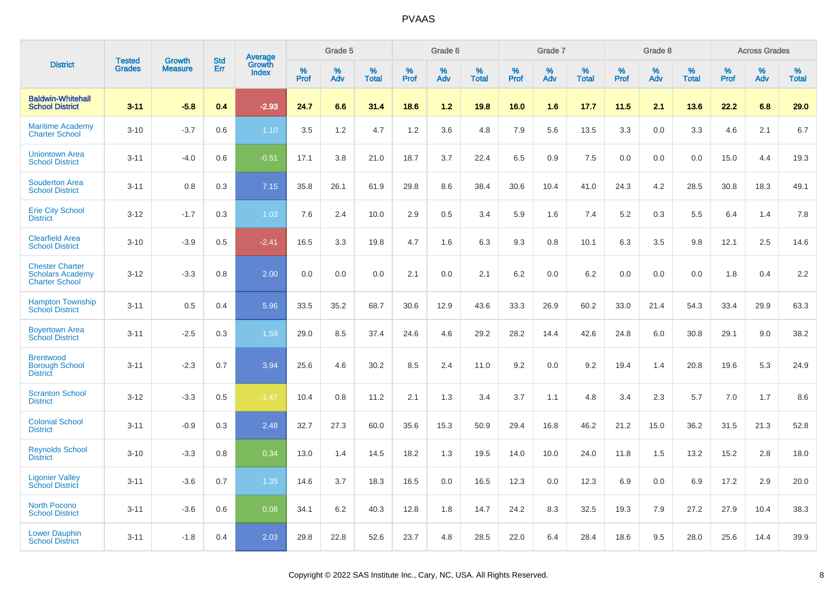|                                                                            | <b>Tested</b> | <b>Growth</b>  | <b>Std</b> | Average                |              | Grade 5  |                   |              | Grade 6  |                   |              | Grade 7  |                   |              | Grade 8  |                   |              | <b>Across Grades</b> |                   |
|----------------------------------------------------------------------------|---------------|----------------|------------|------------------------|--------------|----------|-------------------|--------------|----------|-------------------|--------------|----------|-------------------|--------------|----------|-------------------|--------------|----------------------|-------------------|
| <b>District</b>                                                            | <b>Grades</b> | <b>Measure</b> | Err        | Growth<br><b>Index</b> | $\%$<br>Prof | %<br>Adv | %<br><b>Total</b> | $\%$<br>Prof | %<br>Adv | %<br><b>Total</b> | $\%$<br>Prof | %<br>Adv | %<br><b>Total</b> | $\%$<br>Prof | %<br>Adv | %<br><b>Total</b> | $\%$<br>Prof | %<br>Adv             | %<br><b>Total</b> |
| <b>Baldwin-Whitehall</b><br><b>School District</b>                         | $3 - 11$      | $-5.8$         | 0.4        | $-2.93$                | 24.7         | 6.6      | 31.4              | 18.6         | 1.2      | 19.8              | 16.0         | 1.6      | 17.7              | 11.5         | 2.1      | 13.6              | 22.2         | 6.8                  | 29.0              |
| <b>Maritime Academy</b><br><b>Charter School</b>                           | $3 - 10$      | $-3.7$         | 0.6        | 1.10                   | 3.5          | 1.2      | 4.7               | 1.2          | 3.6      | 4.8               | 7.9          | 5.6      | 13.5              | 3.3          | 0.0      | 3.3               | 4.6          | 2.1                  | 6.7               |
| <b>Uniontown Area</b><br><b>School District</b>                            | $3 - 11$      | $-4.0$         | 0.6        | $-0.51$                | 17.1         | 3.8      | 21.0              | 18.7         | 3.7      | 22.4              | 6.5          | 0.9      | 7.5               | 0.0          | 0.0      | 0.0               | 15.0         | 4.4                  | 19.3              |
| <b>Souderton Area</b><br><b>School District</b>                            | $3 - 11$      | 0.8            | 0.3        | 7.15                   | 35.8         | 26.1     | 61.9              | 29.8         | 8.6      | 38.4              | 30.6         | 10.4     | 41.0              | 24.3         | 4.2      | 28.5              | 30.8         | 18.3                 | 49.1              |
| <b>Erie City School</b><br><b>District</b>                                 | $3 - 12$      | $-1.7$         | 0.3        | 1.03                   | 7.6          | 2.4      | 10.0              | 2.9          | 0.5      | 3.4               | 5.9          | 1.6      | 7.4               | 5.2          | 0.3      | 5.5               | 6.4          | 1.4                  | 7.8               |
| <b>Clearfield Area</b><br><b>School District</b>                           | $3 - 10$      | $-3.9$         | 0.5        | $-2.41$                | 16.5         | 3.3      | 19.8              | 4.7          | 1.6      | 6.3               | 9.3          | 0.8      | 10.1              | 6.3          | 3.5      | 9.8               | 12.1         | 2.5                  | 14.6              |
| <b>Chester Charter</b><br><b>Scholars Academy</b><br><b>Charter School</b> | $3 - 12$      | $-3.3$         | 0.8        | 2.00                   | 0.0          | 0.0      | 0.0               | 2.1          | 0.0      | 2.1               | 6.2          | 0.0      | 6.2               | 0.0          | 0.0      | 0.0               | 1.8          | 0.4                  | 2.2               |
| <b>Hampton Township</b><br><b>School District</b>                          | $3 - 11$      | 0.5            | 0.4        | 5.96                   | 33.5         | 35.2     | 68.7              | 30.6         | 12.9     | 43.6              | 33.3         | 26.9     | 60.2              | 33.0         | 21.4     | 54.3              | 33.4         | 29.9                 | 63.3              |
| <b>Boyertown Area</b><br><b>School District</b>                            | $3 - 11$      | $-2.5$         | 0.3        | 1.59                   | 29.0         | 8.5      | 37.4              | 24.6         | 4.6      | 29.2              | 28.2         | 14.4     | 42.6              | 24.8         | 6.0      | 30.8              | 29.1         | 9.0                  | 38.2              |
| <b>Brentwood</b><br><b>Borough School</b><br><b>District</b>               | $3 - 11$      | $-2.3$         | 0.7        | 3.94                   | 25.6         | 4.6      | 30.2              | 8.5          | 2.4      | 11.0              | 9.2          | 0.0      | 9.2               | 19.4         | 1.4      | 20.8              | 19.6         | 5.3                  | 24.9              |
| <b>Scranton School</b><br><b>District</b>                                  | $3 - 12$      | $-3.3$         | 0.5        | $-1.47$                | 10.4         | 0.8      | 11.2              | 2.1          | 1.3      | 3.4               | 3.7          | 1.1      | 4.8               | 3.4          | 2.3      | 5.7               | 7.0          | 1.7                  | 8.6               |
| <b>Colonial School</b><br><b>District</b>                                  | $3 - 11$      | $-0.9$         | 0.3        | 2.48                   | 32.7         | 27.3     | 60.0              | 35.6         | 15.3     | 50.9              | 29.4         | 16.8     | 46.2              | 21.2         | 15.0     | 36.2              | 31.5         | 21.3                 | 52.8              |
| <b>Reynolds School</b><br><b>District</b>                                  | $3 - 10$      | $-3.3$         | 0.8        | 0.34                   | 13.0         | 1.4      | 14.5              | 18.2         | 1.3      | 19.5              | 14.0         | 10.0     | 24.0              | 11.8         | 1.5      | 13.2              | 15.2         | 2.8                  | 18.0              |
| <b>Ligonier Valley</b><br><b>School District</b>                           | $3 - 11$      | $-3.6$         | 0.7        | 1.35                   | 14.6         | 3.7      | 18.3              | 16.5         | 0.0      | 16.5              | 12.3         | 0.0      | 12.3              | 6.9          | 0.0      | 6.9               | 17.2         | 2.9                  | 20.0              |
| <b>North Pocono</b><br><b>School District</b>                              | $3 - 11$      | $-3.6$         | 0.6        | 0.08                   | 34.1         | 6.2      | 40.3              | 12.8         | 1.8      | 14.7              | 24.2         | 8.3      | 32.5              | 19.3         | 7.9      | 27.2              | 27.9         | 10.4                 | 38.3              |
| <b>Lower Dauphin</b><br><b>School District</b>                             | $3 - 11$      | $-1.8$         | 0.4        | 2.03                   | 29.8         | 22.8     | 52.6              | 23.7         | 4.8      | 28.5              | 22.0         | 6.4      | 28.4              | 18.6         | 9.5      | 28.0              | 25.6         | 14.4                 | 39.9              |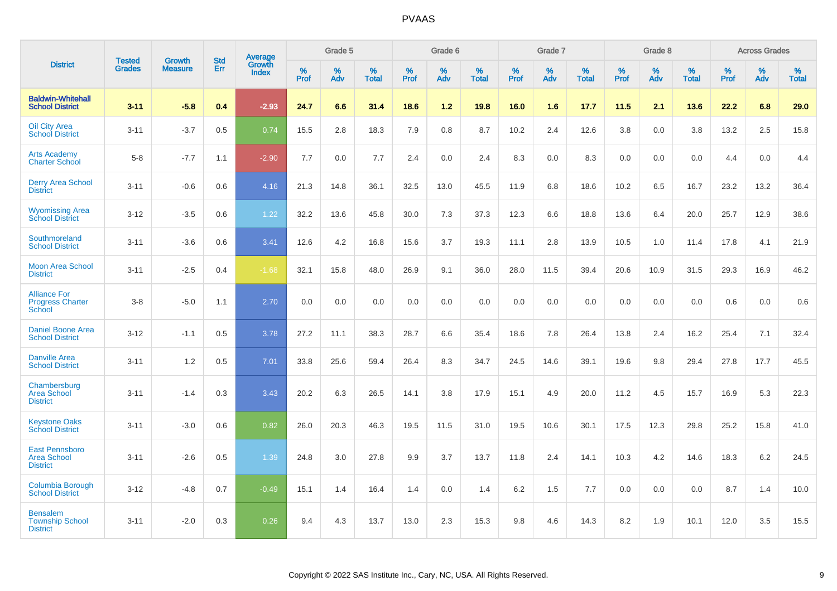|                                                                |                                |                                 | <b>Std</b> | Average                |           | Grade 5  |                   |           | Grade 6  |                   |           | Grade 7  |                      |           | Grade 8  |                   |           | <b>Across Grades</b> |                   |
|----------------------------------------------------------------|--------------------------------|---------------------------------|------------|------------------------|-----------|----------|-------------------|-----------|----------|-------------------|-----------|----------|----------------------|-----------|----------|-------------------|-----------|----------------------|-------------------|
| <b>District</b>                                                | <b>Tested</b><br><b>Grades</b> | <b>Growth</b><br><b>Measure</b> | Err        | Growth<br><b>Index</b> | %<br>Prof | %<br>Adv | %<br><b>Total</b> | %<br>Prof | %<br>Adv | %<br><b>Total</b> | %<br>Prof | %<br>Adv | $\%$<br><b>Total</b> | %<br>Prof | %<br>Adv | %<br><b>Total</b> | %<br>Prof | %<br>Adv             | %<br><b>Total</b> |
| <b>Baldwin-Whitehall</b><br><b>School District</b>             | $3 - 11$                       | $-5.8$                          | 0.4        | $-2.93$                | 24.7      | 6.6      | 31.4              | 18.6      | 1.2      | 19.8              | 16.0      | 1.6      | 17.7                 | 11.5      | 2.1      | 13.6              | 22.2      | 6.8                  | 29.0              |
| <b>Oil City Area</b><br><b>School District</b>                 | $3 - 11$                       | $-3.7$                          | 0.5        | 0.74                   | 15.5      | 2.8      | 18.3              | 7.9       | 0.8      | 8.7               | 10.2      | 2.4      | 12.6                 | 3.8       | 0.0      | 3.8               | 13.2      | 2.5                  | 15.8              |
| <b>Arts Academy</b><br><b>Charter School</b>                   | $5 - 8$                        | $-7.7$                          | 1.1        | $-2.90$                | 7.7       | 0.0      | 7.7               | 2.4       | 0.0      | 2.4               | 8.3       | 0.0      | 8.3                  | 0.0       | 0.0      | 0.0               | 4.4       | 0.0                  | 4.4               |
| <b>Derry Area School</b><br><b>District</b>                    | $3 - 11$                       | $-0.6$                          | 0.6        | 4.16                   | 21.3      | 14.8     | 36.1              | 32.5      | 13.0     | 45.5              | 11.9      | 6.8      | 18.6                 | 10.2      | 6.5      | 16.7              | 23.2      | 13.2                 | 36.4              |
| <b>Wyomissing Area</b><br><b>School District</b>               | $3 - 12$                       | $-3.5$                          | 0.6        | 1.22                   | 32.2      | 13.6     | 45.8              | 30.0      | 7.3      | 37.3              | 12.3      | 6.6      | 18.8                 | 13.6      | 6.4      | 20.0              | 25.7      | 12.9                 | 38.6              |
| Southmoreland<br><b>School District</b>                        | $3 - 11$                       | $-3.6$                          | 0.6        | 3.41                   | 12.6      | 4.2      | 16.8              | 15.6      | 3.7      | 19.3              | 11.1      | 2.8      | 13.9                 | 10.5      | 1.0      | 11.4              | 17.8      | 4.1                  | 21.9              |
| <b>Moon Area School</b><br><b>District</b>                     | $3 - 11$                       | $-2.5$                          | 0.4        | $-1.68$                | 32.1      | 15.8     | 48.0              | 26.9      | 9.1      | 36.0              | 28.0      | 11.5     | 39.4                 | 20.6      | 10.9     | 31.5              | 29.3      | 16.9                 | 46.2              |
| <b>Alliance For</b><br><b>Progress Charter</b><br>School       | $3 - 8$                        | $-5.0$                          | 1.1        | 2.70                   | 0.0       | 0.0      | 0.0               | 0.0       | 0.0      | 0.0               | 0.0       | 0.0      | 0.0                  | 0.0       | 0.0      | 0.0               | 0.6       | 0.0                  | 0.6               |
| <b>Daniel Boone Area</b><br><b>School District</b>             | $3 - 12$                       | $-1.1$                          | 0.5        | 3.78                   | 27.2      | 11.1     | 38.3              | 28.7      | 6.6      | 35.4              | 18.6      | 7.8      | 26.4                 | 13.8      | 2.4      | 16.2              | 25.4      | 7.1                  | 32.4              |
| <b>Danville Area</b><br><b>School District</b>                 | $3 - 11$                       | 1.2                             | 0.5        | 7.01                   | 33.8      | 25.6     | 59.4              | 26.4      | 8.3      | 34.7              | 24.5      | 14.6     | 39.1                 | 19.6      | 9.8      | 29.4              | 27.8      | 17.7                 | 45.5              |
| Chambersburg<br><b>Area School</b><br><b>District</b>          | $3 - 11$                       | $-1.4$                          | 0.3        | 3.43                   | 20.2      | 6.3      | 26.5              | 14.1      | 3.8      | 17.9              | 15.1      | 4.9      | 20.0                 | 11.2      | 4.5      | 15.7              | 16.9      | 5.3                  | 22.3              |
| <b>Keystone Oaks</b><br><b>School District</b>                 | $3 - 11$                       | $-3.0$                          | 0.6        | 0.82                   | 26.0      | 20.3     | 46.3              | 19.5      | 11.5     | 31.0              | 19.5      | 10.6     | 30.1                 | 17.5      | 12.3     | 29.8              | 25.2      | 15.8                 | 41.0              |
| <b>East Pennsboro</b><br><b>Area School</b><br><b>District</b> | $3 - 11$                       | $-2.6$                          | 0.5        | 1.39                   | 24.8      | 3.0      | 27.8              | 9.9       | 3.7      | 13.7              | 11.8      | 2.4      | 14.1                 | 10.3      | 4.2      | 14.6              | 18.3      | $6.2\,$              | 24.5              |
| Columbia Borough<br><b>School District</b>                     | $3 - 12$                       | $-4.8$                          | 0.7        | $-0.49$                | 15.1      | 1.4      | 16.4              | 1.4       | 0.0      | 1.4               | 6.2       | 1.5      | 7.7                  | 0.0       | 0.0      | 0.0               | 8.7       | 1.4                  | 10.0              |
| <b>Bensalem</b><br><b>Township School</b><br><b>District</b>   | $3 - 11$                       | $-2.0$                          | 0.3        | 0.26                   | 9.4       | 4.3      | 13.7              | 13.0      | 2.3      | 15.3              | 9.8       | 4.6      | 14.3                 | 8.2       | 1.9      | 10.1              | 12.0      | 3.5                  | 15.5              |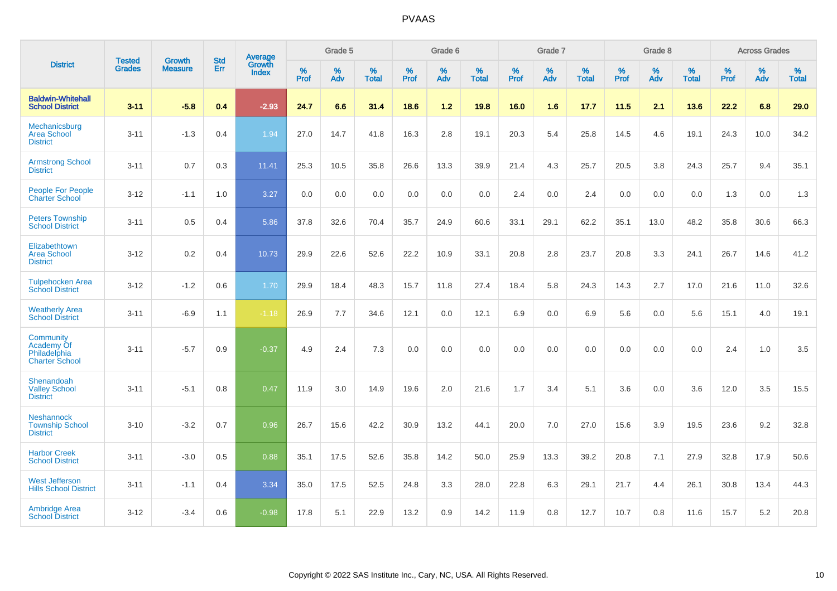|                                                                  | <b>Tested</b> |                          | <b>Std</b> | Average                |           | Grade 5  |                   |           | Grade 6  |                   |           | Grade 7  |                   |           | Grade 8  |                   |           | <b>Across Grades</b> |                   |
|------------------------------------------------------------------|---------------|--------------------------|------------|------------------------|-----------|----------|-------------------|-----------|----------|-------------------|-----------|----------|-------------------|-----------|----------|-------------------|-----------|----------------------|-------------------|
| <b>District</b>                                                  | <b>Grades</b> | Growth<br><b>Measure</b> | Err        | Growth<br><b>Index</b> | %<br>Prof | %<br>Adv | %<br><b>Total</b> | %<br>Prof | %<br>Adv | %<br><b>Total</b> | %<br>Prof | %<br>Adv | %<br><b>Total</b> | %<br>Prof | %<br>Adv | %<br><b>Total</b> | %<br>Prof | %<br>Adv             | %<br><b>Total</b> |
| <b>Baldwin-Whitehall</b><br><b>School District</b>               | $3 - 11$      | $-5.8$                   | 0.4        | $-2.93$                | 24.7      | 6.6      | 31.4              | 18.6      | 1.2      | 19.8              | 16.0      | 1.6      | 17.7              | 11.5      | 2.1      | 13.6              | 22.2      | 6.8                  | 29.0              |
| Mechanicsburg<br><b>Area School</b><br><b>District</b>           | $3 - 11$      | $-1.3$                   | 0.4        | 1.94                   | 27.0      | 14.7     | 41.8              | 16.3      | 2.8      | 19.1              | 20.3      | 5.4      | 25.8              | 14.5      | 4.6      | 19.1              | 24.3      | 10.0                 | 34.2              |
| <b>Armstrong School</b><br><b>District</b>                       | $3 - 11$      | 0.7                      | 0.3        | 11.41                  | 25.3      | 10.5     | 35.8              | 26.6      | 13.3     | 39.9              | 21.4      | 4.3      | 25.7              | 20.5      | 3.8      | 24.3              | 25.7      | 9.4                  | 35.1              |
| People For People<br><b>Charter School</b>                       | $3 - 12$      | $-1.1$                   | 1.0        | 3.27                   | 0.0       | 0.0      | 0.0               | 0.0       | 0.0      | 0.0               | 2.4       | 0.0      | 2.4               | 0.0       | 0.0      | 0.0               | 1.3       | 0.0                  | 1.3               |
| <b>Peters Township</b><br><b>School District</b>                 | $3 - 11$      | 0.5                      | 0.4        | 5.86                   | 37.8      | 32.6     | 70.4              | 35.7      | 24.9     | 60.6              | 33.1      | 29.1     | 62.2              | 35.1      | 13.0     | 48.2              | 35.8      | 30.6                 | 66.3              |
| Elizabethtown<br><b>Area School</b><br><b>District</b>           | $3 - 12$      | 0.2                      | 0.4        | 10.73                  | 29.9      | 22.6     | 52.6              | 22.2      | 10.9     | 33.1              | 20.8      | 2.8      | 23.7              | 20.8      | 3.3      | 24.1              | 26.7      | 14.6                 | 41.2              |
| <b>Tulpehocken Area</b><br><b>School District</b>                | $3 - 12$      | $-1.2$                   | 0.6        | 1.70                   | 29.9      | 18.4     | 48.3              | 15.7      | 11.8     | 27.4              | 18.4      | 5.8      | 24.3              | 14.3      | 2.7      | 17.0              | 21.6      | 11.0                 | 32.6              |
| <b>Weatherly Area</b><br><b>School District</b>                  | $3 - 11$      | $-6.9$                   | 1.1        | $-1.18$                | 26.9      | 7.7      | 34.6              | 12.1      | 0.0      | 12.1              | 6.9       | 0.0      | 6.9               | 5.6       | 0.0      | 5.6               | 15.1      | 4.0                  | 19.1              |
| Community<br>Academy Of<br>Philadelphia<br><b>Charter School</b> | $3 - 11$      | $-5.7$                   | 0.9        | $-0.37$                | 4.9       | 2.4      | 7.3               | 0.0       | 0.0      | 0.0               | 0.0       | 0.0      | 0.0               | 0.0       | 0.0      | 0.0               | 2.4       | 1.0                  | 3.5               |
| Shenandoah<br><b>Valley School</b><br><b>District</b>            | $3 - 11$      | $-5.1$                   | 0.8        | 0.47                   | 11.9      | 3.0      | 14.9              | 19.6      | 2.0      | 21.6              | 1.7       | 3.4      | 5.1               | 3.6       | 0.0      | 3.6               | 12.0      | 3.5                  | 15.5              |
| <b>Neshannock</b><br><b>Township School</b><br><b>District</b>   | $3 - 10$      | $-3.2$                   | 0.7        | 0.96                   | 26.7      | 15.6     | 42.2              | 30.9      | 13.2     | 44.1              | 20.0      | 7.0      | 27.0              | 15.6      | 3.9      | 19.5              | 23.6      | 9.2                  | 32.8              |
| <b>Harbor Creek</b><br><b>School District</b>                    | $3 - 11$      | $-3.0$                   | 0.5        | 0.88                   | 35.1      | 17.5     | 52.6              | 35.8      | 14.2     | 50.0              | 25.9      | 13.3     | 39.2              | 20.8      | 7.1      | 27.9              | 32.8      | 17.9                 | 50.6              |
| <b>West Jefferson</b><br><b>Hills School District</b>            | $3 - 11$      | $-1.1$                   | 0.4        | 3.34                   | 35.0      | 17.5     | 52.5              | 24.8      | 3.3      | 28.0              | 22.8      | 6.3      | 29.1              | 21.7      | 4.4      | 26.1              | 30.8      | 13.4                 | 44.3              |
| <b>Ambridge Area</b><br><b>School District</b>                   | $3 - 12$      | $-3.4$                   | 0.6        | $-0.98$                | 17.8      | 5.1      | 22.9              | 13.2      | 0.9      | 14.2              | 11.9      | 0.8      | 12.7              | 10.7      | 0.8      | 11.6              | 15.7      | 5.2                  | 20.8              |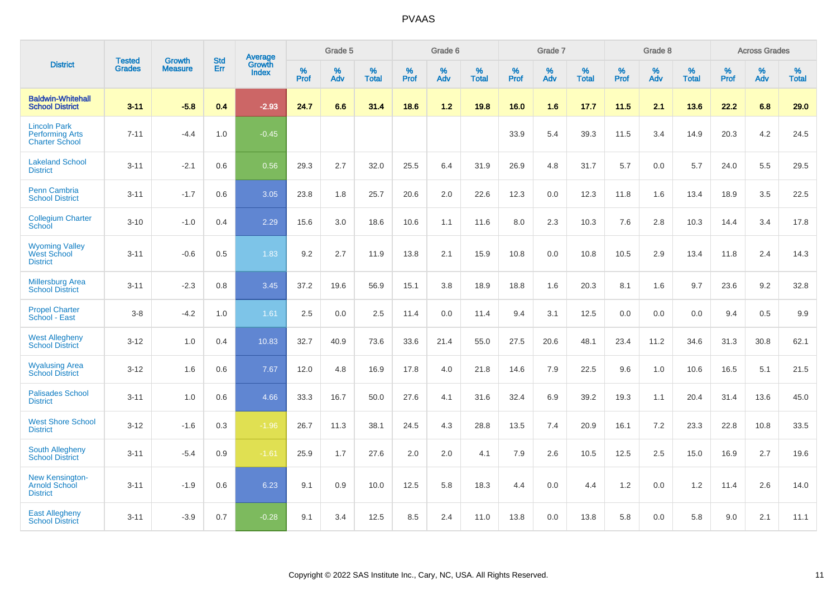|                                                                        | <b>Tested</b> | <b>Growth</b>  | <b>Std</b> | Average                       |           | Grade 5  |                   |           | Grade 6  |                   |           | Grade 7  |                   |           | Grade 8  |                   |           | <b>Across Grades</b> |                   |
|------------------------------------------------------------------------|---------------|----------------|------------|-------------------------------|-----------|----------|-------------------|-----------|----------|-------------------|-----------|----------|-------------------|-----------|----------|-------------------|-----------|----------------------|-------------------|
| <b>District</b>                                                        | <b>Grades</b> | <b>Measure</b> | Err        | <b>Growth</b><br><b>Index</b> | %<br>Prof | %<br>Adv | %<br><b>Total</b> | %<br>Prof | %<br>Adv | %<br><b>Total</b> | %<br>Prof | %<br>Adv | %<br><b>Total</b> | %<br>Prof | %<br>Adv | %<br><b>Total</b> | %<br>Prof | %<br>Adv             | %<br><b>Total</b> |
| <b>Baldwin-Whitehall</b><br><b>School District</b>                     | $3 - 11$      | $-5.8$         | 0.4        | $-2.93$                       | 24.7      | 6.6      | 31.4              | 18.6      | $1.2$    | 19.8              | 16.0      | 1.6      | 17.7              | 11.5      | 2.1      | 13.6              | 22.2      | 6.8                  | 29.0              |
| <b>Lincoln Park</b><br><b>Performing Arts</b><br><b>Charter School</b> | $7 - 11$      | $-4.4$         | 1.0        | $-0.45$                       |           |          |                   |           |          |                   | 33.9      | 5.4      | 39.3              | 11.5      | 3.4      | 14.9              | 20.3      | 4.2                  | 24.5              |
| <b>Lakeland School</b><br><b>District</b>                              | $3 - 11$      | $-2.1$         | 0.6        | 0.56                          | 29.3      | 2.7      | 32.0              | 25.5      | 6.4      | 31.9              | 26.9      | 4.8      | 31.7              | 5.7       | 0.0      | 5.7               | 24.0      | 5.5                  | 29.5              |
| <b>Penn Cambria</b><br><b>School District</b>                          | $3 - 11$      | $-1.7$         | 0.6        | 3.05                          | 23.8      | 1.8      | 25.7              | 20.6      | 2.0      | 22.6              | 12.3      | 0.0      | 12.3              | 11.8      | 1.6      | 13.4              | 18.9      | 3.5                  | 22.5              |
| <b>Collegium Charter</b><br>School                                     | $3 - 10$      | $-1.0$         | 0.4        | 2.29                          | 15.6      | 3.0      | 18.6              | 10.6      | 1.1      | 11.6              | 8.0       | 2.3      | 10.3              | 7.6       | 2.8      | 10.3              | 14.4      | 3.4                  | 17.8              |
| <b>Wyoming Valley</b><br>West School<br><b>District</b>                | $3 - 11$      | $-0.6$         | 0.5        | 1.83                          | 9.2       | 2.7      | 11.9              | 13.8      | 2.1      | 15.9              | 10.8      | 0.0      | 10.8              | 10.5      | 2.9      | 13.4              | 11.8      | 2.4                  | 14.3              |
| <b>Millersburg Area</b><br><b>School District</b>                      | $3 - 11$      | $-2.3$         | 0.8        | 3.45                          | 37.2      | 19.6     | 56.9              | 15.1      | 3.8      | 18.9              | 18.8      | 1.6      | 20.3              | 8.1       | 1.6      | 9.7               | 23.6      | 9.2                  | 32.8              |
| <b>Propel Charter</b><br>School - East                                 | $3 - 8$       | $-4.2$         | 1.0        | 1.61                          | 2.5       | 0.0      | 2.5               | 11.4      | 0.0      | 11.4              | 9.4       | 3.1      | 12.5              | 0.0       | 0.0      | 0.0               | 9.4       | 0.5                  | 9.9               |
| <b>West Allegheny</b><br><b>School District</b>                        | $3 - 12$      | 1.0            | 0.4        | 10.83                         | 32.7      | 40.9     | 73.6              | 33.6      | 21.4     | 55.0              | 27.5      | 20.6     | 48.1              | 23.4      | 11.2     | 34.6              | 31.3      | 30.8                 | 62.1              |
| <b>Wyalusing Area</b><br><b>School District</b>                        | $3 - 12$      | 1.6            | 0.6        | 7.67                          | 12.0      | 4.8      | 16.9              | 17.8      | 4.0      | 21.8              | 14.6      | 7.9      | 22.5              | 9.6       | 1.0      | 10.6              | 16.5      | 5.1                  | 21.5              |
| <b>Palisades School</b><br><b>District</b>                             | $3 - 11$      | 1.0            | 0.6        | 4.66                          | 33.3      | 16.7     | 50.0              | 27.6      | 4.1      | 31.6              | 32.4      | 6.9      | 39.2              | 19.3      | 1.1      | 20.4              | 31.4      | 13.6                 | 45.0              |
| <b>West Shore School</b><br><b>District</b>                            | $3 - 12$      | $-1.6$         | 0.3        | $-1.96$                       | 26.7      | 11.3     | 38.1              | 24.5      | 4.3      | 28.8              | 13.5      | 7.4      | 20.9              | 16.1      | 7.2      | 23.3              | 22.8      | 10.8                 | 33.5              |
| <b>South Allegheny</b><br><b>School District</b>                       | $3 - 11$      | $-5.4$         | 0.9        | $-1.61$                       | 25.9      | 1.7      | 27.6              | 2.0       | 2.0      | 4.1               | 7.9       | 2.6      | 10.5              | 12.5      | 2.5      | 15.0              | 16.9      | 2.7                  | 19.6              |
| <b>New Kensington-</b><br><b>Arnold School</b><br><b>District</b>      | $3 - 11$      | $-1.9$         | 0.6        | 6.23                          | 9.1       | 0.9      | 10.0              | 12.5      | 5.8      | 18.3              | 4.4       | 0.0      | 4.4               | 1.2       | 0.0      | 1.2               | 11.4      | 2.6                  | 14.0              |
| <b>East Allegheny</b><br><b>School District</b>                        | $3 - 11$      | $-3.9$         | 0.7        | $-0.28$                       | 9.1       | 3.4      | 12.5              | 8.5       | 2.4      | 11.0              | 13.8      | 0.0      | 13.8              | 5.8       | 0.0      | 5.8               | 9.0       | 2.1                  | 11.1              |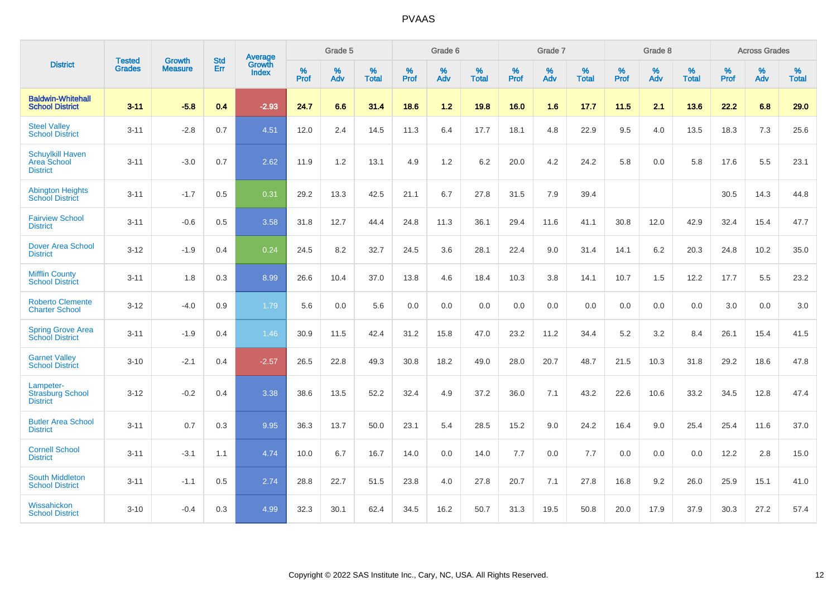|                                                           | <b>Tested</b> | <b>Growth</b>  | <b>Std</b> | Average                |                     | Grade 5  |                   |                     | Grade 6  |                   |              | Grade 7  |                   |                     | Grade 8  |                   |                     | <b>Across Grades</b> |                   |
|-----------------------------------------------------------|---------------|----------------|------------|------------------------|---------------------|----------|-------------------|---------------------|----------|-------------------|--------------|----------|-------------------|---------------------|----------|-------------------|---------------------|----------------------|-------------------|
| <b>District</b>                                           | <b>Grades</b> | <b>Measure</b> | Err        | Growth<br><b>Index</b> | $\%$<br><b>Prof</b> | %<br>Adv | %<br><b>Total</b> | $\%$<br><b>Prof</b> | %<br>Adv | %<br><b>Total</b> | $\%$<br>Prof | %<br>Adv | %<br><b>Total</b> | $\%$<br><b>Prof</b> | %<br>Adv | %<br><b>Total</b> | $\%$<br><b>Prof</b> | %<br>Adv             | %<br><b>Total</b> |
| <b>Baldwin-Whitehall</b><br><b>School District</b>        | $3 - 11$      | $-5.8$         | 0.4        | $-2.93$                | 24.7                | 6.6      | 31.4              | 18.6                | $1.2$    | 19.8              | 16.0         | 1.6      | 17.7              | 11.5                | 2.1      | 13.6              | 22.2                | 6.8                  | 29.0              |
| <b>Steel Valley</b><br><b>School District</b>             | $3 - 11$      | $-2.8$         | 0.7        | 4.51                   | 12.0                | 2.4      | 14.5              | 11.3                | 6.4      | 17.7              | 18.1         | 4.8      | 22.9              | 9.5                 | 4.0      | 13.5              | 18.3                | $7.3$                | 25.6              |
| <b>Schuylkill Haven</b><br>Area School<br><b>District</b> | $3 - 11$      | $-3.0$         | 0.7        | 2.62                   | 11.9                | 1.2      | 13.1              | 4.9                 | 1.2      | 6.2               | 20.0         | 4.2      | 24.2              | 5.8                 | 0.0      | 5.8               | 17.6                | 5.5                  | 23.1              |
| <b>Abington Heights</b><br><b>School District</b>         | $3 - 11$      | $-1.7$         | 0.5        | 0.31                   | 29.2                | 13.3     | 42.5              | 21.1                | 6.7      | 27.8              | 31.5         | 7.9      | 39.4              |                     |          |                   | 30.5                | 14.3                 | 44.8              |
| <b>Fairview School</b><br><b>District</b>                 | $3 - 11$      | $-0.6$         | 0.5        | 3.58                   | 31.8                | 12.7     | 44.4              | 24.8                | 11.3     | 36.1              | 29.4         | 11.6     | 41.1              | 30.8                | 12.0     | 42.9              | 32.4                | 15.4                 | 47.7              |
| Dover Area School<br><b>District</b>                      | $3 - 12$      | $-1.9$         | 0.4        | 0.24                   | 24.5                | 8.2      | 32.7              | 24.5                | 3.6      | 28.1              | 22.4         | 9.0      | 31.4              | 14.1                | 6.2      | 20.3              | 24.8                | 10.2                 | 35.0              |
| <b>Mifflin County</b><br><b>School District</b>           | $3 - 11$      | 1.8            | 0.3        | 8.99                   | 26.6                | 10.4     | 37.0              | 13.8                | 4.6      | 18.4              | 10.3         | 3.8      | 14.1              | 10.7                | 1.5      | 12.2              | 17.7                | 5.5                  | 23.2              |
| <b>Roberto Clemente</b><br><b>Charter School</b>          | $3 - 12$      | $-4.0$         | 0.9        | 1.79                   | 5.6                 | 0.0      | 5.6               | 0.0                 | 0.0      | 0.0               | 0.0          | 0.0      | 0.0               | 0.0                 | 0.0      | 0.0               | 3.0                 | 0.0                  | 3.0               |
| <b>Spring Grove Area</b><br><b>School District</b>        | $3 - 11$      | $-1.9$         | 0.4        | 1.46                   | 30.9                | 11.5     | 42.4              | 31.2                | 15.8     | 47.0              | 23.2         | 11.2     | 34.4              | 5.2                 | 3.2      | 8.4               | 26.1                | 15.4                 | 41.5              |
| <b>Garnet Valley</b><br><b>School District</b>            | $3 - 10$      | $-2.1$         | 0.4        | $-2.57$                | 26.5                | 22.8     | 49.3              | 30.8                | 18.2     | 49.0              | 28.0         | 20.7     | 48.7              | 21.5                | 10.3     | 31.8              | 29.2                | 18.6                 | 47.8              |
| Lampeter-<br><b>Strasburg School</b><br><b>District</b>   | $3 - 12$      | $-0.2$         | 0.4        | 3.38                   | 38.6                | 13.5     | 52.2              | 32.4                | 4.9      | 37.2              | 36.0         | 7.1      | 43.2              | 22.6                | 10.6     | 33.2              | 34.5                | 12.8                 | 47.4              |
| <b>Butler Area School</b><br><b>District</b>              | $3 - 11$      | 0.7            | 0.3        | 9.95                   | 36.3                | 13.7     | 50.0              | 23.1                | 5.4      | 28.5              | 15.2         | 9.0      | 24.2              | 16.4                | 9.0      | 25.4              | 25.4                | 11.6                 | 37.0              |
| <b>Cornell School</b><br><b>District</b>                  | $3 - 11$      | $-3.1$         | 1.1        | 4.74                   | 10.0                | 6.7      | 16.7              | 14.0                | 0.0      | 14.0              | $7.7$        | 0.0      | 7.7               | 0.0                 | 0.0      | 0.0               | 12.2                | 2.8                  | 15.0              |
| <b>South Middleton</b><br><b>School District</b>          | $3 - 11$      | $-1.1$         | 0.5        | 2.74                   | 28.8                | 22.7     | 51.5              | 23.8                | 4.0      | 27.8              | 20.7         | 7.1      | 27.8              | 16.8                | 9.2      | 26.0              | 25.9                | 15.1                 | 41.0              |
| Wissahickon<br><b>School District</b>                     | $3 - 10$      | $-0.4$         | 0.3        | 4.99                   | 32.3                | 30.1     | 62.4              | 34.5                | 16.2     | 50.7              | 31.3         | 19.5     | 50.8              | 20.0                | 17.9     | 37.9              | 30.3                | 27.2                 | 57.4              |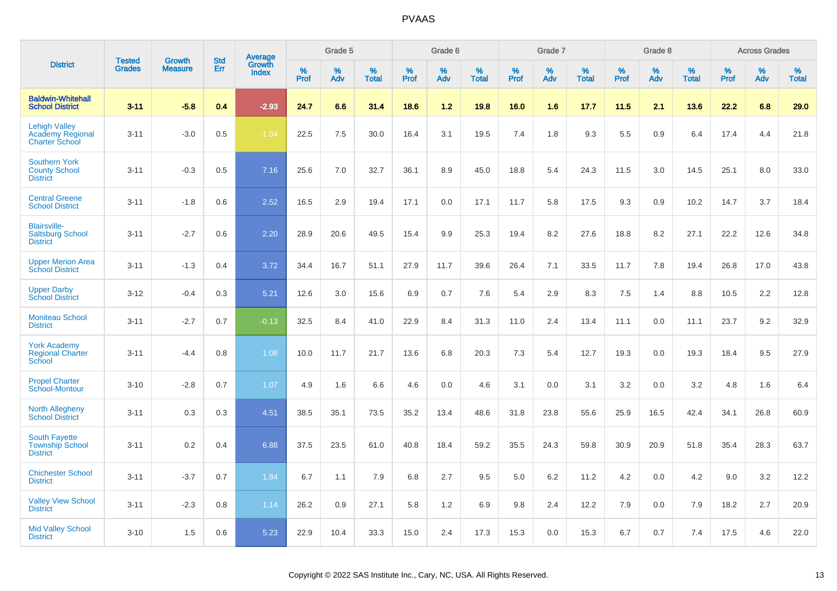|                                                                   |                                |                                 | <b>Std</b> |                                          |                     | Grade 5  |                   |           | Grade 6  |                   |           | Grade 7  |                   |           | Grade 8  |                   |              | <b>Across Grades</b> |                   |
|-------------------------------------------------------------------|--------------------------------|---------------------------------|------------|------------------------------------------|---------------------|----------|-------------------|-----------|----------|-------------------|-----------|----------|-------------------|-----------|----------|-------------------|--------------|----------------------|-------------------|
| <b>District</b>                                                   | <b>Tested</b><br><b>Grades</b> | <b>Growth</b><br><b>Measure</b> | Err        | <b>Average</b><br>Growth<br><b>Index</b> | $\%$<br><b>Prof</b> | %<br>Adv | %<br><b>Total</b> | %<br>Prof | %<br>Adv | %<br><b>Total</b> | %<br>Prof | %<br>Adv | %<br><b>Total</b> | %<br>Prof | %<br>Adv | %<br><b>Total</b> | $\%$<br>Prof | %<br>Adv             | %<br><b>Total</b> |
| <b>Baldwin-Whitehall</b><br><b>School District</b>                | $3 - 11$                       | $-5.8$                          | 0.4        | $-2.93$                                  | 24.7                | 6.6      | 31.4              | 18.6      | $1.2$    | 19.8              | 16.0      | 1.6      | 17.7              | 11.5      | 2.1      | 13.6              | 22.2         | 6.8                  | 29.0              |
| <b>Lehigh Valley</b><br>Academy Regional<br><b>Charter School</b> | $3 - 11$                       | $-3.0$                          | 0.5        | $-1.04$                                  | 22.5                | 7.5      | 30.0              | 16.4      | 3.1      | 19.5              | 7.4       | 1.8      | 9.3               | 5.5       | 0.9      | 6.4               | 17.4         | 4.4                  | 21.8              |
| <b>Southern York</b><br><b>County School</b><br><b>District</b>   | $3 - 11$                       | $-0.3$                          | 0.5        | 7.16                                     | 25.6                | 7.0      | 32.7              | 36.1      | 8.9      | 45.0              | 18.8      | 5.4      | 24.3              | 11.5      | 3.0      | 14.5              | 25.1         | 8.0                  | 33.0              |
| <b>Central Greene</b><br><b>School District</b>                   | $3 - 11$                       | $-1.8$                          | 0.6        | 2.52                                     | 16.5                | 2.9      | 19.4              | 17.1      | 0.0      | 17.1              | 11.7      | 5.8      | 17.5              | 9.3       | 0.9      | 10.2              | 14.7         | 3.7                  | 18.4              |
| <b>Blairsville-</b><br><b>Saltsburg School</b><br><b>District</b> | $3 - 11$                       | $-2.7$                          | 0.6        | 2.20                                     | 28.9                | 20.6     | 49.5              | 15.4      | 9.9      | 25.3              | 19.4      | 8.2      | 27.6              | 18.8      | 8.2      | 27.1              | 22.2         | 12.6                 | 34.8              |
| <b>Upper Merion Area</b><br><b>School District</b>                | $3 - 11$                       | $-1.3$                          | 0.4        | 3.72                                     | 34.4                | 16.7     | 51.1              | 27.9      | 11.7     | 39.6              | 26.4      | 7.1      | 33.5              | 11.7      | 7.8      | 19.4              | 26.8         | 17.0                 | 43.8              |
| <b>Upper Darby</b><br><b>School District</b>                      | $3 - 12$                       | $-0.4$                          | 0.3        | 5.21                                     | 12.6                | 3.0      | 15.6              | 6.9       | 0.7      | 7.6               | 5.4       | 2.9      | 8.3               | 7.5       | 1.4      | 8.8               | 10.5         | 2.2                  | 12.8              |
| <b>Moniteau School</b><br><b>District</b>                         | $3 - 11$                       | $-2.7$                          | 0.7        | $-0.13$                                  | 32.5                | 8.4      | 41.0              | 22.9      | 8.4      | 31.3              | 11.0      | 2.4      | 13.4              | 11.1      | 0.0      | 11.1              | 23.7         | 9.2                  | 32.9              |
| <b>York Academy</b><br><b>Regional Charter</b><br>School          | $3 - 11$                       | $-4.4$                          | 0.8        | 1.08                                     | 10.0                | 11.7     | 21.7              | 13.6      | 6.8      | 20.3              | 7.3       | 5.4      | 12.7              | 19.3      | 0.0      | 19.3              | 18.4         | 9.5                  | 27.9              |
| <b>Propel Charter</b><br>School-Montour                           | $3 - 10$                       | $-2.8$                          | 0.7        | 1.07                                     | 4.9                 | 1.6      | 6.6               | 4.6       | 0.0      | 4.6               | 3.1       | 0.0      | 3.1               | 3.2       | 0.0      | 3.2               | 4.8          | 1.6                  | 6.4               |
| <b>North Allegheny</b><br><b>School District</b>                  | $3 - 11$                       | 0.3                             | 0.3        | 4.51                                     | 38.5                | 35.1     | 73.5              | 35.2      | 13.4     | 48.6              | 31.8      | 23.8     | 55.6              | 25.9      | 16.5     | 42.4              | 34.1         | 26.8                 | 60.9              |
| South Fayette<br><b>Township School</b><br><b>District</b>        | $3 - 11$                       | 0.2                             | 0.4        | 6.88                                     | 37.5                | 23.5     | 61.0              | 40.8      | 18.4     | 59.2              | 35.5      | 24.3     | 59.8              | 30.9      | 20.9     | 51.8              | 35.4         | 28.3                 | 63.7              |
| <b>Chichester School</b><br><b>District</b>                       | $3 - 11$                       | $-3.7$                          | 0.7        | 1.84                                     | 6.7                 | 1.1      | 7.9               | 6.8       | 2.7      | 9.5               | 5.0       | 6.2      | 11.2              | 4.2       | 0.0      | 4.2               | 9.0          | 3.2                  | 12.2              |
| <b>Valley View School</b><br><b>District</b>                      | $3 - 11$                       | $-2.3$                          | 0.8        | 1.14                                     | 26.2                | 0.9      | 27.1              | 5.8       | 1.2      | 6.9               | 9.8       | 2.4      | 12.2              | 7.9       | 0.0      | 7.9               | 18.2         | 2.7                  | 20.9              |
| <b>Mid Valley School</b><br><b>District</b>                       | $3 - 10$                       | 1.5                             | 0.6        | 5.23                                     | 22.9                | 10.4     | 33.3              | 15.0      | 2.4      | 17.3              | 15.3      | 0.0      | 15.3              | 6.7       | 0.7      | 7.4               | 17.5         | 4.6                  | 22.0              |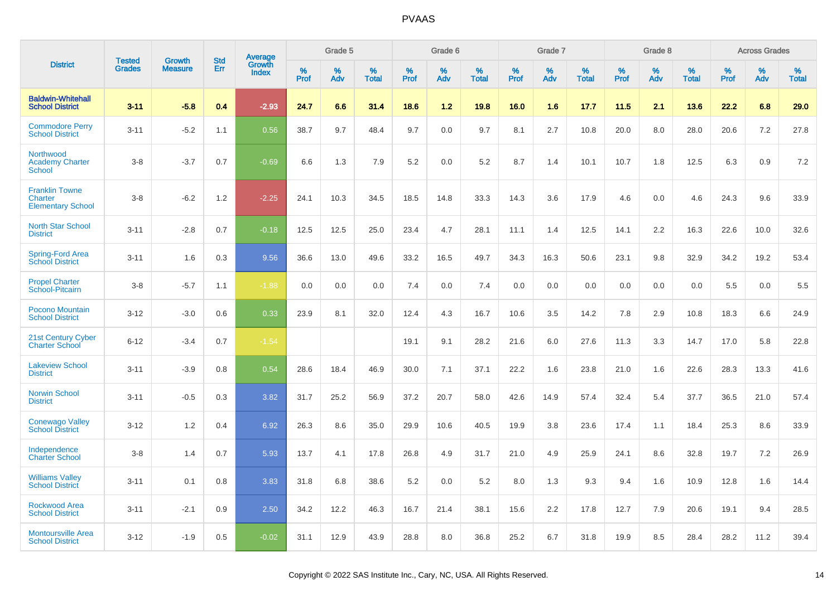|                                                              |                                |                                 | <b>Std</b> |                                          |                     | Grade 5  |                      |              | Grade 6  |                      |              | Grade 7  |                      |              | Grade 8  |                      |              | <b>Across Grades</b> |                      |
|--------------------------------------------------------------|--------------------------------|---------------------------------|------------|------------------------------------------|---------------------|----------|----------------------|--------------|----------|----------------------|--------------|----------|----------------------|--------------|----------|----------------------|--------------|----------------------|----------------------|
| <b>District</b>                                              | <b>Tested</b><br><b>Grades</b> | <b>Growth</b><br><b>Measure</b> | Err        | <b>Average</b><br>Growth<br><b>Index</b> | $\%$<br><b>Prof</b> | %<br>Adv | $\%$<br><b>Total</b> | $\%$<br>Prof | %<br>Adv | $\%$<br><b>Total</b> | $\%$<br>Prof | %<br>Adv | $\%$<br><b>Total</b> | $\%$<br>Prof | %<br>Adv | $\%$<br><b>Total</b> | $\%$<br>Prof | $\%$<br>Adv          | $\%$<br><b>Total</b> |
| <b>Baldwin-Whitehall</b><br><b>School District</b>           | $3 - 11$                       | $-5.8$                          | 0.4        | $-2.93$                                  | 24.7                | 6.6      | 31.4                 | 18.6         | $1.2$    | 19.8                 | 16.0         | 1.6      | 17.7                 | $11.5$       | 2.1      | 13.6                 | 22.2         | 6.8                  | 29.0                 |
| <b>Commodore Perry</b><br><b>School District</b>             | $3 - 11$                       | $-5.2$                          | 1.1        | 0.56                                     | 38.7                | 9.7      | 48.4                 | 9.7          | 0.0      | 9.7                  | 8.1          | 2.7      | 10.8                 | 20.0         | 8.0      | 28.0                 | 20.6         | 7.2                  | 27.8                 |
| Northwood<br><b>Academy Charter</b><br>School                | $3 - 8$                        | $-3.7$                          | 0.7        | $-0.69$                                  | 6.6                 | 1.3      | 7.9                  | 5.2          | 0.0      | 5.2                  | 8.7          | 1.4      | 10.1                 | 10.7         | 1.8      | 12.5                 | 6.3          | 0.9                  | 7.2                  |
| <b>Franklin Towne</b><br>Charter<br><b>Elementary School</b> | $3 - 8$                        | $-6.2$                          | 1.2        | $-2.25$                                  | 24.1                | 10.3     | 34.5                 | 18.5         | 14.8     | 33.3                 | 14.3         | 3.6      | 17.9                 | 4.6          | 0.0      | 4.6                  | 24.3         | 9.6                  | 33.9                 |
| <b>North Star School</b><br><b>District</b>                  | $3 - 11$                       | $-2.8$                          | 0.7        | $-0.18$                                  | 12.5                | 12.5     | 25.0                 | 23.4         | 4.7      | 28.1                 | 11.1         | 1.4      | 12.5                 | 14.1         | 2.2      | 16.3                 | 22.6         | 10.0                 | 32.6                 |
| Spring-Ford Area<br><b>School District</b>                   | $3 - 11$                       | 1.6                             | 0.3        | 9.56                                     | 36.6                | 13.0     | 49.6                 | 33.2         | 16.5     | 49.7                 | 34.3         | 16.3     | 50.6                 | 23.1         | 9.8      | 32.9                 | 34.2         | 19.2                 | 53.4                 |
| <b>Propel Charter</b><br>School-Pitcairn                     | $3 - 8$                        | $-5.7$                          | 1.1        | $-1.88$                                  | 0.0                 | 0.0      | 0.0                  | 7.4          | 0.0      | 7.4                  | 0.0          | 0.0      | 0.0                  | 0.0          | 0.0      | 0.0                  | 5.5          | 0.0                  | 5.5                  |
| Pocono Mountain<br><b>School District</b>                    | $3 - 12$                       | $-3.0$                          | 0.6        | 0.33                                     | 23.9                | 8.1      | 32.0                 | 12.4         | 4.3      | 16.7                 | 10.6         | 3.5      | 14.2                 | 7.8          | 2.9      | 10.8                 | 18.3         | 6.6                  | 24.9                 |
| 21st Century Cyber<br><b>Charter School</b>                  | $6 - 12$                       | $-3.4$                          | 0.7        | $-1.54$                                  |                     |          |                      | 19.1         | 9.1      | 28.2                 | 21.6         | 6.0      | 27.6                 | 11.3         | 3.3      | 14.7                 | 17.0         | 5.8                  | 22.8                 |
| <b>Lakeview School</b><br><b>District</b>                    | $3 - 11$                       | $-3.9$                          | 0.8        | 0.54                                     | 28.6                | 18.4     | 46.9                 | 30.0         | 7.1      | 37.1                 | 22.2         | 1.6      | 23.8                 | 21.0         | 1.6      | 22.6                 | 28.3         | 13.3                 | 41.6                 |
| <b>Norwin School</b><br><b>District</b>                      | $3 - 11$                       | $-0.5$                          | 0.3        | 3.82                                     | 31.7                | 25.2     | 56.9                 | 37.2         | 20.7     | 58.0                 | 42.6         | 14.9     | 57.4                 | 32.4         | 5.4      | 37.7                 | 36.5         | 21.0                 | 57.4                 |
| <b>Conewago Valley</b><br><b>School District</b>             | $3 - 12$                       | 1.2                             | 0.4        | 6.92                                     | 26.3                | 8.6      | 35.0                 | 29.9         | 10.6     | 40.5                 | 19.9         | 3.8      | 23.6                 | 17.4         | 1.1      | 18.4                 | 25.3         | 8.6                  | 33.9                 |
| Independence<br><b>Charter School</b>                        | $3 - 8$                        | 1.4                             | 0.7        | 5.93                                     | 13.7                | 4.1      | 17.8                 | 26.8         | 4.9      | 31.7                 | 21.0         | 4.9      | 25.9                 | 24.1         | 8.6      | 32.8                 | 19.7         | 7.2                  | 26.9                 |
| <b>Williams Valley</b><br><b>School District</b>             | $3 - 11$                       | 0.1                             | 0.8        | 3.83                                     | 31.8                | 6.8      | 38.6                 | 5.2          | 0.0      | 5.2                  | 8.0          | 1.3      | 9.3                  | 9.4          | 1.6      | 10.9                 | 12.8         | 1.6                  | 14.4                 |
| Rockwood Area<br><b>School District</b>                      | $3 - 11$                       | $-2.1$                          | 0.9        | 2.50                                     | 34.2                | 12.2     | 46.3                 | 16.7         | 21.4     | 38.1                 | 15.6         | 2.2      | 17.8                 | 12.7         | 7.9      | 20.6                 | 19.1         | 9.4                  | 28.5                 |
| <b>Montoursville Area</b><br><b>School District</b>          | $3 - 12$                       | $-1.9$                          | 0.5        | $-0.02$                                  | 31.1                | 12.9     | 43.9                 | 28.8         | 8.0      | 36.8                 | 25.2         | 6.7      | 31.8                 | 19.9         | 8.5      | 28.4                 | 28.2         | 11.2                 | 39.4                 |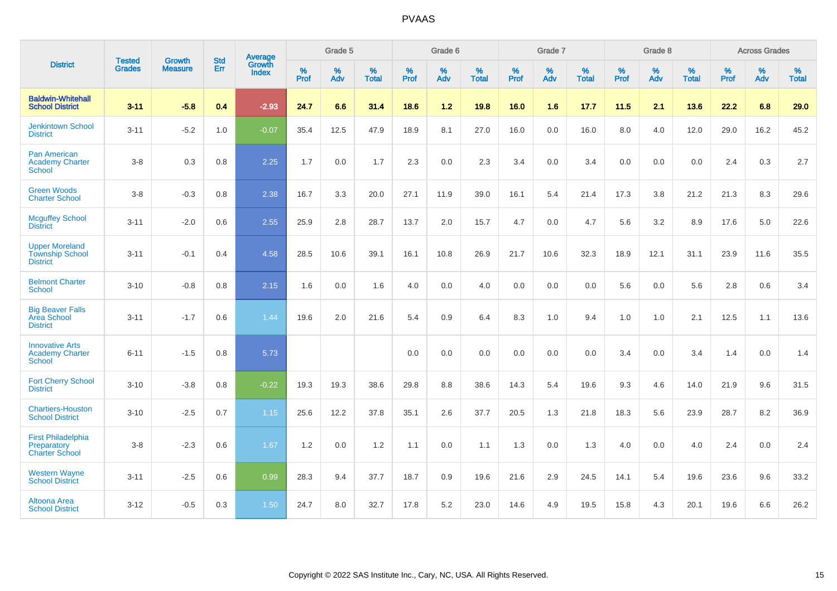|                                                                    | <b>Tested</b> | <b>Growth</b>  | <b>Std</b> | Average                |                     | Grade 5  |                   |              | Grade 6  |                   |                     | Grade 7  |                   |                     | Grade 8  |                   |              | <b>Across Grades</b> |                   |
|--------------------------------------------------------------------|---------------|----------------|------------|------------------------|---------------------|----------|-------------------|--------------|----------|-------------------|---------------------|----------|-------------------|---------------------|----------|-------------------|--------------|----------------------|-------------------|
| <b>District</b>                                                    | <b>Grades</b> | <b>Measure</b> | Err        | Growth<br><b>Index</b> | $\%$<br><b>Prof</b> | %<br>Adv | %<br><b>Total</b> | $\%$<br>Prof | %<br>Adv | %<br><b>Total</b> | $\%$<br><b>Prof</b> | %<br>Adv | %<br><b>Total</b> | $\%$<br><b>Prof</b> | %<br>Adv | %<br><b>Total</b> | $\%$<br>Prof | %<br>Adv             | %<br><b>Total</b> |
| <b>Baldwin-Whitehall</b><br><b>School District</b>                 | $3 - 11$      | $-5.8$         | 0.4        | $-2.93$                | 24.7                | 6.6      | 31.4              | 18.6         | $1.2$    | 19.8              | 16.0                | 1.6      | 17.7              | 11.5                | 2.1      | 13.6              | 22.2         | 6.8                  | 29.0              |
| <b>Jenkintown School</b><br><b>District</b>                        | $3 - 11$      | $-5.2$         | 1.0        | $-0.07$                | 35.4                | 12.5     | 47.9              | 18.9         | 8.1      | 27.0              | 16.0                | 0.0      | 16.0              | 8.0                 | 4.0      | 12.0              | 29.0         | 16.2                 | 45.2              |
| <b>Pan American</b><br><b>Academy Charter</b><br><b>School</b>     | $3 - 8$       | 0.3            | 0.8        | 2.25                   | 1.7                 | 0.0      | 1.7               | 2.3          | 0.0      | 2.3               | 3.4                 | 0.0      | 3.4               | 0.0                 | 0.0      | 0.0               | 2.4          | 0.3                  | 2.7               |
| <b>Green Woods</b><br><b>Charter School</b>                        | $3-8$         | $-0.3$         | $0.8\,$    | 2.38                   | 16.7                | 3.3      | 20.0              | 27.1         | 11.9     | 39.0              | 16.1                | 5.4      | 21.4              | 17.3                | 3.8      | 21.2              | 21.3         | 8.3                  | 29.6              |
| <b>Mcguffey School</b><br><b>District</b>                          | $3 - 11$      | $-2.0$         | 0.6        | 2.55                   | 25.9                | 2.8      | 28.7              | 13.7         | 2.0      | 15.7              | 4.7                 | 0.0      | 4.7               | 5.6                 | 3.2      | 8.9               | 17.6         | 5.0                  | 22.6              |
| <b>Upper Moreland</b><br><b>Township School</b><br><b>District</b> | $3 - 11$      | $-0.1$         | 0.4        | 4.58                   | 28.5                | 10.6     | 39.1              | 16.1         | 10.8     | 26.9              | 21.7                | 10.6     | 32.3              | 18.9                | 12.1     | 31.1              | 23.9         | 11.6                 | 35.5              |
| <b>Belmont Charter</b><br>School                                   | $3 - 10$      | $-0.8$         | 0.8        | 2.15                   | 1.6                 | 0.0      | 1.6               | 4.0          | 0.0      | 4.0               | 0.0                 | 0.0      | 0.0               | 5.6                 | 0.0      | 5.6               | 2.8          | $0.6\,$              | 3.4               |
| <b>Big Beaver Falls</b><br>Area School<br><b>District</b>          | $3 - 11$      | $-1.7$         | 0.6        | 1.44                   | 19.6                | 2.0      | 21.6              | 5.4          | 0.9      | 6.4               | 8.3                 | 1.0      | 9.4               | 1.0                 | 1.0      | 2.1               | 12.5         | 1.1                  | 13.6              |
| <b>Innovative Arts</b><br><b>Academy Charter</b><br><b>School</b>  | $6 - 11$      | $-1.5$         | 0.8        | 5.73                   |                     |          |                   | 0.0          | 0.0      | 0.0               | 0.0                 | 0.0      | 0.0               | 3.4                 | 0.0      | 3.4               | 1.4          | 0.0                  | 1.4               |
| <b>Fort Cherry School</b><br><b>District</b>                       | $3 - 10$      | $-3.8$         | 0.8        | $-0.22$                | 19.3                | 19.3     | 38.6              | 29.8         | 8.8      | 38.6              | 14.3                | 5.4      | 19.6              | 9.3                 | 4.6      | 14.0              | 21.9         | 9.6                  | 31.5              |
| <b>Chartiers-Houston</b><br><b>School District</b>                 | $3 - 10$      | $-2.5$         | 0.7        | 1.15                   | 25.6                | 12.2     | 37.8              | 35.1         | 2.6      | 37.7              | 20.5                | 1.3      | 21.8              | 18.3                | 5.6      | 23.9              | 28.7         | 8.2                  | 36.9              |
| <b>First Philadelphia</b><br>Preparatory<br><b>Charter School</b>  | $3 - 8$       | $-2.3$         | 0.6        | 1.67                   | 1.2                 | 0.0      | 1.2               | 1.1          | 0.0      | 1.1               | 1.3                 | 0.0      | 1.3               | 4.0                 | 0.0      | 4.0               | 2.4          | 0.0                  | 2.4               |
| <b>Western Wayne</b><br><b>School District</b>                     | $3 - 11$      | $-2.5$         | 0.6        | 0.99                   | 28.3                | 9.4      | 37.7              | 18.7         | 0.9      | 19.6              | 21.6                | 2.9      | 24.5              | 14.1                | 5.4      | 19.6              | 23.6         | 9.6                  | 33.2              |
| Altoona Area<br><b>School District</b>                             | $3 - 12$      | $-0.5$         | 0.3        | 1.50                   | 24.7                | 8.0      | 32.7              | 17.8         | 5.2      | 23.0              | 14.6                | 4.9      | 19.5              | 15.8                | 4.3      | 20.1              | 19.6         | 6.6                  | 26.2              |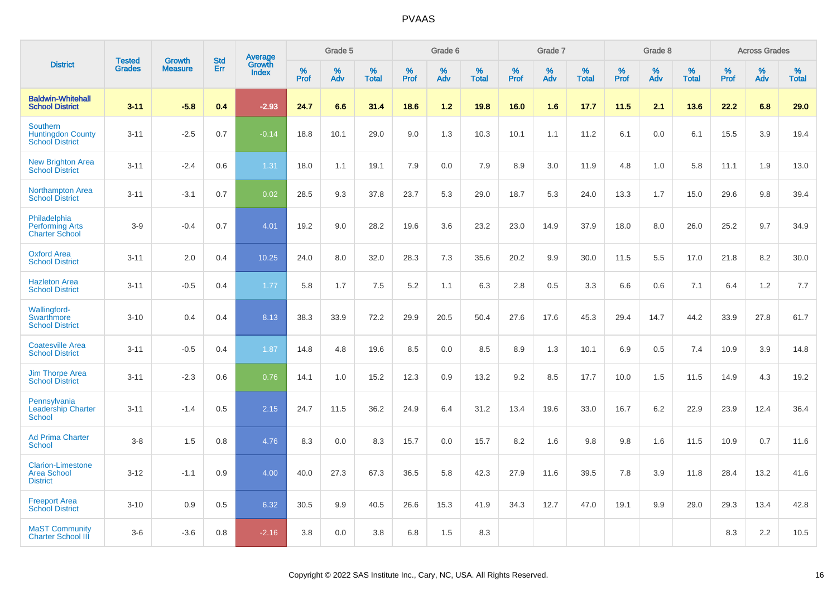|                                                                       | <b>Tested</b> | <b>Growth</b>  | <b>Std</b> | Average                |                     | Grade 5  |                   |           | Grade 6  |                   |           | Grade 7  |                   |           | Grade 8  |                   |              | <b>Across Grades</b> |                   |
|-----------------------------------------------------------------------|---------------|----------------|------------|------------------------|---------------------|----------|-------------------|-----------|----------|-------------------|-----------|----------|-------------------|-----------|----------|-------------------|--------------|----------------------|-------------------|
| <b>District</b>                                                       | <b>Grades</b> | <b>Measure</b> | Err        | Growth<br><b>Index</b> | $\%$<br><b>Prof</b> | %<br>Adv | %<br><b>Total</b> | %<br>Prof | %<br>Adv | %<br><b>Total</b> | %<br>Prof | %<br>Adv | %<br><b>Total</b> | %<br>Prof | %<br>Adv | %<br><b>Total</b> | $\%$<br>Prof | %<br>Adv             | %<br><b>Total</b> |
| <b>Baldwin-Whitehall</b><br><b>School District</b>                    | $3 - 11$      | $-5.8$         | 0.4        | $-2.93$                | 24.7                | 6.6      | 31.4              | 18.6      | 1.2      | 19.8              | 16.0      | 1.6      | 17.7              | 11.5      | 2.1      | 13.6              | 22.2         | 6.8                  | 29.0              |
| <b>Southern</b><br><b>Huntingdon County</b><br><b>School District</b> | $3 - 11$      | $-2.5$         | 0.7        | $-0.14$                | 18.8                | 10.1     | 29.0              | 9.0       | 1.3      | 10.3              | 10.1      | 1.1      | 11.2              | 6.1       | 0.0      | 6.1               | 15.5         | 3.9                  | 19.4              |
| <b>New Brighton Area</b><br><b>School District</b>                    | $3 - 11$      | $-2.4$         | 0.6        | 1.31                   | 18.0                | 1.1      | 19.1              | 7.9       | 0.0      | 7.9               | 8.9       | 3.0      | 11.9              | 4.8       | 1.0      | 5.8               | 11.1         | 1.9                  | 13.0              |
| <b>Northampton Area</b><br><b>School District</b>                     | $3 - 11$      | $-3.1$         | 0.7        | 0.02                   | 28.5                | 9.3      | 37.8              | 23.7      | 5.3      | 29.0              | 18.7      | 5.3      | 24.0              | 13.3      | 1.7      | 15.0              | 29.6         | 9.8                  | 39.4              |
| Philadelphia<br><b>Performing Arts</b><br><b>Charter School</b>       | $3-9$         | $-0.4$         | 0.7        | 4.01                   | 19.2                | 9.0      | 28.2              | 19.6      | 3.6      | 23.2              | 23.0      | 14.9     | 37.9              | 18.0      | 8.0      | 26.0              | 25.2         | 9.7                  | 34.9              |
| <b>Oxford Area</b><br><b>School District</b>                          | $3 - 11$      | 2.0            | 0.4        | 10.25                  | 24.0                | 8.0      | 32.0              | 28.3      | 7.3      | 35.6              | 20.2      | 9.9      | 30.0              | 11.5      | 5.5      | 17.0              | 21.8         | 8.2                  | 30.0              |
| <b>Hazleton Area</b><br><b>School District</b>                        | $3 - 11$      | $-0.5$         | 0.4        | 1.77                   | 5.8                 | 1.7      | 7.5               | 5.2       | 1.1      | 6.3               | 2.8       | 0.5      | 3.3               | 6.6       | 0.6      | 7.1               | 6.4          | 1.2                  | 7.7               |
| <b>Wallingford-</b><br>Swarthmore<br><b>School District</b>           | $3 - 10$      | 0.4            | 0.4        | 8.13                   | 38.3                | 33.9     | 72.2              | 29.9      | 20.5     | 50.4              | 27.6      | 17.6     | 45.3              | 29.4      | 14.7     | 44.2              | 33.9         | 27.8                 | 61.7              |
| <b>Coatesville Area</b><br><b>School District</b>                     | $3 - 11$      | $-0.5$         | 0.4        | 1.87                   | 14.8                | 4.8      | 19.6              | 8.5       | 0.0      | 8.5               | 8.9       | 1.3      | 10.1              | 6.9       | 0.5      | 7.4               | 10.9         | 3.9                  | 14.8              |
| <b>Jim Thorpe Area</b><br><b>School District</b>                      | $3 - 11$      | $-2.3$         | 0.6        | 0.76                   | 14.1                | 1.0      | 15.2              | 12.3      | 0.9      | 13.2              | 9.2       | 8.5      | 17.7              | 10.0      | 1.5      | 11.5              | 14.9         | 4.3                  | 19.2              |
| Pennsylvania<br><b>Leadership Charter</b><br><b>School</b>            | $3 - 11$      | $-1.4$         | 0.5        | 2.15                   | 24.7                | 11.5     | 36.2              | 24.9      | 6.4      | 31.2              | 13.4      | 19.6     | 33.0              | 16.7      | 6.2      | 22.9              | 23.9         | 12.4                 | 36.4              |
| <b>Ad Prima Charter</b><br><b>School</b>                              | $3-8$         | 1.5            | 0.8        | 4.76                   | 8.3                 | 0.0      | 8.3               | 15.7      | 0.0      | 15.7              | 8.2       | 1.6      | 9.8               | 9.8       | 1.6      | 11.5              | 10.9         | 0.7                  | 11.6              |
| <b>Clarion-Limestone</b><br><b>Area School</b><br><b>District</b>     | $3 - 12$      | $-1.1$         | 0.9        | 4.00                   | 40.0                | 27.3     | 67.3              | 36.5      | 5.8      | 42.3              | 27.9      | 11.6     | 39.5              | 7.8       | 3.9      | 11.8              | 28.4         | 13.2                 | 41.6              |
| <b>Freeport Area</b><br><b>School District</b>                        | $3 - 10$      | 0.9            | 0.5        | 6.32                   | 30.5                | 9.9      | 40.5              | 26.6      | 15.3     | 41.9              | 34.3      | 12.7     | 47.0              | 19.1      | 9.9      | 29.0              | 29.3         | 13.4                 | 42.8              |
| <b>MaST Community</b><br><b>Charter School III</b>                    | $3-6$         | $-3.6$         | 0.8        | $-2.16$                | 3.8                 | 0.0      | 3.8               | 6.8       | 1.5      | 8.3               |           |          |                   |           |          |                   | 8.3          | 2.2                  | 10.5              |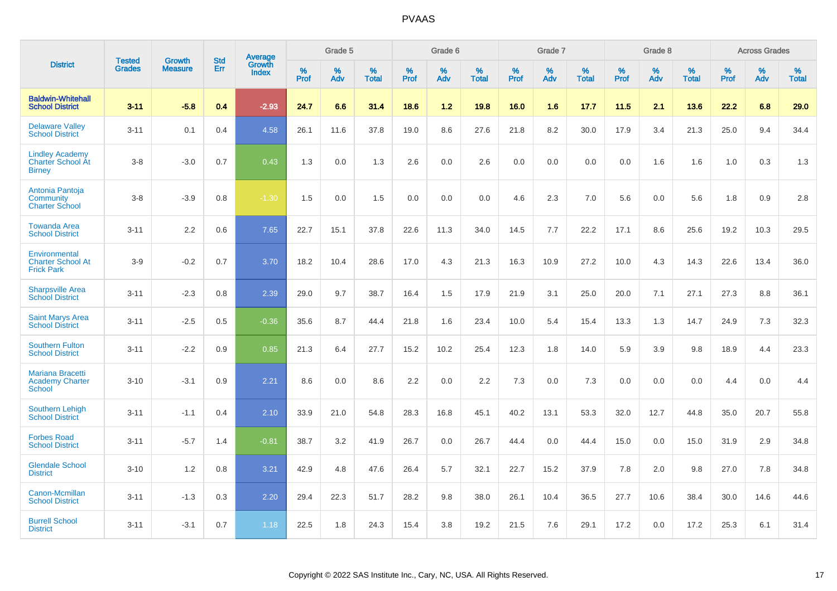|                                                                     |                                | <b>Growth</b>  | <b>Std</b> | Average                |           | Grade 5  |                   |           | Grade 6  |                   |           | Grade 7  |                   |           | Grade 8  |                   |           | <b>Across Grades</b> |                   |
|---------------------------------------------------------------------|--------------------------------|----------------|------------|------------------------|-----------|----------|-------------------|-----------|----------|-------------------|-----------|----------|-------------------|-----------|----------|-------------------|-----------|----------------------|-------------------|
| <b>District</b>                                                     | <b>Tested</b><br><b>Grades</b> | <b>Measure</b> | <b>Err</b> | Growth<br><b>Index</b> | %<br>Prof | %<br>Adv | %<br><b>Total</b> | %<br>Prof | %<br>Adv | %<br><b>Total</b> | %<br>Prof | %<br>Adv | %<br><b>Total</b> | %<br>Prof | %<br>Adv | %<br><b>Total</b> | %<br>Prof | %<br>Adv             | %<br><b>Total</b> |
| <b>Baldwin-Whitehall</b><br><b>School District</b>                  | $3 - 11$                       | $-5.8$         | 0.4        | $-2.93$                | 24.7      | 6.6      | 31.4              | 18.6      | 1.2      | 19.8              | 16.0      | 1.6      | 17.7              | 11.5      | 2.1      | 13.6              | 22.2      | 6.8                  | 29.0              |
| <b>Delaware Valley</b><br><b>School District</b>                    | $3 - 11$                       | 0.1            | 0.4        | 4.58                   | 26.1      | 11.6     | 37.8              | 19.0      | 8.6      | 27.6              | 21.8      | 8.2      | 30.0              | 17.9      | 3.4      | 21.3              | 25.0      | 9.4                  | 34.4              |
| <b>Lindley Academy</b><br><b>Charter School At</b><br><b>Birney</b> | $3 - 8$                        | $-3.0$         | 0.7        | 0.43                   | 1.3       | 0.0      | 1.3               | 2.6       | 0.0      | 2.6               | 0.0       | 0.0      | 0.0               | 0.0       | 1.6      | 1.6               | 1.0       | 0.3                  | 1.3               |
| Antonia Pantoja<br>Community<br><b>Charter School</b>               | $3 - 8$                        | $-3.9$         | 0.8        | $-1.30$                | 1.5       | 0.0      | 1.5               | 0.0       | 0.0      | 0.0               | 4.6       | 2.3      | 7.0               | 5.6       | 0.0      | 5.6               | 1.8       | 0.9                  | 2.8               |
| <b>Towanda Area</b><br><b>School District</b>                       | $3 - 11$                       | 2.2            | 0.6        | 7.65                   | 22.7      | 15.1     | 37.8              | 22.6      | 11.3     | 34.0              | 14.5      | 7.7      | 22.2              | 17.1      | 8.6      | 25.6              | 19.2      | 10.3                 | 29.5              |
| Environmental<br><b>Charter School At</b><br><b>Frick Park</b>      | $3-9$                          | $-0.2$         | 0.7        | 3.70                   | 18.2      | 10.4     | 28.6              | 17.0      | 4.3      | 21.3              | 16.3      | 10.9     | 27.2              | 10.0      | 4.3      | 14.3              | 22.6      | 13.4                 | 36.0              |
| <b>Sharpsville Area</b><br><b>School District</b>                   | $3 - 11$                       | $-2.3$         | 0.8        | 2.39                   | 29.0      | 9.7      | 38.7              | 16.4      | 1.5      | 17.9              | 21.9      | 3.1      | 25.0              | 20.0      | 7.1      | 27.1              | 27.3      | 8.8                  | 36.1              |
| <b>Saint Marys Area</b><br><b>School District</b>                   | $3 - 11$                       | $-2.5$         | 0.5        | $-0.36$                | 35.6      | 8.7      | 44.4              | 21.8      | 1.6      | 23.4              | 10.0      | 5.4      | 15.4              | 13.3      | 1.3      | 14.7              | 24.9      | 7.3                  | 32.3              |
| <b>Southern Fulton</b><br><b>School District</b>                    | $3 - 11$                       | $-2.2$         | 0.9        | 0.85                   | 21.3      | 6.4      | 27.7              | 15.2      | 10.2     | 25.4              | 12.3      | 1.8      | 14.0              | 5.9       | 3.9      | 9.8               | 18.9      | 4.4                  | 23.3              |
| <b>Mariana Bracetti</b><br><b>Academy Charter</b><br><b>School</b>  | $3 - 10$                       | $-3.1$         | 0.9        | 2.21                   | 8.6       | 0.0      | 8.6               | 2.2       | 0.0      | 2.2               | 7.3       | 0.0      | 7.3               | 0.0       | 0.0      | 0.0               | 4.4       | 0.0                  | 4.4               |
| <b>Southern Lehigh</b><br><b>School District</b>                    | $3 - 11$                       | $-1.1$         | 0.4        | 2.10                   | 33.9      | 21.0     | 54.8              | 28.3      | 16.8     | 45.1              | 40.2      | 13.1     | 53.3              | 32.0      | 12.7     | 44.8              | 35.0      | 20.7                 | 55.8              |
| <b>Forbes Road</b><br><b>School District</b>                        | $3 - 11$                       | $-5.7$         | 1.4        | $-0.81$                | 38.7      | 3.2      | 41.9              | 26.7      | 0.0      | 26.7              | 44.4      | 0.0      | 44.4              | 15.0      | 0.0      | 15.0              | 31.9      | 2.9                  | 34.8              |
| <b>Glendale School</b><br><b>District</b>                           | $3 - 10$                       | 1.2            | 0.8        | 3.21                   | 42.9      | 4.8      | 47.6              | 26.4      | 5.7      | 32.1              | 22.7      | 15.2     | 37.9              | 7.8       | 2.0      | 9.8               | 27.0      | 7.8                  | 34.8              |
| Canon-Mcmillan<br><b>School District</b>                            | $3 - 11$                       | $-1.3$         | 0.3        | 2.20                   | 29.4      | 22.3     | 51.7              | 28.2      | 9.8      | 38.0              | 26.1      | 10.4     | 36.5              | 27.7      | 10.6     | 38.4              | 30.0      | 14.6                 | 44.6              |
| <b>Burrell School</b><br><b>District</b>                            | $3 - 11$                       | $-3.1$         | 0.7        | 1.18                   | 22.5      | 1.8      | 24.3              | 15.4      | 3.8      | 19.2              | 21.5      | 7.6      | 29.1              | 17.2      | 0.0      | 17.2              | 25.3      | 6.1                  | 31.4              |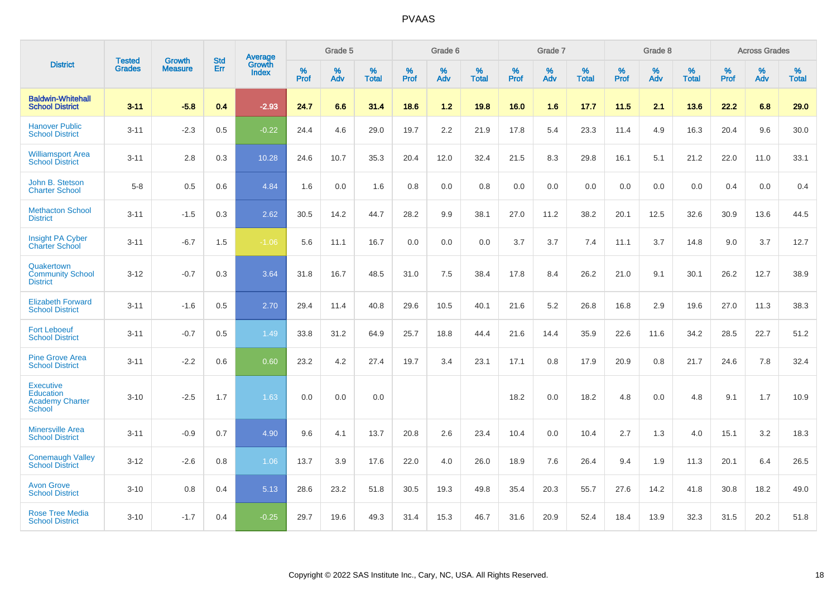|                                                                          |                                |                                 | <b>Std</b> | Average                       |           | Grade 5  |                   |           | Grade 6  |                   |           | Grade 7  |                   |           | Grade 8  |                   |           | <b>Across Grades</b> |                   |
|--------------------------------------------------------------------------|--------------------------------|---------------------------------|------------|-------------------------------|-----------|----------|-------------------|-----------|----------|-------------------|-----------|----------|-------------------|-----------|----------|-------------------|-----------|----------------------|-------------------|
| <b>District</b>                                                          | <b>Tested</b><br><b>Grades</b> | <b>Growth</b><br><b>Measure</b> | Err        | <b>Growth</b><br><b>Index</b> | %<br>Prof | %<br>Adv | %<br><b>Total</b> | %<br>Prof | %<br>Adv | %<br><b>Total</b> | %<br>Prof | %<br>Adv | %<br><b>Total</b> | %<br>Prof | %<br>Adv | %<br><b>Total</b> | %<br>Prof | %<br>Adv             | %<br><b>Total</b> |
| <b>Baldwin-Whitehall</b><br><b>School District</b>                       | $3 - 11$                       | $-5.8$                          | 0.4        | $-2.93$                       | 24.7      | 6.6      | 31.4              | 18.6      | $1.2$    | 19.8              | 16.0      | 1.6      | 17.7              | 11.5      | 2.1      | 13.6              | 22.2      | 6.8                  | 29.0              |
| <b>Hanover Public</b><br><b>School District</b>                          | $3 - 11$                       | $-2.3$                          | 0.5        | $-0.22$                       | 24.4      | 4.6      | 29.0              | 19.7      | 2.2      | 21.9              | 17.8      | 5.4      | 23.3              | 11.4      | 4.9      | 16.3              | 20.4      | 9.6                  | 30.0              |
| <b>Williamsport Area</b><br><b>School District</b>                       | $3 - 11$                       | 2.8                             | 0.3        | 10.28                         | 24.6      | 10.7     | 35.3              | 20.4      | 12.0     | 32.4              | 21.5      | 8.3      | 29.8              | 16.1      | 5.1      | 21.2              | 22.0      | 11.0                 | 33.1              |
| John B. Stetson<br><b>Charter School</b>                                 | $5 - 8$                        | 0.5                             | 0.6        | 4.84                          | 1.6       | 0.0      | 1.6               | 0.8       | 0.0      | 0.8               | 0.0       | 0.0      | 0.0               | 0.0       | 0.0      | 0.0               | 0.4       | 0.0                  | 0.4               |
| <b>Methacton School</b><br><b>District</b>                               | $3 - 11$                       | $-1.5$                          | 0.3        | 2.62                          | 30.5      | 14.2     | 44.7              | 28.2      | 9.9      | 38.1              | 27.0      | 11.2     | 38.2              | 20.1      | 12.5     | 32.6              | 30.9      | 13.6                 | 44.5              |
| <b>Insight PA Cyber</b><br><b>Charter School</b>                         | $3 - 11$                       | $-6.7$                          | 1.5        | $-1.06$                       | 5.6       | 11.1     | 16.7              | 0.0       | 0.0      | 0.0               | 3.7       | 3.7      | 7.4               | 11.1      | 3.7      | 14.8              | 9.0       | 3.7                  | 12.7              |
| Quakertown<br><b>Community School</b><br><b>District</b>                 | $3 - 12$                       | $-0.7$                          | 0.3        | 3.64                          | 31.8      | 16.7     | 48.5              | 31.0      | 7.5      | 38.4              | 17.8      | 8.4      | 26.2              | 21.0      | 9.1      | 30.1              | 26.2      | 12.7                 | 38.9              |
| <b>Elizabeth Forward</b><br><b>School District</b>                       | $3 - 11$                       | $-1.6$                          | 0.5        | 2.70                          | 29.4      | 11.4     | 40.8              | 29.6      | 10.5     | 40.1              | 21.6      | 5.2      | 26.8              | 16.8      | 2.9      | 19.6              | 27.0      | 11.3                 | 38.3              |
| <b>Fort Leboeuf</b><br><b>School District</b>                            | $3 - 11$                       | $-0.7$                          | 0.5        | 1.49                          | 33.8      | 31.2     | 64.9              | 25.7      | 18.8     | 44.4              | 21.6      | 14.4     | 35.9              | 22.6      | 11.6     | 34.2              | 28.5      | 22.7                 | 51.2              |
| <b>Pine Grove Area</b><br><b>School District</b>                         | $3 - 11$                       | $-2.2$                          | 0.6        | 0.60                          | 23.2      | 4.2      | 27.4              | 19.7      | 3.4      | 23.1              | 17.1      | 0.8      | 17.9              | 20.9      | 0.8      | 21.7              | 24.6      | 7.8                  | 32.4              |
| <b>Executive</b><br>Education<br><b>Academy Charter</b><br><b>School</b> | $3 - 10$                       | $-2.5$                          | 1.7        | 1.63                          | 0.0       | 0.0      | 0.0               |           |          |                   | 18.2      | 0.0      | 18.2              | 4.8       | 0.0      | 4.8               | 9.1       | 1.7                  | 10.9              |
| <b>Minersville Area</b><br><b>School District</b>                        | $3 - 11$                       | $-0.9$                          | 0.7        | 4.90                          | 9.6       | 4.1      | 13.7              | 20.8      | 2.6      | 23.4              | 10.4      | 0.0      | 10.4              | 2.7       | 1.3      | 4.0               | 15.1      | 3.2                  | 18.3              |
| <b>Conemaugh Valley</b><br><b>School District</b>                        | $3 - 12$                       | $-2.6$                          | 0.8        | 1.06                          | 13.7      | 3.9      | 17.6              | 22.0      | 4.0      | 26.0              | 18.9      | 7.6      | 26.4              | 9.4       | 1.9      | 11.3              | 20.1      | 6.4                  | 26.5              |
| <b>Avon Grove</b><br><b>School District</b>                              | $3 - 10$                       | 0.8                             | 0.4        | 5.13                          | 28.6      | 23.2     | 51.8              | 30.5      | 19.3     | 49.8              | 35.4      | 20.3     | 55.7              | 27.6      | 14.2     | 41.8              | 30.8      | 18.2                 | 49.0              |
| <b>Rose Tree Media</b><br><b>School District</b>                         | $3 - 10$                       | $-1.7$                          | 0.4        | $-0.25$                       | 29.7      | 19.6     | 49.3              | 31.4      | 15.3     | 46.7              | 31.6      | 20.9     | 52.4              | 18.4      | 13.9     | 32.3              | 31.5      | 20.2                 | 51.8              |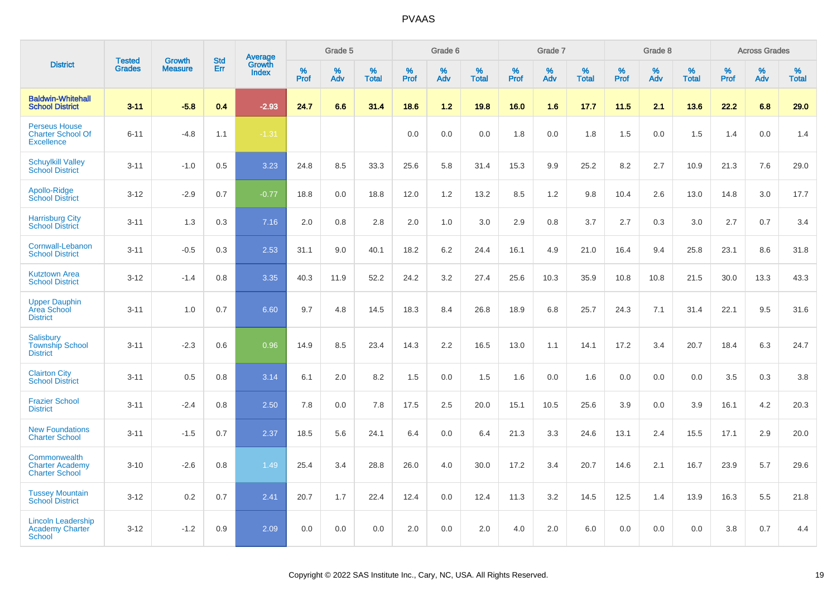|                                                                       |                                | <b>Growth</b>  | <b>Std</b> | Average                |                  | Grade 5  |                   |                  | Grade 6  |                   |                  | Grade 7  |                   |           | Grade 8  |                   |                  | <b>Across Grades</b> |                   |
|-----------------------------------------------------------------------|--------------------------------|----------------|------------|------------------------|------------------|----------|-------------------|------------------|----------|-------------------|------------------|----------|-------------------|-----------|----------|-------------------|------------------|----------------------|-------------------|
| <b>District</b>                                                       | <b>Tested</b><br><b>Grades</b> | <b>Measure</b> | Err        | Growth<br><b>Index</b> | %<br><b>Prof</b> | %<br>Adv | %<br><b>Total</b> | %<br><b>Prof</b> | %<br>Adv | %<br><b>Total</b> | %<br><b>Prof</b> | %<br>Adv | %<br><b>Total</b> | %<br>Prof | %<br>Adv | %<br><b>Total</b> | %<br><b>Prof</b> | %<br>Adv             | %<br><b>Total</b> |
| <b>Baldwin-Whitehall</b><br><b>School District</b>                    | $3 - 11$                       | $-5.8$         | 0.4        | $-2.93$                | 24.7             | 6.6      | 31.4              | 18.6             | $1.2$    | 19.8              | 16.0             | 1.6      | 17.7              | 11.5      | 2.1      | 13.6              | 22.2             | 6.8                  | 29.0              |
| <b>Perseus House</b><br><b>Charter School Of</b><br><b>Excellence</b> | $6 - 11$                       | $-4.8$         | 1.1        | $-1.31$                |                  |          |                   | 0.0              | 0.0      | 0.0               | 1.8              | 0.0      | 1.8               | 1.5       | 0.0      | 1.5               | 1.4              | 0.0                  | 1.4               |
| <b>Schuylkill Valley</b><br><b>School District</b>                    | $3 - 11$                       | $-1.0$         | 0.5        | 3.23                   | 24.8             | 8.5      | 33.3              | 25.6             | 5.8      | 31.4              | 15.3             | 9.9      | 25.2              | 8.2       | 2.7      | 10.9              | 21.3             | 7.6                  | 29.0              |
| Apollo-Ridge<br><b>School District</b>                                | $3-12$                         | $-2.9$         | 0.7        | $-0.77$                | 18.8             | 0.0      | 18.8              | 12.0             | 1.2      | 13.2              | 8.5              | 1.2      | 9.8               | 10.4      | 2.6      | 13.0              | 14.8             | 3.0                  | 17.7              |
| <b>Harrisburg City</b><br><b>School District</b>                      | $3 - 11$                       | 1.3            | 0.3        | 7.16                   | 2.0              | 0.8      | 2.8               | 2.0              | 1.0      | 3.0               | 2.9              | 0.8      | 3.7               | 2.7       | 0.3      | 3.0               | 2.7              | 0.7                  | 3.4               |
| Cornwall-Lebanon<br><b>School District</b>                            | $3 - 11$                       | $-0.5$         | 0.3        | 2.53                   | 31.1             | 9.0      | 40.1              | 18.2             | 6.2      | 24.4              | 16.1             | 4.9      | 21.0              | 16.4      | 9.4      | 25.8              | 23.1             | 8.6                  | 31.8              |
| <b>Kutztown Area</b><br><b>School District</b>                        | $3 - 12$                       | $-1.4$         | 0.8        | 3.35                   | 40.3             | 11.9     | 52.2              | 24.2             | 3.2      | 27.4              | 25.6             | 10.3     | 35.9              | 10.8      | 10.8     | 21.5              | 30.0             | 13.3                 | 43.3              |
| <b>Upper Dauphin</b><br><b>Area School</b><br><b>District</b>         | $3 - 11$                       | 1.0            | 0.7        | 6.60                   | 9.7              | 4.8      | 14.5              | 18.3             | 8.4      | 26.8              | 18.9             | 6.8      | 25.7              | 24.3      | 7.1      | 31.4              | 22.1             | 9.5                  | 31.6              |
| Salisbury<br><b>Township School</b><br><b>District</b>                | $3 - 11$                       | $-2.3$         | 0.6        | 0.96                   | 14.9             | 8.5      | 23.4              | 14.3             | 2.2      | 16.5              | 13.0             | 1.1      | 14.1              | 17.2      | 3.4      | 20.7              | 18.4             | 6.3                  | 24.7              |
| <b>Clairton City</b><br><b>School District</b>                        | $3 - 11$                       | 0.5            | 0.8        | 3.14                   | 6.1              | 2.0      | 8.2               | 1.5              | 0.0      | 1.5               | 1.6              | 0.0      | 1.6               | 0.0       | 0.0      | 0.0               | 3.5              | 0.3                  | 3.8               |
| <b>Frazier School</b><br><b>District</b>                              | $3 - 11$                       | $-2.4$         | 0.8        | 2.50                   | 7.8              | 0.0      | 7.8               | 17.5             | 2.5      | 20.0              | 15.1             | 10.5     | 25.6              | 3.9       | 0.0      | 3.9               | 16.1             | 4.2                  | 20.3              |
| <b>New Foundations</b><br><b>Charter School</b>                       | $3 - 11$                       | $-1.5$         | 0.7        | 2.37                   | 18.5             | 5.6      | 24.1              | 6.4              | 0.0      | 6.4               | 21.3             | 3.3      | 24.6              | 13.1      | 2.4      | 15.5              | 17.1             | 2.9                  | 20.0              |
| Commonwealth<br><b>Charter Academy</b><br><b>Charter School</b>       | $3 - 10$                       | $-2.6$         | 0.8        | 1.49                   | 25.4             | 3.4      | 28.8              | 26.0             | 4.0      | 30.0              | 17.2             | 3.4      | 20.7              | 14.6      | 2.1      | 16.7              | 23.9             | 5.7                  | 29.6              |
| <b>Tussey Mountain</b><br><b>School District</b>                      | $3 - 12$                       | 0.2            | 0.7        | 2.41                   | 20.7             | 1.7      | 22.4              | 12.4             | 0.0      | 12.4              | 11.3             | 3.2      | 14.5              | 12.5      | 1.4      | 13.9              | 16.3             | 5.5                  | 21.8              |
| <b>Lincoln Leadership</b><br><b>Academy Charter</b><br>School         | $3 - 12$                       | $-1.2$         | 0.9        | 2.09                   | 0.0              | 0.0      | 0.0               | 2.0              | 0.0      | 2.0               | 4.0              | 2.0      | 6.0               | 0.0       | 0.0      | 0.0               | 3.8              | 0.7                  | 4.4               |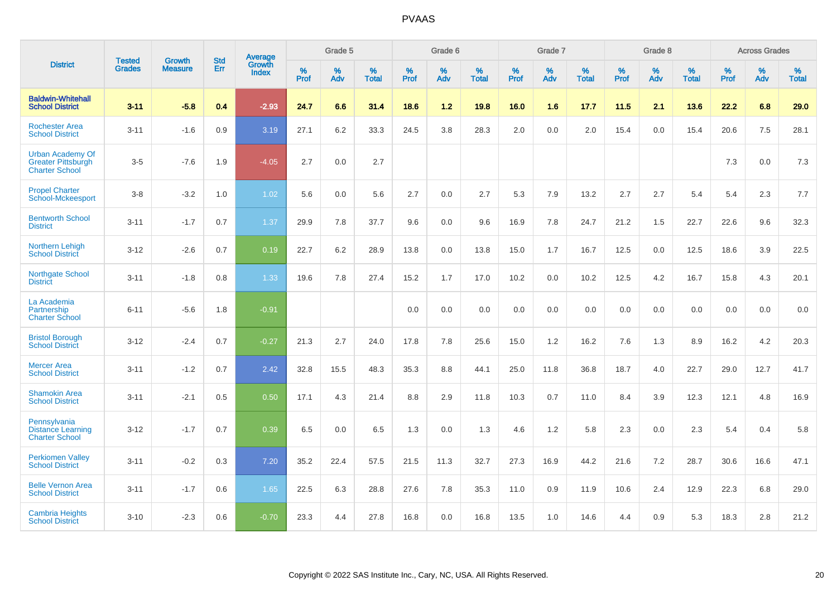|                                                                               | <b>Tested</b> | <b>Growth</b>  | <b>Std</b> | Average                       |           | Grade 5  |                   |           | Grade 6  |                   |           | Grade 7  |                   |           | Grade 8  |                   |           | <b>Across Grades</b> |                   |
|-------------------------------------------------------------------------------|---------------|----------------|------------|-------------------------------|-----------|----------|-------------------|-----------|----------|-------------------|-----------|----------|-------------------|-----------|----------|-------------------|-----------|----------------------|-------------------|
| <b>District</b>                                                               | <b>Grades</b> | <b>Measure</b> | Err        | <b>Growth</b><br><b>Index</b> | %<br>Prof | %<br>Adv | %<br><b>Total</b> | %<br>Prof | %<br>Adv | %<br><b>Total</b> | %<br>Prof | %<br>Adv | %<br><b>Total</b> | %<br>Prof | %<br>Adv | %<br><b>Total</b> | %<br>Prof | %<br>Adv             | %<br><b>Total</b> |
| <b>Baldwin-Whitehall</b><br><b>School District</b>                            | $3 - 11$      | $-5.8$         | 0.4        | $-2.93$                       | 24.7      | 6.6      | 31.4              | 18.6      | 1.2      | 19.8              | 16.0      | 1.6      | 17.7              | 11.5      | 2.1      | 13.6              | 22.2      | 6.8                  | 29.0              |
| <b>Rochester Area</b><br><b>School District</b>                               | $3 - 11$      | $-1.6$         | 0.9        | 3.19                          | 27.1      | 6.2      | 33.3              | 24.5      | 3.8      | 28.3              | 2.0       | 0.0      | 2.0               | 15.4      | 0.0      | 15.4              | 20.6      | $7.5\,$              | 28.1              |
| <b>Urban Academy Of</b><br><b>Greater Pittsburgh</b><br><b>Charter School</b> | $3-5$         | $-7.6$         | 1.9        | $-4.05$                       | 2.7       | 0.0      | 2.7               |           |          |                   |           |          |                   |           |          |                   | 7.3       | 0.0                  | 7.3               |
| <b>Propel Charter</b><br><b>School-Mckeesport</b>                             | $3 - 8$       | $-3.2$         | 1.0        | 1.02                          | 5.6       | 0.0      | 5.6               | 2.7       | 0.0      | 2.7               | 5.3       | 7.9      | 13.2              | 2.7       | 2.7      | 5.4               | 5.4       | 2.3                  | 7.7               |
| <b>Bentworth School</b><br><b>District</b>                                    | $3 - 11$      | $-1.7$         | 0.7        | 1.37                          | 29.9      | 7.8      | 37.7              | 9.6       | 0.0      | 9.6               | 16.9      | 7.8      | 24.7              | 21.2      | 1.5      | 22.7              | 22.6      | 9.6                  | 32.3              |
| <b>Northern Lehigh</b><br><b>School District</b>                              | $3 - 12$      | $-2.6$         | 0.7        | 0.19                          | 22.7      | 6.2      | 28.9              | 13.8      | 0.0      | 13.8              | 15.0      | 1.7      | 16.7              | 12.5      | 0.0      | 12.5              | 18.6      | 3.9                  | 22.5              |
| <b>Northgate School</b><br><b>District</b>                                    | $3 - 11$      | $-1.8$         | 0.8        | 1.33                          | 19.6      | 7.8      | 27.4              | 15.2      | 1.7      | 17.0              | 10.2      | 0.0      | 10.2              | 12.5      | 4.2      | 16.7              | 15.8      | 4.3                  | 20.1              |
| La Academia<br>Partnership<br><b>Charter School</b>                           | $6 - 11$      | $-5.6$         | 1.8        | $-0.91$                       |           |          |                   | 0.0       | 0.0      | 0.0               | 0.0       | 0.0      | 0.0               | 0.0       | 0.0      | 0.0               | 0.0       | 0.0                  | 0.0               |
| <b>Bristol Borough</b><br><b>School District</b>                              | $3 - 12$      | $-2.4$         | 0.7        | $-0.27$                       | 21.3      | 2.7      | 24.0              | 17.8      | 7.8      | 25.6              | 15.0      | 1.2      | 16.2              | 7.6       | 1.3      | 8.9               | 16.2      | 4.2                  | 20.3              |
| <b>Mercer Area</b><br><b>School District</b>                                  | $3 - 11$      | $-1.2$         | 0.7        | 2.42                          | 32.8      | 15.5     | 48.3              | 35.3      | 8.8      | 44.1              | 25.0      | 11.8     | 36.8              | 18.7      | 4.0      | 22.7              | 29.0      | 12.7                 | 41.7              |
| <b>Shamokin Area</b><br><b>School District</b>                                | $3 - 11$      | $-2.1$         | 0.5        | 0.50                          | 17.1      | 4.3      | 21.4              | 8.8       | 2.9      | 11.8              | 10.3      | 0.7      | 11.0              | 8.4       | 3.9      | 12.3              | 12.1      | 4.8                  | 16.9              |
| Pennsylvania<br><b>Distance Learning</b><br><b>Charter School</b>             | $3 - 12$      | $-1.7$         | 0.7        | 0.39                          | 6.5       | 0.0      | 6.5               | 1.3       | 0.0      | 1.3               | 4.6       | 1.2      | 5.8               | 2.3       | 0.0      | 2.3               | 5.4       | 0.4                  | 5.8               |
| <b>Perkiomen Valley</b><br><b>School District</b>                             | $3 - 11$      | $-0.2$         | 0.3        | 7.20                          | 35.2      | 22.4     | 57.5              | 21.5      | 11.3     | 32.7              | 27.3      | 16.9     | 44.2              | 21.6      | 7.2      | 28.7              | 30.6      | 16.6                 | 47.1              |
| <b>Belle Vernon Area</b><br><b>School District</b>                            | $3 - 11$      | $-1.7$         | 0.6        | 1.65                          | 22.5      | 6.3      | 28.8              | 27.6      | 7.8      | 35.3              | 11.0      | 0.9      | 11.9              | 10.6      | 2.4      | 12.9              | 22.3      | 6.8                  | 29.0              |
| <b>Cambria Heights</b><br><b>School District</b>                              | $3 - 10$      | $-2.3$         | 0.6        | $-0.70$                       | 23.3      | 4.4      | 27.8              | 16.8      | 0.0      | 16.8              | 13.5      | 1.0      | 14.6              | 4.4       | 0.9      | 5.3               | 18.3      | 2.8                  | 21.2              |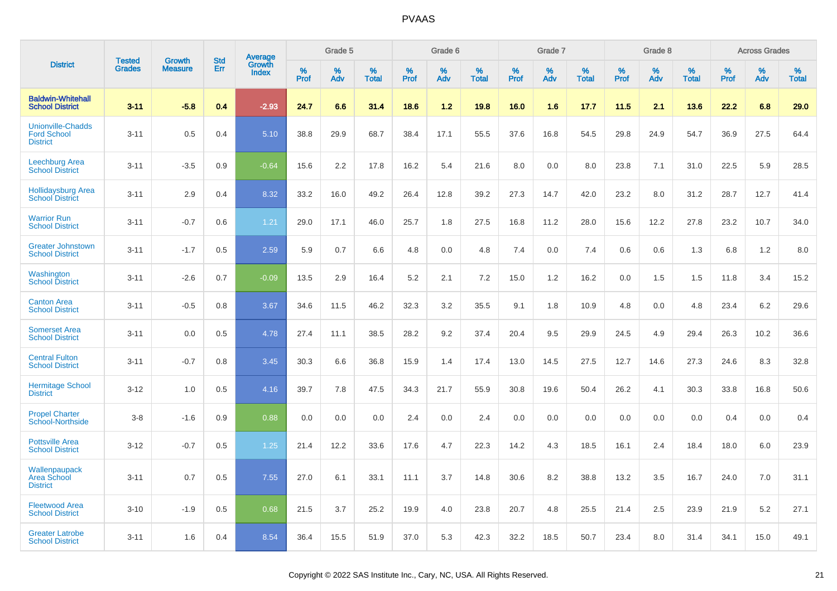|                                                                   | <b>Tested</b> |                                 | <b>Std</b> | Average                |              | Grade 5  |                   |              | Grade 6  |                   |              | Grade 7  |                   |              | Grade 8  |                   |              | <b>Across Grades</b> |                   |
|-------------------------------------------------------------------|---------------|---------------------------------|------------|------------------------|--------------|----------|-------------------|--------------|----------|-------------------|--------------|----------|-------------------|--------------|----------|-------------------|--------------|----------------------|-------------------|
| <b>District</b>                                                   | <b>Grades</b> | <b>Growth</b><br><b>Measure</b> | Err        | Growth<br><b>Index</b> | $\%$<br>Prof | %<br>Adv | %<br><b>Total</b> | $\%$<br>Prof | %<br>Adv | %<br><b>Total</b> | $\%$<br>Prof | %<br>Adv | %<br><b>Total</b> | $\%$<br>Prof | %<br>Adv | %<br><b>Total</b> | $\%$<br>Prof | %<br>Adv             | %<br><b>Total</b> |
| <b>Baldwin-Whitehall</b><br><b>School District</b>                | $3 - 11$      | $-5.8$                          | 0.4        | $-2.93$                | 24.7         | 6.6      | 31.4              | 18.6         | 1.2      | 19.8              | 16.0         | 1.6      | 17.7              | 11.5         | 2.1      | 13.6              | 22.2         | 6.8                  | 29.0              |
| <b>Unionville-Chadds</b><br><b>Ford School</b><br><b>District</b> | $3 - 11$      | 0.5                             | 0.4        | 5.10                   | 38.8         | 29.9     | 68.7              | 38.4         | 17.1     | 55.5              | 37.6         | 16.8     | 54.5              | 29.8         | 24.9     | 54.7              | 36.9         | 27.5                 | 64.4              |
| <b>Leechburg Area</b><br><b>School District</b>                   | $3 - 11$      | $-3.5$                          | 0.9        | $-0.64$                | 15.6         | 2.2      | 17.8              | 16.2         | 5.4      | 21.6              | 8.0          | 0.0      | 8.0               | 23.8         | 7.1      | 31.0              | 22.5         | 5.9                  | 28.5              |
| <b>Hollidaysburg Area</b><br><b>School District</b>               | $3 - 11$      | 2.9                             | 0.4        | 8.32                   | 33.2         | 16.0     | 49.2              | 26.4         | 12.8     | 39.2              | 27.3         | 14.7     | 42.0              | 23.2         | 8.0      | 31.2              | 28.7         | 12.7                 | 41.4              |
| <b>Warrior Run</b><br><b>School District</b>                      | $3 - 11$      | $-0.7$                          | 0.6        | 1.21                   | 29.0         | 17.1     | 46.0              | 25.7         | 1.8      | 27.5              | 16.8         | 11.2     | 28.0              | 15.6         | 12.2     | 27.8              | 23.2         | 10.7                 | 34.0              |
| <b>Greater Johnstown</b><br><b>School District</b>                | $3 - 11$      | $-1.7$                          | 0.5        | 2.59                   | 5.9          | 0.7      | 6.6               | 4.8          | 0.0      | 4.8               | 7.4          | 0.0      | 7.4               | 0.6          | 0.6      | 1.3               | 6.8          | 1.2                  | 8.0               |
| Washington<br><b>School District</b>                              | $3 - 11$      | $-2.6$                          | 0.7        | $-0.09$                | 13.5         | 2.9      | 16.4              | 5.2          | 2.1      | 7.2               | 15.0         | 1.2      | 16.2              | 0.0          | 1.5      | 1.5               | 11.8         | 3.4                  | 15.2              |
| <b>Canton Area</b><br><b>School District</b>                      | $3 - 11$      | $-0.5$                          | 0.8        | 3.67                   | 34.6         | 11.5     | 46.2              | 32.3         | 3.2      | 35.5              | 9.1          | 1.8      | 10.9              | 4.8          | 0.0      | 4.8               | 23.4         | 6.2                  | 29.6              |
| <b>Somerset Area</b><br><b>School District</b>                    | $3 - 11$      | 0.0                             | 0.5        | 4.78                   | 27.4         | 11.1     | 38.5              | 28.2         | 9.2      | 37.4              | 20.4         | 9.5      | 29.9              | 24.5         | 4.9      | 29.4              | 26.3         | 10.2                 | 36.6              |
| <b>Central Fulton</b><br><b>School District</b>                   | $3 - 11$      | $-0.7$                          | 0.8        | 3.45                   | 30.3         | 6.6      | 36.8              | 15.9         | 1.4      | 17.4              | 13.0         | 14.5     | 27.5              | 12.7         | 14.6     | 27.3              | 24.6         | 8.3                  | 32.8              |
| <b>Hermitage School</b><br><b>District</b>                        | $3 - 12$      | 1.0                             | 0.5        | 4.16                   | 39.7         | 7.8      | 47.5              | 34.3         | 21.7     | 55.9              | 30.8         | 19.6     | 50.4              | 26.2         | 4.1      | 30.3              | 33.8         | 16.8                 | 50.6              |
| <b>Propel Charter</b><br><b>School-Northside</b>                  | $3 - 8$       | $-1.6$                          | 0.9        | 0.88                   | 0.0          | 0.0      | 0.0               | 2.4          | 0.0      | 2.4               | 0.0          | 0.0      | 0.0               | 0.0          | 0.0      | 0.0               | 0.4          | 0.0                  | 0.4               |
| <b>Pottsville Area</b><br><b>School District</b>                  | $3 - 12$      | $-0.7$                          | 0.5        | 1.25                   | 21.4         | 12.2     | 33.6              | 17.6         | 4.7      | 22.3              | 14.2         | 4.3      | 18.5              | 16.1         | 2.4      | 18.4              | 18.0         | 6.0                  | 23.9              |
| Wallenpaupack<br><b>Area School</b><br><b>District</b>            | $3 - 11$      | 0.7                             | 0.5        | 7.55                   | 27.0         | 6.1      | 33.1              | 11.1         | 3.7      | 14.8              | 30.6         | 8.2      | 38.8              | 13.2         | 3.5      | 16.7              | 24.0         | 7.0                  | 31.1              |
| <b>Fleetwood Area</b><br><b>School District</b>                   | $3 - 10$      | $-1.9$                          | 0.5        | 0.68                   | 21.5         | 3.7      | 25.2              | 19.9         | 4.0      | 23.8              | 20.7         | 4.8      | 25.5              | 21.4         | 2.5      | 23.9              | 21.9         | 5.2                  | 27.1              |
| <b>Greater Latrobe</b><br><b>School District</b>                  | $3 - 11$      | 1.6                             | 0.4        | 8.54                   | 36.4         | 15.5     | 51.9              | 37.0         | 5.3      | 42.3              | 32.2         | 18.5     | 50.7              | 23.4         | 8.0      | 31.4              | 34.1         | 15.0                 | 49.1              |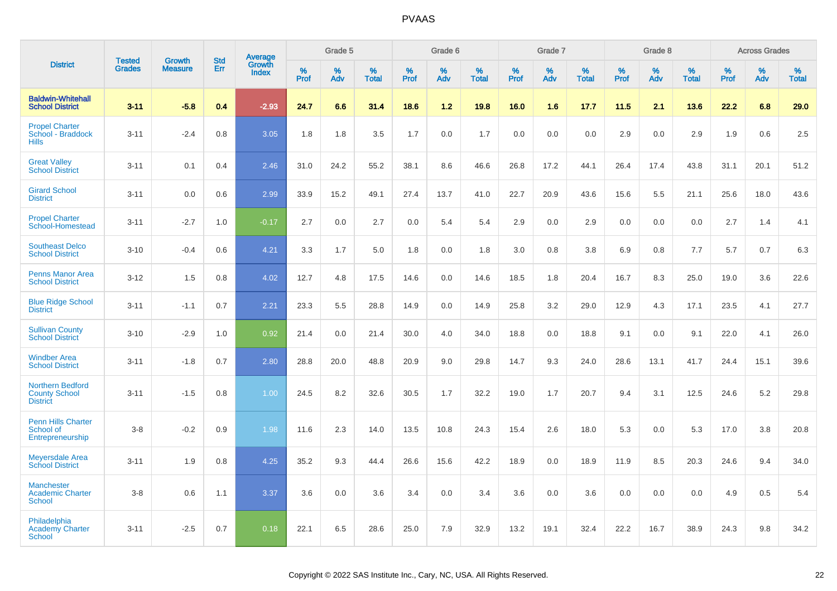|                                                                    |                                |                                 | <b>Std</b> | Average                |                  | Grade 5  |                   |                  | Grade 6  |                   |                  | Grade 7  |                   |           | Grade 8  |                   |                  | <b>Across Grades</b> |                   |
|--------------------------------------------------------------------|--------------------------------|---------------------------------|------------|------------------------|------------------|----------|-------------------|------------------|----------|-------------------|------------------|----------|-------------------|-----------|----------|-------------------|------------------|----------------------|-------------------|
| <b>District</b>                                                    | <b>Tested</b><br><b>Grades</b> | <b>Growth</b><br><b>Measure</b> | Err        | Growth<br><b>Index</b> | %<br><b>Prof</b> | %<br>Adv | %<br><b>Total</b> | %<br><b>Prof</b> | %<br>Adv | %<br><b>Total</b> | %<br><b>Prof</b> | %<br>Adv | %<br><b>Total</b> | %<br>Prof | %<br>Adv | %<br><b>Total</b> | %<br><b>Prof</b> | %<br>Adv             | %<br><b>Total</b> |
| <b>Baldwin-Whitehall</b><br><b>School District</b>                 | $3 - 11$                       | $-5.8$                          | 0.4        | $-2.93$                | 24.7             | 6.6      | 31.4              | 18.6             | $1.2$    | 19.8              | 16.0             | 1.6      | 17.7              | 11.5      | 2.1      | 13.6              | 22.2             | 6.8                  | 29.0              |
| <b>Propel Charter</b><br>School - Braddock<br><b>Hills</b>         | $3 - 11$                       | $-2.4$                          | 0.8        | 3.05                   | 1.8              | 1.8      | 3.5               | 1.7              | 0.0      | 1.7               | 0.0              | 0.0      | 0.0               | 2.9       | 0.0      | 2.9               | 1.9              | 0.6                  | 2.5               |
| <b>Great Valley</b><br><b>School District</b>                      | $3 - 11$                       | 0.1                             | 0.4        | 2.46                   | 31.0             | 24.2     | 55.2              | 38.1             | 8.6      | 46.6              | 26.8             | 17.2     | 44.1              | 26.4      | 17.4     | 43.8              | 31.1             | 20.1                 | 51.2              |
| <b>Girard School</b><br><b>District</b>                            | $3 - 11$                       | 0.0                             | 0.6        | 2.99                   | 33.9             | 15.2     | 49.1              | 27.4             | 13.7     | 41.0              | 22.7             | 20.9     | 43.6              | 15.6      | 5.5      | 21.1              | 25.6             | 18.0                 | 43.6              |
| <b>Propel Charter</b><br>School-Homestead                          | $3 - 11$                       | $-2.7$                          | 1.0        | $-0.17$                | 2.7              | 0.0      | 2.7               | 0.0              | 5.4      | 5.4               | 2.9              | 0.0      | 2.9               | 0.0       | 0.0      | 0.0               | 2.7              | 1.4                  | 4.1               |
| <b>Southeast Delco</b><br><b>School District</b>                   | $3 - 10$                       | $-0.4$                          | 0.6        | 4.21                   | 3.3              | 1.7      | 5.0               | 1.8              | 0.0      | 1.8               | 3.0              | 0.8      | 3.8               | 6.9       | 0.8      | 7.7               | 5.7              | 0.7                  | 6.3               |
| <b>Penns Manor Area</b><br><b>School District</b>                  | $3 - 12$                       | 1.5                             | 0.8        | 4.02                   | 12.7             | 4.8      | 17.5              | 14.6             | 0.0      | 14.6              | 18.5             | 1.8      | 20.4              | 16.7      | 8.3      | 25.0              | 19.0             | 3.6                  | 22.6              |
| <b>Blue Ridge School</b><br><b>District</b>                        | $3 - 11$                       | $-1.1$                          | 0.7        | 2.21                   | 23.3             | 5.5      | 28.8              | 14.9             | 0.0      | 14.9              | 25.8             | 3.2      | 29.0              | 12.9      | 4.3      | 17.1              | 23.5             | 4.1                  | 27.7              |
| <b>Sullivan County</b><br><b>School District</b>                   | $3 - 10$                       | $-2.9$                          | 1.0        | 0.92                   | 21.4             | 0.0      | 21.4              | 30.0             | 4.0      | 34.0              | 18.8             | 0.0      | 18.8              | 9.1       | 0.0      | 9.1               | 22.0             | 4.1                  | 26.0              |
| <b>Windber Area</b><br><b>School District</b>                      | $3 - 11$                       | $-1.8$                          | 0.7        | 2.80                   | 28.8             | 20.0     | 48.8              | 20.9             | 9.0      | 29.8              | 14.7             | 9.3      | 24.0              | 28.6      | 13.1     | 41.7              | 24.4             | 15.1                 | 39.6              |
| <b>Northern Bedford</b><br><b>County School</b><br><b>District</b> | $3 - 11$                       | $-1.5$                          | 0.8        | 1.00                   | 24.5             | 8.2      | 32.6              | 30.5             | 1.7      | 32.2              | 19.0             | 1.7      | 20.7              | 9.4       | 3.1      | 12.5              | 24.6             | 5.2                  | 29.8              |
| <b>Penn Hills Charter</b><br>School of<br>Entrepreneurship         | $3-8$                          | $-0.2$                          | 0.9        | 1.98                   | 11.6             | 2.3      | 14.0              | 13.5             | 10.8     | 24.3              | 15.4             | 2.6      | 18.0              | 5.3       | 0.0      | 5.3               | 17.0             | 3.8                  | 20.8              |
| <b>Meyersdale Area</b><br><b>School District</b>                   | $3 - 11$                       | 1.9                             | 0.8        | 4.25                   | 35.2             | 9.3      | 44.4              | 26.6             | 15.6     | 42.2              | 18.9             | 0.0      | 18.9              | 11.9      | 8.5      | 20.3              | 24.6             | 9.4                  | 34.0              |
| <b>Manchester</b><br><b>Academic Charter</b><br><b>School</b>      | $3-8$                          | 0.6                             | 1.1        | 3.37                   | 3.6              | 0.0      | 3.6               | 3.4              | 0.0      | 3.4               | 3.6              | 0.0      | 3.6               | 0.0       | 0.0      | 0.0               | 4.9              | 0.5                  | 5.4               |
| Philadelphia<br><b>Academy Charter</b><br><b>School</b>            | $3 - 11$                       | $-2.5$                          | 0.7        | 0.18                   | 22.1             | 6.5      | 28.6              | 25.0             | 7.9      | 32.9              | 13.2             | 19.1     | 32.4              | 22.2      | 16.7     | 38.9              | 24.3             | 9.8                  | 34.2              |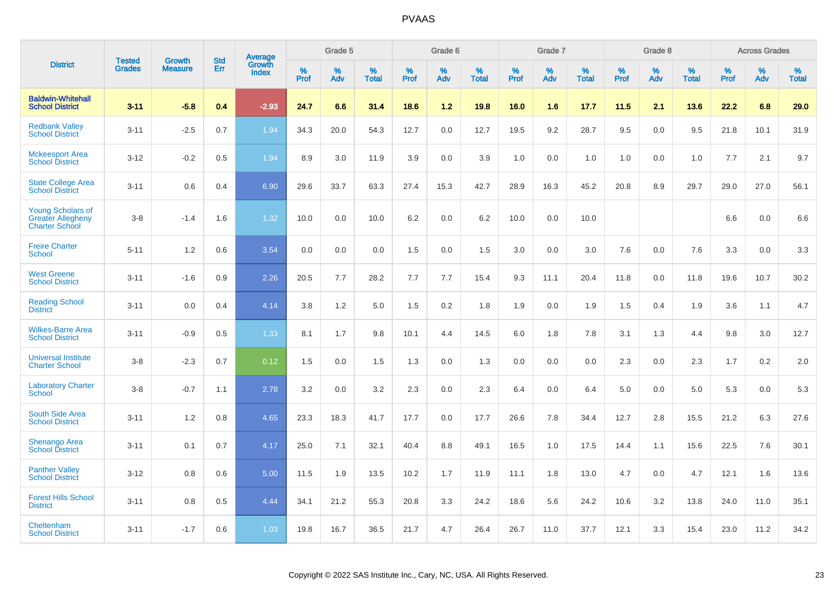|                                                                               | <b>Tested</b> | <b>Growth</b>  | <b>Std</b> | <b>Average</b><br>Growth |                     | Grade 5  |                      |                     | Grade 6  |                      |              | Grade 7  |                      |                     | Grade 8  |                      |                     | <b>Across Grades</b> |                      |
|-------------------------------------------------------------------------------|---------------|----------------|------------|--------------------------|---------------------|----------|----------------------|---------------------|----------|----------------------|--------------|----------|----------------------|---------------------|----------|----------------------|---------------------|----------------------|----------------------|
| <b>District</b>                                                               | <b>Grades</b> | <b>Measure</b> | Err        | <b>Index</b>             | $\%$<br><b>Prof</b> | %<br>Adv | $\%$<br><b>Total</b> | $\%$<br><b>Prof</b> | %<br>Adv | $\%$<br><b>Total</b> | $\%$<br>Prof | %<br>Adv | $\%$<br><b>Total</b> | $\%$<br><b>Prof</b> | %<br>Adv | $\%$<br><b>Total</b> | $\%$<br><b>Prof</b> | $\%$<br>Adv          | $\%$<br><b>Total</b> |
| <b>Baldwin-Whitehall</b><br><b>School District</b>                            | $3 - 11$      | $-5.8$         | 0.4        | $-2.93$                  | 24.7                | 6.6      | 31.4                 | 18.6                | 1.2      | 19.8                 | 16.0         | 1.6      | 17.7                 | 11.5                | 2.1      | 13.6                 | 22.2                | 6.8                  | 29.0                 |
| <b>Redbank Valley</b><br><b>School District</b>                               | $3 - 11$      | $-2.5$         | 0.7        | 1.94                     | 34.3                | 20.0     | 54.3                 | 12.7                | 0.0      | 12.7                 | 19.5         | 9.2      | 28.7                 | 9.5                 | 0.0      | 9.5                  | 21.8                | 10.1                 | 31.9                 |
| <b>Mckeesport Area</b><br><b>School District</b>                              | $3 - 12$      | $-0.2$         | 0.5        | 1.94                     | 8.9                 | 3.0      | 11.9                 | 3.9                 | 0.0      | 3.9                  | 1.0          | 0.0      | 1.0                  | 1.0                 | 0.0      | 1.0                  | 7.7                 | 2.1                  | 9.7                  |
| <b>State College Area</b><br><b>School District</b>                           | $3 - 11$      | 0.6            | 0.4        | 6.90                     | 29.6                | 33.7     | 63.3                 | 27.4                | 15.3     | 42.7                 | 28.9         | 16.3     | 45.2                 | 20.8                | 8.9      | 29.7                 | 29.0                | 27.0                 | 56.1                 |
| <b>Young Scholars of</b><br><b>Greater Allegheny</b><br><b>Charter School</b> | $3 - 8$       | $-1.4$         | 1.6        | 1.32                     | 10.0                | 0.0      | 10.0                 | 6.2                 | 0.0      | 6.2                  | 10.0         | 0.0      | 10.0                 |                     |          |                      | 6.6                 | 0.0                  | 6.6                  |
| <b>Freire Charter</b><br><b>School</b>                                        | $5 - 11$      | 1.2            | 0.6        | 3.54                     | 0.0                 | 0.0      | 0.0                  | 1.5                 | 0.0      | 1.5                  | 3.0          | 0.0      | 3.0                  | 7.6                 | 0.0      | 7.6                  | 3.3                 | 0.0                  | 3.3                  |
| <b>West Greene</b><br><b>School District</b>                                  | $3 - 11$      | $-1.6$         | 0.9        | 2.26                     | 20.5                | 7.7      | 28.2                 | 7.7                 | 7.7      | 15.4                 | 9.3          | 11.1     | 20.4                 | 11.8                | 0.0      | 11.8                 | 19.6                | 10.7                 | 30.2                 |
| <b>Reading School</b><br><b>District</b>                                      | $3 - 11$      | 0.0            | 0.4        | 4.14                     | 3.8                 | 1.2      | 5.0                  | 1.5                 | 0.2      | 1.8                  | 1.9          | 0.0      | 1.9                  | 1.5                 | 0.4      | 1.9                  | 3.6                 | 1.1                  | 4.7                  |
| <b>Wilkes-Barre Area</b><br><b>School District</b>                            | $3 - 11$      | $-0.9$         | 0.5        | 1.33                     | 8.1                 | 1.7      | 9.8                  | 10.1                | 4.4      | 14.5                 | 6.0          | 1.8      | 7.8                  | 3.1                 | 1.3      | 4.4                  | 9.8                 | 3.0                  | 12.7                 |
| <b>Universal Institute</b><br><b>Charter School</b>                           | $3 - 8$       | $-2.3$         | 0.7        | 0.12                     | 1.5                 | 0.0      | 1.5                  | 1.3                 | 0.0      | 1.3                  | 0.0          | 0.0      | 0.0                  | 2.3                 | 0.0      | 2.3                  | 1.7                 | 0.2                  | 2.0                  |
| <b>Laboratory Charter</b><br><b>School</b>                                    | $3 - 8$       | $-0.7$         | 1.1        | 2.78                     | 3.2                 | 0.0      | 3.2                  | 2.3                 | 0.0      | 2.3                  | 6.4          | 0.0      | 6.4                  | 5.0                 | 0.0      | 5.0                  | 5.3                 | 0.0                  | 5.3                  |
| South Side Area<br><b>School District</b>                                     | $3 - 11$      | 1.2            | 0.8        | 4.65                     | 23.3                | 18.3     | 41.7                 | 17.7                | 0.0      | 17.7                 | 26.6         | 7.8      | 34.4                 | 12.7                | 2.8      | 15.5                 | 21.2                | 6.3                  | 27.6                 |
| <b>Shenango Area</b><br><b>School District</b>                                | $3 - 11$      | 0.1            | 0.7        | 4.17                     | 25.0                | 7.1      | 32.1                 | 40.4                | 8.8      | 49.1                 | 16.5         | 1.0      | 17.5                 | 14.4                | 1.1      | 15.6                 | 22.5                | 7.6                  | 30.1                 |
| <b>Panther Valley</b><br><b>School District</b>                               | $3 - 12$      | 0.8            | 0.6        | 5.00                     | 11.5                | 1.9      | 13.5                 | 10.2                | 1.7      | 11.9                 | 11.1         | 1.8      | 13.0                 | 4.7                 | 0.0      | 4.7                  | 12.1                | 1.6                  | 13.6                 |
| <b>Forest Hills School</b><br><b>District</b>                                 | $3 - 11$      | 0.8            | 0.5        | 4.44                     | 34.1                | 21.2     | 55.3                 | 20.8                | 3.3      | 24.2                 | 18.6         | 5.6      | 24.2                 | 10.6                | 3.2      | 13.8                 | 24.0                | 11.0                 | 35.1                 |
| Cheltenham<br><b>School District</b>                                          | $3 - 11$      | $-1.7$         | 0.6        | 1.03                     | 19.8                | 16.7     | 36.5                 | 21.7                | 4.7      | 26.4                 | 26.7         | 11.0     | 37.7                 | 12.1                | 3.3      | 15.4                 | 23.0                | 11.2                 | 34.2                 |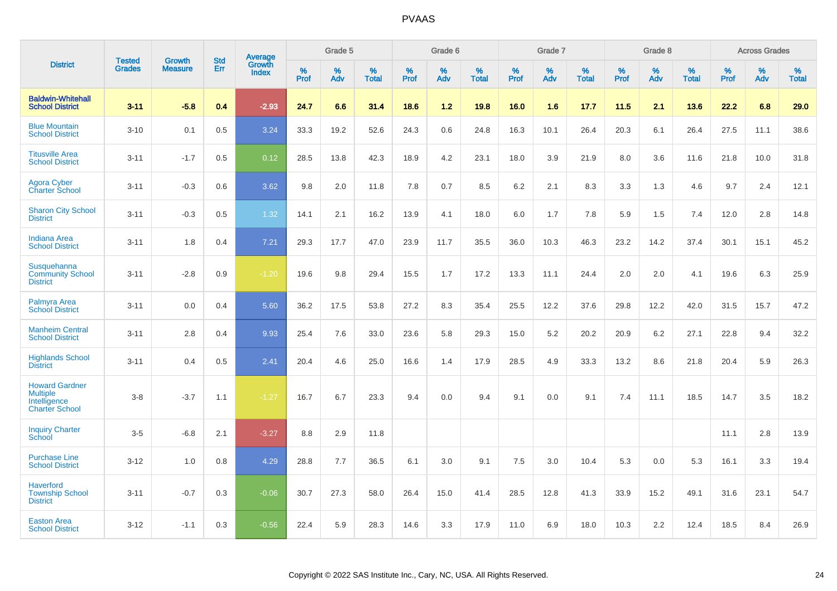|                                                                                   | <b>Tested</b> | <b>Growth</b>  | <b>Std</b> |                                          |              | Grade 5  |                   |              | Grade 6  |                   |           | Grade 7  |                   |           | Grade 8  |                   |                  | <b>Across Grades</b> |                   |
|-----------------------------------------------------------------------------------|---------------|----------------|------------|------------------------------------------|--------------|----------|-------------------|--------------|----------|-------------------|-----------|----------|-------------------|-----------|----------|-------------------|------------------|----------------------|-------------------|
| <b>District</b>                                                                   | <b>Grades</b> | <b>Measure</b> | Err        | <b>Average</b><br>Growth<br><b>Index</b> | $\%$<br>Prof | %<br>Adv | %<br><b>Total</b> | $\%$<br>Prof | %<br>Adv | %<br><b>Total</b> | %<br>Prof | %<br>Adv | %<br><b>Total</b> | %<br>Prof | %<br>Adv | %<br><b>Total</b> | %<br><b>Prof</b> | $\%$<br>Adv          | %<br><b>Total</b> |
| <b>Baldwin-Whitehall</b><br><b>School District</b>                                | $3 - 11$      | $-5.8$         | 0.4        | $-2.93$                                  | 24.7         | 6.6      | 31.4              | 18.6         | $1.2$    | 19.8              | 16.0      | 1.6      | 17.7              | 11.5      | 2.1      | 13.6              | 22.2             | 6.8                  | 29.0              |
| <b>Blue Mountain</b><br><b>School District</b>                                    | $3 - 10$      | 0.1            | 0.5        | 3.24                                     | 33.3         | 19.2     | 52.6              | 24.3         | 0.6      | 24.8              | 16.3      | 10.1     | 26.4              | 20.3      | 6.1      | 26.4              | 27.5             | 11.1                 | 38.6              |
| <b>Titusville Area</b><br><b>School District</b>                                  | $3 - 11$      | $-1.7$         | 0.5        | 0.12                                     | 28.5         | 13.8     | 42.3              | 18.9         | 4.2      | 23.1              | 18.0      | 3.9      | 21.9              | 8.0       | 3.6      | 11.6              | 21.8             | 10.0                 | 31.8              |
| <b>Agora Cyber</b><br><b>Charter School</b>                                       | $3 - 11$      | $-0.3$         | 0.6        | 3.62                                     | 9.8          | 2.0      | 11.8              | 7.8          | 0.7      | 8.5               | 6.2       | 2.1      | 8.3               | 3.3       | 1.3      | 4.6               | 9.7              | 2.4                  | 12.1              |
| <b>Sharon City School</b><br><b>District</b>                                      | $3 - 11$      | $-0.3$         | 0.5        | 1.32                                     | 14.1         | 2.1      | 16.2              | 13.9         | 4.1      | 18.0              | 6.0       | 1.7      | 7.8               | 5.9       | 1.5      | 7.4               | 12.0             | 2.8                  | 14.8              |
| <b>Indiana Area</b><br><b>School District</b>                                     | $3 - 11$      | 1.8            | 0.4        | $7.21$                                   | 29.3         | 17.7     | 47.0              | 23.9         | 11.7     | 35.5              | 36.0      | 10.3     | 46.3              | 23.2      | 14.2     | 37.4              | 30.1             | 15.1                 | 45.2              |
| Susquehanna<br><b>Community School</b><br><b>District</b>                         | $3 - 11$      | $-2.8$         | 0.9        | $-1.20$                                  | 19.6         | 9.8      | 29.4              | 15.5         | 1.7      | 17.2              | 13.3      | 11.1     | 24.4              | 2.0       | 2.0      | 4.1               | 19.6             | 6.3                  | 25.9              |
| Palmyra Area<br><b>School District</b>                                            | $3 - 11$      | 0.0            | 0.4        | 5.60                                     | 36.2         | 17.5     | 53.8              | 27.2         | 8.3      | 35.4              | 25.5      | 12.2     | 37.6              | 29.8      | 12.2     | 42.0              | 31.5             | 15.7                 | 47.2              |
| <b>Manheim Central</b><br><b>School District</b>                                  | $3 - 11$      | 2.8            | 0.4        | 9.93                                     | 25.4         | 7.6      | 33.0              | 23.6         | 5.8      | 29.3              | 15.0      | 5.2      | 20.2              | 20.9      | 6.2      | 27.1              | 22.8             | 9.4                  | 32.2              |
| <b>Highlands School</b><br><b>District</b>                                        | $3 - 11$      | 0.4            | 0.5        | 2.41                                     | 20.4         | 4.6      | 25.0              | 16.6         | 1.4      | 17.9              | 28.5      | 4.9      | 33.3              | 13.2      | 8.6      | 21.8              | 20.4             | 5.9                  | 26.3              |
| <b>Howard Gardner</b><br><b>Multiple</b><br>Intelligence<br><b>Charter School</b> | $3 - 8$       | $-3.7$         | 1.1        | $-1.27$                                  | 16.7         | 6.7      | 23.3              | 9.4          | 0.0      | 9.4               | 9.1       | 0.0      | 9.1               | 7.4       | 11.1     | 18.5              | 14.7             | 3.5                  | 18.2              |
| <b>Inquiry Charter</b><br>School                                                  | $3-5$         | $-6.8$         | 2.1        | $-3.27$                                  | 8.8          | 2.9      | 11.8              |              |          |                   |           |          |                   |           |          |                   | 11.1             | 2.8                  | 13.9              |
| <b>Purchase Line</b><br><b>School District</b>                                    | $3 - 12$      | 1.0            | 0.8        | 4.29                                     | 28.8         | 7.7      | 36.5              | 6.1          | 3.0      | 9.1               | 7.5       | 3.0      | 10.4              | 5.3       | 0.0      | 5.3               | 16.1             | 3.3                  | 19.4              |
| <b>Haverford</b><br><b>Township School</b><br><b>District</b>                     | $3 - 11$      | $-0.7$         | 0.3        | $-0.06$                                  | 30.7         | 27.3     | 58.0              | 26.4         | 15.0     | 41.4              | 28.5      | 12.8     | 41.3              | 33.9      | 15.2     | 49.1              | 31.6             | 23.1                 | 54.7              |
| <b>Easton Area</b><br><b>School District</b>                                      | $3 - 12$      | $-1.1$         | 0.3        | $-0.56$                                  | 22.4         | 5.9      | 28.3              | 14.6         | 3.3      | 17.9              | 11.0      | 6.9      | 18.0              | 10.3      | 2.2      | 12.4              | 18.5             | 8.4                  | 26.9              |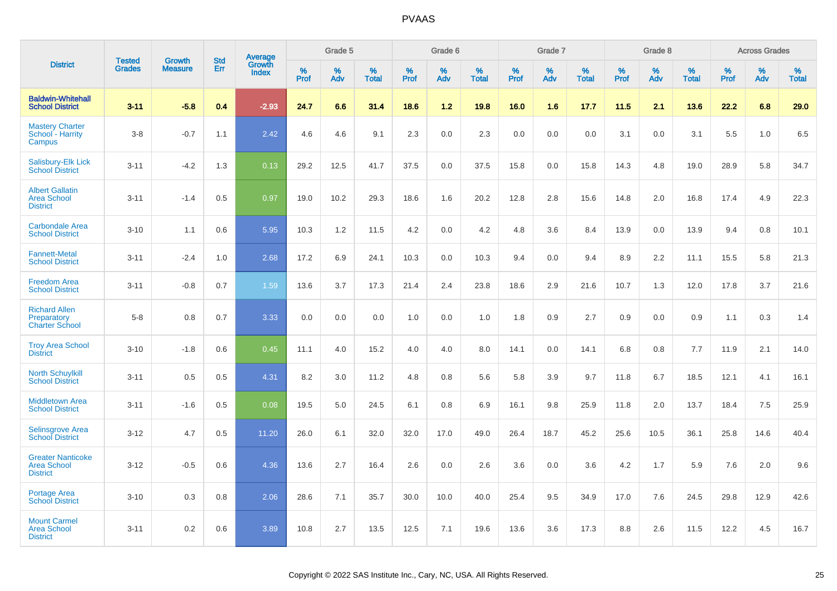|                                                                   |                                | <b>Growth</b>  |                          |                                   |           | Grade 5  |                   |                  | Grade 6  |                   |           | Grade 7  |                   |           | Grade 8  |                   |           | <b>Across Grades</b> |                   |
|-------------------------------------------------------------------|--------------------------------|----------------|--------------------------|-----------------------------------|-----------|----------|-------------------|------------------|----------|-------------------|-----------|----------|-------------------|-----------|----------|-------------------|-----------|----------------------|-------------------|
| <b>District</b>                                                   | <b>Tested</b><br><b>Grades</b> | <b>Measure</b> | <b>Std</b><br><b>Err</b> | Average<br>Growth<br><b>Index</b> | %<br>Prof | %<br>Adv | %<br><b>Total</b> | %<br><b>Prof</b> | %<br>Adv | %<br><b>Total</b> | %<br>Prof | %<br>Adv | %<br><b>Total</b> | %<br>Prof | %<br>Adv | %<br><b>Total</b> | %<br>Prof | %<br>Adv             | %<br><b>Total</b> |
| <b>Baldwin-Whitehall</b><br><b>School District</b>                | $3 - 11$                       | $-5.8$         | 0.4                      | $-2.93$                           | 24.7      | 6.6      | 31.4              | 18.6             | $1.2$    | 19.8              | 16.0      | 1.6      | 17.7              | 11.5      | 2.1      | 13.6              | 22.2      | 6.8                  | 29.0              |
| <b>Mastery Charter</b><br>School - Harrity<br>Campus              | $3 - 8$                        | $-0.7$         | 1.1                      | 2.42                              | 4.6       | 4.6      | 9.1               | 2.3              | 0.0      | 2.3               | 0.0       | 0.0      | 0.0               | 3.1       | 0.0      | 3.1               | 5.5       | 1.0                  | 6.5               |
| <b>Salisbury-Elk Lick</b><br><b>School District</b>               | $3 - 11$                       | $-4.2$         | 1.3                      | 0.13                              | 29.2      | 12.5     | 41.7              | 37.5             | 0.0      | 37.5              | 15.8      | 0.0      | 15.8              | 14.3      | 4.8      | 19.0              | 28.9      | 5.8                  | 34.7              |
| <b>Albert Gallatin</b><br><b>Area School</b><br><b>District</b>   | $3 - 11$                       | $-1.4$         | 0.5                      | 0.97                              | 19.0      | 10.2     | 29.3              | 18.6             | 1.6      | 20.2              | 12.8      | 2.8      | 15.6              | 14.8      | 2.0      | 16.8              | 17.4      | 4.9                  | 22.3              |
| <b>Carbondale Area</b><br><b>School District</b>                  | $3 - 10$                       | 1.1            | 0.6                      | 5.95                              | 10.3      | 1.2      | 11.5              | 4.2              | 0.0      | 4.2               | 4.8       | 3.6      | 8.4               | 13.9      | 0.0      | 13.9              | 9.4       | 0.8                  | 10.1              |
| <b>Fannett-Metal</b><br><b>School District</b>                    | $3 - 11$                       | $-2.4$         | 1.0                      | 2.68                              | 17.2      | 6.9      | 24.1              | 10.3             | 0.0      | 10.3              | 9.4       | 0.0      | 9.4               | 8.9       | 2.2      | 11.1              | 15.5      | 5.8                  | 21.3              |
| <b>Freedom Area</b><br><b>School District</b>                     | $3 - 11$                       | $-0.8$         | 0.7                      | 1.59                              | 13.6      | 3.7      | 17.3              | 21.4             | 2.4      | 23.8              | 18.6      | 2.9      | 21.6              | 10.7      | 1.3      | 12.0              | 17.8      | 3.7                  | 21.6              |
| <b>Richard Allen</b><br>Preparatory<br><b>Charter School</b>      | $5 - 8$                        | 0.8            | 0.7                      | 3.33                              | 0.0       | 0.0      | 0.0               | 1.0              | 0.0      | 1.0               | 1.8       | 0.9      | 2.7               | 0.9       | 0.0      | 0.9               | 1.1       | 0.3                  | 1.4               |
| <b>Troy Area School</b><br><b>District</b>                        | $3 - 10$                       | $-1.8$         | 0.6                      | 0.45                              | 11.1      | 4.0      | 15.2              | 4.0              | 4.0      | 8.0               | 14.1      | 0.0      | 14.1              | 6.8       | 0.8      | 7.7               | 11.9      | 2.1                  | 14.0              |
| <b>North Schuylkill</b><br><b>School District</b>                 | $3 - 11$                       | 0.5            | 0.5                      | 4.31                              | 8.2       | 3.0      | 11.2              | 4.8              | 0.8      | 5.6               | 5.8       | 3.9      | 9.7               | 11.8      | 6.7      | 18.5              | 12.1      | 4.1                  | 16.1              |
| <b>Middletown Area</b><br><b>School District</b>                  | $3 - 11$                       | $-1.6$         | 0.5                      | 0.08                              | 19.5      | 5.0      | 24.5              | 6.1              | 0.8      | 6.9               | 16.1      | 9.8      | 25.9              | 11.8      | 2.0      | 13.7              | 18.4      | 7.5                  | 25.9              |
| <b>Selinsgrove Area</b><br><b>School District</b>                 | $3 - 12$                       | 4.7            | 0.5                      | 11.20                             | 26.0      | 6.1      | 32.0              | 32.0             | 17.0     | 49.0              | 26.4      | 18.7     | 45.2              | 25.6      | 10.5     | 36.1              | 25.8      | 14.6                 | 40.4              |
| <b>Greater Nanticoke</b><br><b>Area School</b><br><b>District</b> | $3 - 12$                       | $-0.5$         | 0.6                      | 4.36                              | 13.6      | 2.7      | 16.4              | 2.6              | 0.0      | 2.6               | 3.6       | 0.0      | 3.6               | 4.2       | 1.7      | 5.9               | 7.6       | 2.0                  | 9.6               |
| Portage Area<br><b>School District</b>                            | $3 - 10$                       | 0.3            | 0.8                      | 2.06                              | 28.6      | 7.1      | 35.7              | 30.0             | 10.0     | 40.0              | 25.4      | 9.5      | 34.9              | 17.0      | 7.6      | 24.5              | 29.8      | 12.9                 | 42.6              |
| <b>Mount Carmel</b><br><b>Area School</b><br><b>District</b>      | $3 - 11$                       | 0.2            | 0.6                      | 3.89                              | 10.8      | 2.7      | 13.5              | 12.5             | 7.1      | 19.6              | 13.6      | 3.6      | 17.3              | 8.8       | 2.6      | 11.5              | 12.2      | 4.5                  | 16.7              |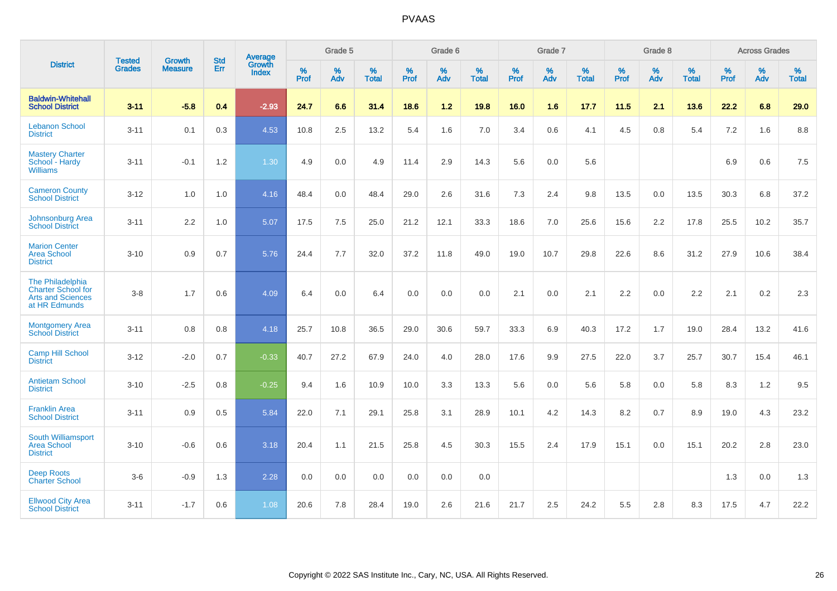|                                                                                            |                                |                                 | <b>Std</b> | Average                |              | Grade 5  |                   |                     | Grade 6  |                   |              | Grade 7  |                   |                     | Grade 8  |                   |                     | <b>Across Grades</b> |                   |
|--------------------------------------------------------------------------------------------|--------------------------------|---------------------------------|------------|------------------------|--------------|----------|-------------------|---------------------|----------|-------------------|--------------|----------|-------------------|---------------------|----------|-------------------|---------------------|----------------------|-------------------|
| <b>District</b>                                                                            | <b>Tested</b><br><b>Grades</b> | <b>Growth</b><br><b>Measure</b> | Err        | Growth<br><b>Index</b> | $\%$<br>Prof | %<br>Adv | %<br><b>Total</b> | $\%$<br><b>Prof</b> | %<br>Adv | %<br><b>Total</b> | $\%$<br>Prof | %<br>Adv | %<br><b>Total</b> | $\%$<br><b>Prof</b> | %<br>Adv | %<br><b>Total</b> | $\%$<br><b>Prof</b> | $\%$<br>Adv          | %<br><b>Total</b> |
| <b>Baldwin-Whitehall</b><br><b>School District</b>                                         | $3 - 11$                       | $-5.8$                          | 0.4        | $-2.93$                | 24.7         | 6.6      | 31.4              | 18.6                | 1.2      | 19.8              | 16.0         | 1.6      | 17.7              | 11.5                | 2.1      | 13.6              | 22.2                | 6.8                  | 29.0              |
| <b>Lebanon School</b><br><b>District</b>                                                   | $3 - 11$                       | 0.1                             | 0.3        | 4.53                   | 10.8         | 2.5      | 13.2              | 5.4                 | 1.6      | 7.0               | 3.4          | 0.6      | 4.1               | 4.5                 | 0.8      | 5.4               | 7.2                 | 1.6                  | 8.8               |
| <b>Mastery Charter</b><br>School - Hardy<br><b>Williams</b>                                | $3 - 11$                       | $-0.1$                          | 1.2        | 1.30                   | 4.9          | 0.0      | 4.9               | 11.4                | 2.9      | 14.3              | 5.6          | 0.0      | 5.6               |                     |          |                   | 6.9                 | 0.6                  | 7.5               |
| <b>Cameron County</b><br><b>School District</b>                                            | $3 - 12$                       | 1.0                             | 1.0        | 4.16                   | 48.4         | 0.0      | 48.4              | 29.0                | 2.6      | 31.6              | 7.3          | 2.4      | 9.8               | 13.5                | 0.0      | 13.5              | 30.3                | 6.8                  | 37.2              |
| Johnsonburg Area<br><b>School District</b>                                                 | $3 - 11$                       | 2.2                             | 1.0        | 5.07                   | 17.5         | 7.5      | 25.0              | 21.2                | 12.1     | 33.3              | 18.6         | 7.0      | 25.6              | 15.6                | 2.2      | 17.8              | 25.5                | 10.2                 | 35.7              |
| <b>Marion Center</b><br><b>Area School</b><br><b>District</b>                              | $3 - 10$                       | 0.9                             | 0.7        | 5.76                   | 24.4         | 7.7      | 32.0              | 37.2                | 11.8     | 49.0              | 19.0         | 10.7     | 29.8              | 22.6                | 8.6      | 31.2              | 27.9                | 10.6                 | 38.4              |
| The Philadelphia<br><b>Charter School for</b><br><b>Arts and Sciences</b><br>at HR Edmunds | $3-8$                          | 1.7                             | 0.6        | 4.09                   | 6.4          | 0.0      | 6.4               | 0.0                 | 0.0      | 0.0               | 2.1          | 0.0      | 2.1               | 2.2                 | 0.0      | 2.2               | 2.1                 | $0.2\,$              | 2.3               |
| <b>Montgomery Area</b><br><b>School District</b>                                           | $3 - 11$                       | 0.8                             | 0.8        | 4.18                   | 25.7         | 10.8     | 36.5              | 29.0                | 30.6     | 59.7              | 33.3         | 6.9      | 40.3              | 17.2                | 1.7      | 19.0              | 28.4                | 13.2                 | 41.6              |
| <b>Camp Hill School</b><br><b>District</b>                                                 | $3 - 12$                       | $-2.0$                          | 0.7        | $-0.33$                | 40.7         | 27.2     | 67.9              | 24.0                | 4.0      | 28.0              | 17.6         | 9.9      | 27.5              | 22.0                | 3.7      | 25.7              | 30.7                | 15.4                 | 46.1              |
| <b>Antietam School</b><br><b>District</b>                                                  | $3 - 10$                       | $-2.5$                          | 0.8        | $-0.25$                | 9.4          | 1.6      | 10.9              | 10.0                | 3.3      | 13.3              | 5.6          | 0.0      | 5.6               | 5.8                 | 0.0      | 5.8               | 8.3                 | 1.2                  | 9.5               |
| <b>Franklin Area</b><br><b>School District</b>                                             | $3 - 11$                       | 0.9                             | 0.5        | 5.84                   | 22.0         | 7.1      | 29.1              | 25.8                | 3.1      | 28.9              | 10.1         | 4.2      | 14.3              | 8.2                 | 0.7      | 8.9               | 19.0                | 4.3                  | 23.2              |
| South Williamsport<br><b>Area School</b><br><b>District</b>                                | $3 - 10$                       | $-0.6$                          | 0.6        | 3.18                   | 20.4         | 1.1      | 21.5              | 25.8                | 4.5      | 30.3              | 15.5         | 2.4      | 17.9              | 15.1                | 0.0      | 15.1              | 20.2                | 2.8                  | 23.0              |
| <b>Deep Roots</b><br><b>Charter School</b>                                                 | $3-6$                          | $-0.9$                          | 1.3        | 2.28                   | 0.0          | 0.0      | 0.0               | 0.0                 | 0.0      | 0.0               |              |          |                   |                     |          |                   | 1.3                 | 0.0                  | 1.3               |
| <b>Ellwood City Area</b><br><b>School District</b>                                         | $3 - 11$                       | $-1.7$                          | 0.6        | 1.08                   | 20.6         | 7.8      | 28.4              | 19.0                | 2.6      | 21.6              | 21.7         | 2.5      | 24.2              | 5.5                 | 2.8      | 8.3               | 17.5                | 4.7                  | 22.2              |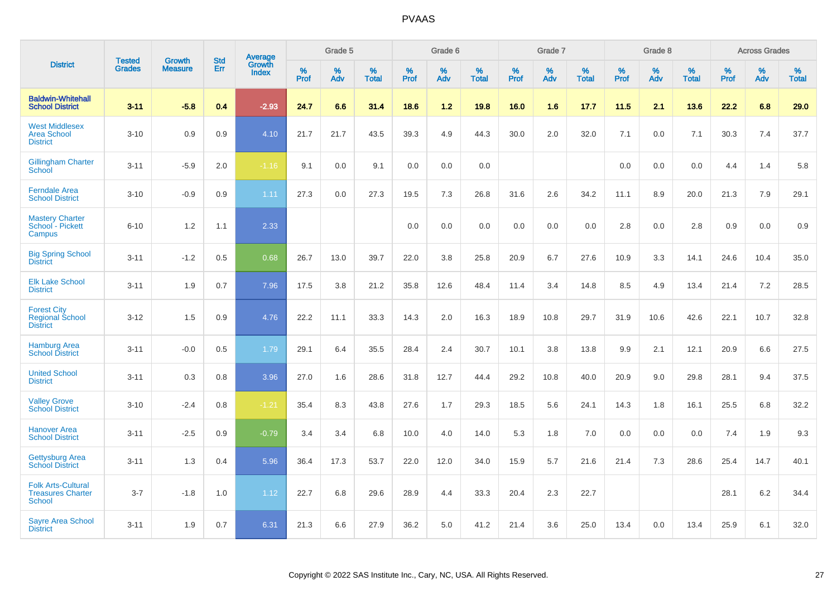|                                                                        |                                | <b>Growth</b>  | <b>Std</b> |                                          |              | Grade 5  |                   |              | Grade 6  |                   |              | Grade 7  |                   |              | Grade 8  |                   |              | <b>Across Grades</b> |                   |
|------------------------------------------------------------------------|--------------------------------|----------------|------------|------------------------------------------|--------------|----------|-------------------|--------------|----------|-------------------|--------------|----------|-------------------|--------------|----------|-------------------|--------------|----------------------|-------------------|
| <b>District</b>                                                        | <b>Tested</b><br><b>Grades</b> | <b>Measure</b> | <b>Err</b> | <b>Average</b><br>Growth<br><b>Index</b> | $\%$<br>Prof | %<br>Adv | %<br><b>Total</b> | $\%$<br>Prof | %<br>Adv | %<br><b>Total</b> | $\%$<br>Prof | %<br>Adv | %<br><b>Total</b> | $\%$<br>Prof | %<br>Adv | %<br><b>Total</b> | $\%$<br>Prof | %<br>Adv             | %<br><b>Total</b> |
| <b>Baldwin-Whitehall</b><br><b>School District</b>                     | $3 - 11$                       | $-5.8$         | 0.4        | $-2.93$                                  | 24.7         | 6.6      | 31.4              | 18.6         | 1.2      | 19.8              | 16.0         | 1.6      | 17.7              | 11.5         | 2.1      | 13.6              | 22.2         | 6.8                  | 29.0              |
| <b>West Middlesex</b><br><b>Area School</b><br><b>District</b>         | $3 - 10$                       | 0.9            | 0.9        | 4.10                                     | 21.7         | 21.7     | 43.5              | 39.3         | 4.9      | 44.3              | 30.0         | 2.0      | 32.0              | 7.1          | 0.0      | 7.1               | 30.3         | 7.4                  | 37.7              |
| <b>Gillingham Charter</b><br>School                                    | $3 - 11$                       | $-5.9$         | 2.0        | $-1.16$                                  | 9.1          | 0.0      | 9.1               | 0.0          | 0.0      | 0.0               |              |          |                   | 0.0          | 0.0      | 0.0               | 4.4          | 1.4                  | 5.8               |
| <b>Ferndale Area</b><br><b>School District</b>                         | $3 - 10$                       | $-0.9$         | 0.9        | 1.11                                     | 27.3         | 0.0      | 27.3              | 19.5         | 7.3      | 26.8              | 31.6         | 2.6      | 34.2              | 11.1         | 8.9      | 20.0              | 21.3         | 7.9                  | 29.1              |
| <b>Mastery Charter</b><br>School - Pickett<br>Campus                   | $6 - 10$                       | 1.2            | 1.1        | 2.33                                     |              |          |                   | 0.0          | 0.0      | 0.0               | 0.0          | 0.0      | 0.0               | 2.8          | 0.0      | 2.8               | 0.9          | 0.0                  | 0.9               |
| <b>Big Spring School</b><br><b>District</b>                            | $3 - 11$                       | $-1.2$         | 0.5        | 0.68                                     | 26.7         | 13.0     | 39.7              | 22.0         | 3.8      | 25.8              | 20.9         | 6.7      | 27.6              | 10.9         | 3.3      | 14.1              | 24.6         | 10.4                 | 35.0              |
| <b>Elk Lake School</b><br><b>District</b>                              | $3 - 11$                       | 1.9            | 0.7        | 7.96                                     | 17.5         | 3.8      | 21.2              | 35.8         | 12.6     | 48.4              | 11.4         | 3.4      | 14.8              | 8.5          | 4.9      | 13.4              | 21.4         | 7.2                  | 28.5              |
| <b>Forest City</b><br><b>Regional School</b><br><b>District</b>        | $3 - 12$                       | 1.5            | 0.9        | 4.76                                     | 22.2         | 11.1     | 33.3              | 14.3         | 2.0      | 16.3              | 18.9         | 10.8     | 29.7              | 31.9         | 10.6     | 42.6              | 22.1         | 10.7                 | 32.8              |
| <b>Hamburg Area</b><br><b>School District</b>                          | $3 - 11$                       | $-0.0$         | 0.5        | 1.79                                     | 29.1         | 6.4      | 35.5              | 28.4         | 2.4      | 30.7              | 10.1         | 3.8      | 13.8              | 9.9          | 2.1      | 12.1              | 20.9         | 6.6                  | 27.5              |
| <b>United School</b><br><b>District</b>                                | $3 - 11$                       | 0.3            | 0.8        | 3.96                                     | 27.0         | 1.6      | 28.6              | 31.8         | 12.7     | 44.4              | 29.2         | 10.8     | 40.0              | 20.9         | 9.0      | 29.8              | 28.1         | 9.4                  | 37.5              |
| <b>Valley Grove</b><br><b>School District</b>                          | $3 - 10$                       | $-2.4$         | 0.8        | $-1.21$                                  | 35.4         | 8.3      | 43.8              | 27.6         | 1.7      | 29.3              | 18.5         | 5.6      | 24.1              | 14.3         | 1.8      | 16.1              | 25.5         | $6.8\,$              | 32.2              |
| <b>Hanover Area</b><br><b>School District</b>                          | $3 - 11$                       | $-2.5$         | 0.9        | $-0.79$                                  | 3.4          | 3.4      | 6.8               | 10.0         | 4.0      | 14.0              | 5.3          | 1.8      | 7.0               | 0.0          | 0.0      | 0.0               | 7.4          | 1.9                  | 9.3               |
| <b>Gettysburg Area</b><br><b>School District</b>                       | $3 - 11$                       | 1.3            | 0.4        | 5.96                                     | 36.4         | 17.3     | 53.7              | 22.0         | 12.0     | 34.0              | 15.9         | 5.7      | 21.6              | 21.4         | 7.3      | 28.6              | 25.4         | 14.7                 | 40.1              |
| <b>Folk Arts-Cultural</b><br><b>Treasures Charter</b><br><b>School</b> | $3 - 7$                        | $-1.8$         | 1.0        | 1.12                                     | 22.7         | 6.8      | 29.6              | 28.9         | 4.4      | 33.3              | 20.4         | 2.3      | 22.7              |              |          |                   | 28.1         | $6.2\,$              | 34.4              |
| <b>Sayre Area School</b><br><b>District</b>                            | $3 - 11$                       | 1.9            | 0.7        | 6.31                                     | 21.3         | 6.6      | 27.9              | 36.2         | 5.0      | 41.2              | 21.4         | 3.6      | 25.0              | 13.4         | 0.0      | 13.4              | 25.9         | 6.1                  | 32.0              |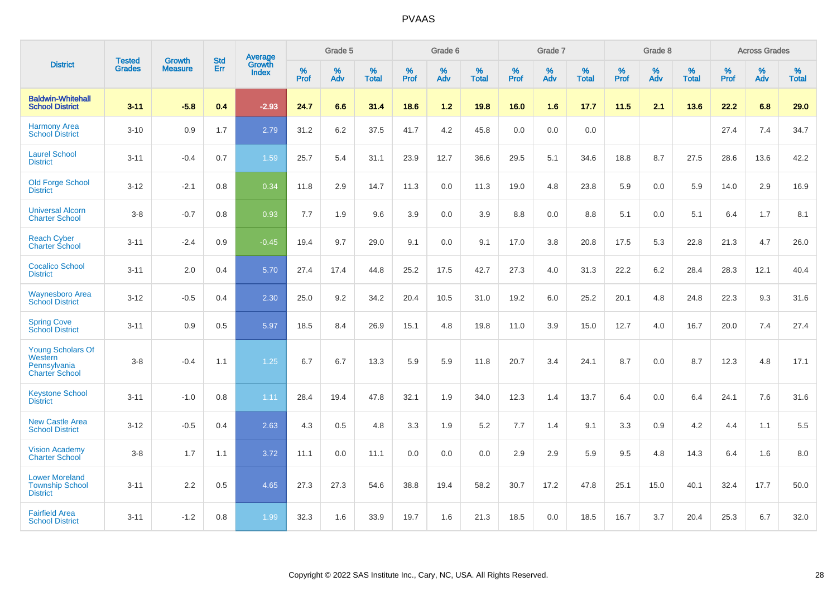|                                                                              | <b>Tested</b> | <b>Growth</b>  | <b>Std</b> | Average                       |           | Grade 5  |                   |           | Grade 6  |                   |           | Grade 7  |                   |           | Grade 8  |                   |           | <b>Across Grades</b> |                   |
|------------------------------------------------------------------------------|---------------|----------------|------------|-------------------------------|-----------|----------|-------------------|-----------|----------|-------------------|-----------|----------|-------------------|-----------|----------|-------------------|-----------|----------------------|-------------------|
| <b>District</b>                                                              | <b>Grades</b> | <b>Measure</b> | Err        | <b>Growth</b><br><b>Index</b> | %<br>Prof | %<br>Adv | %<br><b>Total</b> | %<br>Prof | %<br>Adv | %<br><b>Total</b> | %<br>Prof | %<br>Adv | %<br><b>Total</b> | %<br>Prof | %<br>Adv | %<br><b>Total</b> | %<br>Prof | %<br>Adv             | %<br><b>Total</b> |
| <b>Baldwin-Whitehall</b><br><b>School District</b>                           | $3 - 11$      | $-5.8$         | 0.4        | $-2.93$                       | 24.7      | 6.6      | 31.4              | 18.6      | 1.2      | 19.8              | 16.0      | 1.6      | 17.7              | 11.5      | 2.1      | 13.6              | 22.2      | 6.8                  | 29.0              |
| <b>Harmony Area</b><br><b>School District</b>                                | $3 - 10$      | 0.9            | 1.7        | 2.79                          | 31.2      | 6.2      | 37.5              | 41.7      | 4.2      | 45.8              | 0.0       | 0.0      | 0.0               |           |          |                   | 27.4      | 7.4                  | 34.7              |
| <b>Laurel School</b><br><b>District</b>                                      | $3 - 11$      | $-0.4$         | 0.7        | 1.59                          | 25.7      | 5.4      | 31.1              | 23.9      | 12.7     | 36.6              | 29.5      | 5.1      | 34.6              | 18.8      | 8.7      | 27.5              | 28.6      | 13.6                 | 42.2              |
| <b>Old Forge School</b><br><b>District</b>                                   | $3 - 12$      | $-2.1$         | 0.8        | 0.34                          | 11.8      | 2.9      | 14.7              | 11.3      | 0.0      | 11.3              | 19.0      | 4.8      | 23.8              | 5.9       | 0.0      | 5.9               | 14.0      | 2.9                  | 16.9              |
| <b>Universal Alcorn</b><br><b>Charter School</b>                             | $3 - 8$       | $-0.7$         | 0.8        | 0.93                          | 7.7       | 1.9      | 9.6               | 3.9       | 0.0      | 3.9               | 8.8       | 0.0      | 8.8               | 5.1       | 0.0      | 5.1               | 6.4       | 1.7                  | 8.1               |
| <b>Reach Cyber</b><br><b>Charter School</b>                                  | $3 - 11$      | $-2.4$         | 0.9        | $-0.45$                       | 19.4      | 9.7      | 29.0              | 9.1       | 0.0      | 9.1               | 17.0      | 3.8      | 20.8              | 17.5      | 5.3      | 22.8              | 21.3      | 4.7                  | 26.0              |
| <b>Cocalico School</b><br><b>District</b>                                    | $3 - 11$      | 2.0            | 0.4        | 5.70                          | 27.4      | 17.4     | 44.8              | 25.2      | 17.5     | 42.7              | 27.3      | 4.0      | 31.3              | 22.2      | $6.2\,$  | 28.4              | 28.3      | 12.1                 | 40.4              |
| <b>Waynesboro Area</b><br><b>School District</b>                             | $3 - 12$      | $-0.5$         | 0.4        | 2.30                          | 25.0      | 9.2      | 34.2              | 20.4      | 10.5     | 31.0              | 19.2      | 6.0      | 25.2              | 20.1      | 4.8      | 24.8              | 22.3      | 9.3                  | 31.6              |
| <b>Spring Cove</b><br><b>School District</b>                                 | $3 - 11$      | 0.9            | 0.5        | 5.97                          | 18.5      | 8.4      | 26.9              | 15.1      | 4.8      | 19.8              | 11.0      | 3.9      | 15.0              | 12.7      | 4.0      | 16.7              | 20.0      | 7.4                  | 27.4              |
| <b>Young Scholars Of</b><br>Western<br>Pennsylvania<br><b>Charter School</b> | $3 - 8$       | $-0.4$         | 1.1        | 1.25                          | 6.7       | 6.7      | 13.3              | 5.9       | 5.9      | 11.8              | 20.7      | 3.4      | 24.1              | 8.7       | 0.0      | 8.7               | 12.3      | 4.8                  | 17.1              |
| <b>Keystone School</b><br><b>District</b>                                    | $3 - 11$      | $-1.0$         | 0.8        | 1.11                          | 28.4      | 19.4     | 47.8              | 32.1      | 1.9      | 34.0              | 12.3      | 1.4      | 13.7              | 6.4       | 0.0      | 6.4               | 24.1      | 7.6                  | 31.6              |
| <b>New Castle Area</b><br><b>School District</b>                             | $3 - 12$      | $-0.5$         | 0.4        | 2.63                          | 4.3       | 0.5      | 4.8               | 3.3       | 1.9      | 5.2               | 7.7       | 1.4      | 9.1               | 3.3       | 0.9      | 4.2               | 4.4       | 1.1                  | 5.5               |
| <b>Vision Academy</b><br>Charter School                                      | $3 - 8$       | 1.7            | 1.1        | 3.72                          | 11.1      | 0.0      | 11.1              | 0.0       | 0.0      | 0.0               | 2.9       | 2.9      | 5.9               | 9.5       | 4.8      | 14.3              | 6.4       | 1.6                  | 8.0               |
| <b>Lower Moreland</b><br><b>Township School</b><br><b>District</b>           | $3 - 11$      | 2.2            | 0.5        | 4.65                          | 27.3      | 27.3     | 54.6              | 38.8      | 19.4     | 58.2              | 30.7      | 17.2     | 47.8              | 25.1      | 15.0     | 40.1              | 32.4      | 17.7                 | 50.0              |
| <b>Fairfield Area</b><br><b>School District</b>                              | $3 - 11$      | $-1.2$         | 0.8        | 1.99                          | 32.3      | 1.6      | 33.9              | 19.7      | 1.6      | 21.3              | 18.5      | 0.0      | 18.5              | 16.7      | 3.7      | 20.4              | 25.3      | 6.7                  | 32.0              |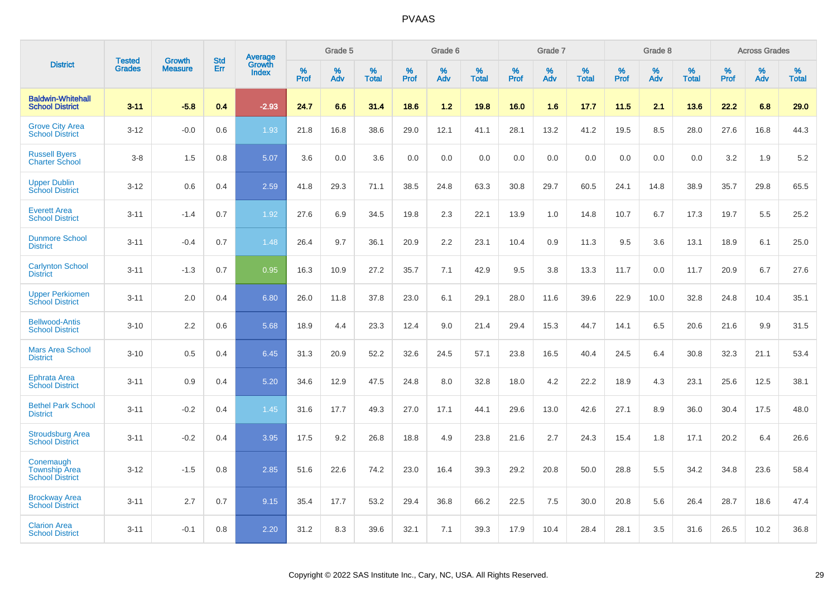|                                                             |                                | <b>Growth</b>  | <b>Std</b> | Average                |              | Grade 5     |                      |                     | Grade 6     |                      |              | Grade 7     |                      |              | Grade 8     |                   |                     | <b>Across Grades</b> |                      |
|-------------------------------------------------------------|--------------------------------|----------------|------------|------------------------|--------------|-------------|----------------------|---------------------|-------------|----------------------|--------------|-------------|----------------------|--------------|-------------|-------------------|---------------------|----------------------|----------------------|
| <b>District</b>                                             | <b>Tested</b><br><b>Grades</b> | <b>Measure</b> | Err        | Growth<br><b>Index</b> | $\%$<br>Prof | $\%$<br>Adv | $\%$<br><b>Total</b> | $\%$<br><b>Prof</b> | $\%$<br>Adv | $\%$<br><b>Total</b> | $\%$<br>Prof | $\%$<br>Adv | $\%$<br><b>Total</b> | $\%$<br>Prof | $\%$<br>Adv | %<br><b>Total</b> | $\%$<br><b>Prof</b> | $\%$<br>Adv          | $\%$<br><b>Total</b> |
| <b>Baldwin-Whitehall</b><br><b>School District</b>          | $3 - 11$                       | $-5.8$         | 0.4        | $-2.93$                | 24.7         | 6.6         | 31.4                 | 18.6                | 1.2         | 19.8                 | 16.0         | 1.6         | 17.7                 | 11.5         | 2.1         | 13.6              | 22.2                | 6.8                  | 29.0                 |
| <b>Grove City Area</b><br><b>School District</b>            | $3 - 12$                       | $-0.0$         | 0.6        | 1.93                   | 21.8         | 16.8        | 38.6                 | 29.0                | 12.1        | 41.1                 | 28.1         | 13.2        | 41.2                 | 19.5         | 8.5         | 28.0              | 27.6                | 16.8                 | 44.3                 |
| <b>Russell Byers</b><br><b>Charter School</b>               | $3 - 8$                        | 1.5            | 0.8        | 5.07                   | 3.6          | 0.0         | 3.6                  | 0.0                 | 0.0         | 0.0                  | 0.0          | 0.0         | 0.0                  | 0.0          | 0.0         | 0.0               | 3.2                 | 1.9                  | 5.2                  |
| <b>Upper Dublin</b><br><b>School District</b>               | $3 - 12$                       | 0.6            | 0.4        | 2.59                   | 41.8         | 29.3        | 71.1                 | 38.5                | 24.8        | 63.3                 | 30.8         | 29.7        | 60.5                 | 24.1         | 14.8        | 38.9              | 35.7                | 29.8                 | 65.5                 |
| <b>Everett Area</b><br><b>School District</b>               | $3 - 11$                       | $-1.4$         | 0.7        | 1.92                   | 27.6         | 6.9         | 34.5                 | 19.8                | 2.3         | 22.1                 | 13.9         | 1.0         | 14.8                 | 10.7         | 6.7         | 17.3              | 19.7                | 5.5                  | 25.2                 |
| <b>Dunmore School</b><br><b>District</b>                    | $3 - 11$                       | $-0.4$         | 0.7        | 1.48                   | 26.4         | 9.7         | 36.1                 | 20.9                | 2.2         | 23.1                 | 10.4         | 0.9         | 11.3                 | 9.5          | 3.6         | 13.1              | 18.9                | 6.1                  | 25.0                 |
| <b>Carlynton School</b><br><b>District</b>                  | $3 - 11$                       | $-1.3$         | 0.7        | 0.95                   | 16.3         | 10.9        | 27.2                 | 35.7                | 7.1         | 42.9                 | 9.5          | 3.8         | 13.3                 | 11.7         | 0.0         | 11.7              | 20.9                | 6.7                  | 27.6                 |
| <b>Upper Perkiomen</b><br><b>School District</b>            | $3 - 11$                       | 2.0            | 0.4        | 6.80                   | 26.0         | 11.8        | 37.8                 | 23.0                | 6.1         | 29.1                 | 28.0         | 11.6        | 39.6                 | 22.9         | 10.0        | 32.8              | 24.8                | 10.4                 | 35.1                 |
| <b>Bellwood-Antis</b><br><b>School District</b>             | $3 - 10$                       | 2.2            | 0.6        | 5.68                   | 18.9         | 4.4         | 23.3                 | 12.4                | 9.0         | 21.4                 | 29.4         | 15.3        | 44.7                 | 14.1         | 6.5         | 20.6              | 21.6                | 9.9                  | 31.5                 |
| <b>Mars Area School</b><br><b>District</b>                  | $3 - 10$                       | 0.5            | 0.4        | 6.45                   | 31.3         | 20.9        | 52.2                 | 32.6                | 24.5        | 57.1                 | 23.8         | 16.5        | 40.4                 | 24.5         | 6.4         | 30.8              | 32.3                | 21.1                 | 53.4                 |
| Ephrata Area<br><b>School District</b>                      | $3 - 11$                       | 0.9            | 0.4        | 5.20                   | 34.6         | 12.9        | 47.5                 | 24.8                | 8.0         | 32.8                 | 18.0         | 4.2         | 22.2                 | 18.9         | 4.3         | 23.1              | 25.6                | 12.5                 | 38.1                 |
| <b>Bethel Park School</b><br><b>District</b>                | $3 - 11$                       | $-0.2$         | 0.4        | 1.45                   | 31.6         | 17.7        | 49.3                 | 27.0                | 17.1        | 44.1                 | 29.6         | 13.0        | 42.6                 | 27.1         | 8.9         | 36.0              | 30.4                | 17.5                 | 48.0                 |
| <b>Stroudsburg Area</b><br><b>School District</b>           | $3 - 11$                       | $-0.2$         | 0.4        | 3.95                   | 17.5         | 9.2         | 26.8                 | 18.8                | 4.9         | 23.8                 | 21.6         | 2.7         | 24.3                 | 15.4         | 1.8         | 17.1              | 20.2                | 6.4                  | 26.6                 |
| Conemaugh<br><b>Township Area</b><br><b>School District</b> | $3 - 12$                       | $-1.5$         | 0.8        | 2.85                   | 51.6         | 22.6        | 74.2                 | 23.0                | 16.4        | 39.3                 | 29.2         | 20.8        | 50.0                 | 28.8         | 5.5         | 34.2              | 34.8                | 23.6                 | 58.4                 |
| <b>Brockway Area</b><br><b>School District</b>              | $3 - 11$                       | 2.7            | 0.7        | 9.15                   | 35.4         | 17.7        | 53.2                 | 29.4                | 36.8        | 66.2                 | 22.5         | 7.5         | 30.0                 | 20.8         | 5.6         | 26.4              | 28.7                | 18.6                 | 47.4                 |
| <b>Clarion Area</b><br><b>School District</b>               | $3 - 11$                       | $-0.1$         | 0.8        | 2.20                   | 31.2         | 8.3         | 39.6                 | 32.1                | 7.1         | 39.3                 | 17.9         | 10.4        | 28.4                 | 28.1         | 3.5         | 31.6              | 26.5                | 10.2                 | 36.8                 |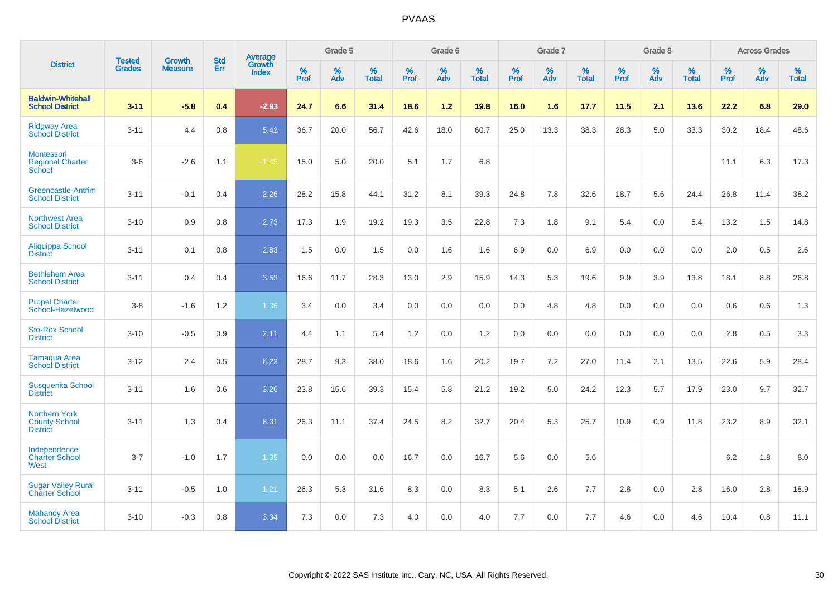|                                                                 |                                |                                 | <b>Std</b> | Average                |           | Grade 5  |                   |           | Grade 6  |                   |           | Grade 7  |                   |           | Grade 8  |                   |           | <b>Across Grades</b> |                   |
|-----------------------------------------------------------------|--------------------------------|---------------------------------|------------|------------------------|-----------|----------|-------------------|-----------|----------|-------------------|-----------|----------|-------------------|-----------|----------|-------------------|-----------|----------------------|-------------------|
| <b>District</b>                                                 | <b>Tested</b><br><b>Grades</b> | <b>Growth</b><br><b>Measure</b> | Err        | <b>Growth</b><br>Index | %<br>Prof | %<br>Adv | %<br><b>Total</b> | %<br>Prof | %<br>Adv | %<br><b>Total</b> | %<br>Prof | %<br>Adv | %<br><b>Total</b> | %<br>Prof | %<br>Adv | %<br><b>Total</b> | %<br>Prof | %<br>Adv             | %<br><b>Total</b> |
| <b>Baldwin-Whitehall</b><br><b>School District</b>              | $3 - 11$                       | $-5.8$                          | 0.4        | $-2.93$                | 24.7      | 6.6      | 31.4              | 18.6      | 1.2      | 19.8              | 16.0      | 1.6      | 17.7              | 11.5      | 2.1      | 13.6              | 22.2      | 6.8                  | 29.0              |
| <b>Ridgway Area</b><br><b>School District</b>                   | $3 - 11$                       | 4.4                             | 0.8        | 5.42                   | 36.7      | 20.0     | 56.7              | 42.6      | 18.0     | 60.7              | 25.0      | 13.3     | 38.3              | 28.3      | 5.0      | 33.3              | 30.2      | 18.4                 | 48.6              |
| Montessori<br><b>Regional Charter</b><br><b>School</b>          | $3-6$                          | $-2.6$                          | 1.1        | $-1.45$                | 15.0      | 5.0      | 20.0              | 5.1       | 1.7      | 6.8               |           |          |                   |           |          |                   | 11.1      | 6.3                  | 17.3              |
| <b>Greencastle-Antrim</b><br><b>School District</b>             | $3 - 11$                       | $-0.1$                          | 0.4        | 2.26                   | 28.2      | 15.8     | 44.1              | 31.2      | 8.1      | 39.3              | 24.8      | 7.8      | 32.6              | 18.7      | 5.6      | 24.4              | 26.8      | 11.4                 | 38.2              |
| <b>Northwest Area</b><br><b>School District</b>                 | $3 - 10$                       | 0.9                             | 0.8        | 2.73                   | 17.3      | 1.9      | 19.2              | 19.3      | 3.5      | 22.8              | 7.3       | 1.8      | 9.1               | 5.4       | 0.0      | 5.4               | 13.2      | 1.5                  | 14.8              |
| <b>Aliquippa School</b><br><b>District</b>                      | $3 - 11$                       | 0.1                             | 0.8        | 2.83                   | 1.5       | 0.0      | 1.5               | 0.0       | 1.6      | 1.6               | 6.9       | 0.0      | 6.9               | 0.0       | 0.0      | 0.0               | 2.0       | 0.5                  | 2.6               |
| <b>Bethlehem Area</b><br><b>School District</b>                 | $3 - 11$                       | 0.4                             | 0.4        | 3.53                   | 16.6      | 11.7     | 28.3              | 13.0      | 2.9      | 15.9              | 14.3      | 5.3      | 19.6              | 9.9       | 3.9      | 13.8              | 18.1      | 8.8                  | 26.8              |
| <b>Propel Charter</b><br>School-Hazelwood                       | $3-8$                          | $-1.6$                          | 1.2        | 1.36                   | 3.4       | 0.0      | 3.4               | 0.0       | 0.0      | 0.0               | 0.0       | 4.8      | 4.8               | 0.0       | 0.0      | 0.0               | 0.6       | 0.6                  | 1.3               |
| <b>Sto-Rox School</b><br><b>District</b>                        | $3 - 10$                       | $-0.5$                          | 0.9        | 2.11                   | 4.4       | 1.1      | 5.4               | 1.2       | 0.0      | 1.2               | 0.0       | 0.0      | 0.0               | 0.0       | 0.0      | 0.0               | 2.8       | $0.5\,$              | 3.3               |
| Tamaqua Area<br><b>School District</b>                          | $3 - 12$                       | 2.4                             | 0.5        | 6.23                   | 28.7      | 9.3      | 38.0              | 18.6      | 1.6      | 20.2              | 19.7      | 7.2      | 27.0              | 11.4      | 2.1      | 13.5              | 22.6      | 5.9                  | 28.4              |
| <b>Susquenita School</b><br><b>District</b>                     | $3 - 11$                       | 1.6                             | 0.6        | 3.26                   | 23.8      | 15.6     | 39.3              | 15.4      | 5.8      | 21.2              | 19.2      | 5.0      | 24.2              | 12.3      | 5.7      | 17.9              | 23.0      | 9.7                  | 32.7              |
| <b>Northern York</b><br><b>County School</b><br><b>District</b> | $3 - 11$                       | 1.3                             | 0.4        | 6.31                   | 26.3      | 11.1     | 37.4              | 24.5      | 8.2      | 32.7              | 20.4      | 5.3      | 25.7              | 10.9      | 0.9      | 11.8              | 23.2      | 8.9                  | 32.1              |
| Independence<br><b>Charter School</b><br>West                   | $3 - 7$                        | $-1.0$                          | 1.7        | 1.35                   | 0.0       | 0.0      | 0.0               | 16.7      | 0.0      | 16.7              | 5.6       | 0.0      | 5.6               |           |          |                   | 6.2       | 1.8                  | 8.0               |
| <b>Sugar Valley Rural</b><br><b>Charter School</b>              | $3 - 11$                       | $-0.5$                          | 1.0        | 1.21                   | 26.3      | 5.3      | 31.6              | 8.3       | 0.0      | 8.3               | 5.1       | 2.6      | 7.7               | 2.8       | 0.0      | 2.8               | 16.0      | 2.8                  | 18.9              |
| <b>Mahanoy Area</b><br><b>School District</b>                   | $3 - 10$                       | $-0.3$                          | 0.8        | 3.34                   | 7.3       | 0.0      | 7.3               | 4.0       | 0.0      | 4.0               | 7.7       | 0.0      | 7.7               | 4.6       | 0.0      | 4.6               | 10.4      | 0.8                  | 11.1              |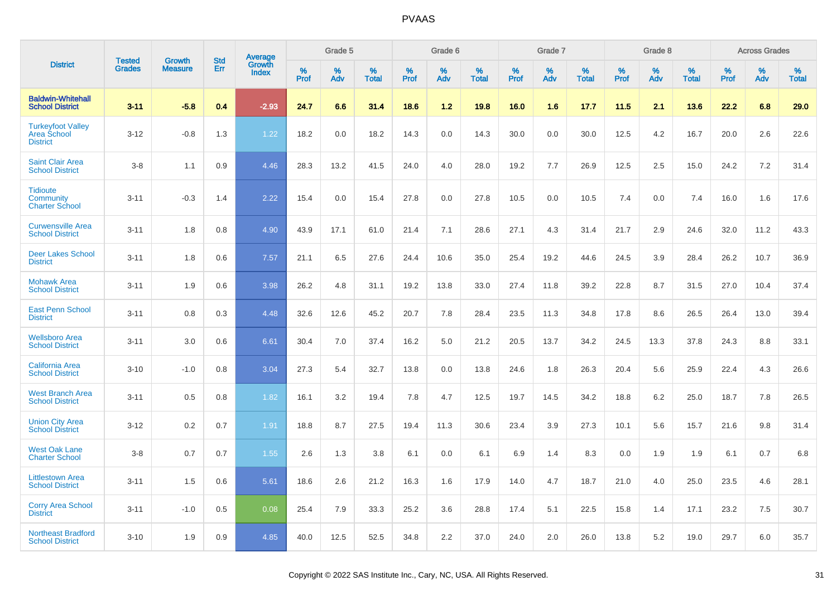|                                                                   |                                |                                 | <b>Std</b> |                                          |              | Grade 5  |                   |              | Grade 6  |                   |              | Grade 7  |                   |              | Grade 8  |                   |              | <b>Across Grades</b> |                   |
|-------------------------------------------------------------------|--------------------------------|---------------------------------|------------|------------------------------------------|--------------|----------|-------------------|--------------|----------|-------------------|--------------|----------|-------------------|--------------|----------|-------------------|--------------|----------------------|-------------------|
| <b>District</b>                                                   | <b>Tested</b><br><b>Grades</b> | <b>Growth</b><br><b>Measure</b> | Err        | <b>Average</b><br>Growth<br><b>Index</b> | $\%$<br>Prof | %<br>Adv | %<br><b>Total</b> | $\%$<br>Prof | %<br>Adv | %<br><b>Total</b> | $\%$<br>Prof | %<br>Adv | %<br><b>Total</b> | $\%$<br>Prof | %<br>Adv | %<br><b>Total</b> | $\%$<br>Prof | %<br>Adv             | %<br><b>Total</b> |
| <b>Baldwin-Whitehall</b><br><b>School District</b>                | $3 - 11$                       | $-5.8$                          | 0.4        | $-2.93$                                  | 24.7         | 6.6      | 31.4              | 18.6         | 1.2      | 19.8              | 16.0         | 1.6      | 17.7              | 11.5         | 2.1      | 13.6              | 22.2         | 6.8                  | 29.0              |
| <b>Turkeyfoot Valley</b><br><b>Area School</b><br><b>District</b> | $3 - 12$                       | $-0.8$                          | 1.3        | 1.22                                     | 18.2         | 0.0      | 18.2              | 14.3         | 0.0      | 14.3              | 30.0         | 0.0      | 30.0              | 12.5         | 4.2      | 16.7              | 20.0         | 2.6                  | 22.6              |
| <b>Saint Clair Area</b><br><b>School District</b>                 | $3 - 8$                        | 1.1                             | 0.9        | 4.46                                     | 28.3         | 13.2     | 41.5              | 24.0         | 4.0      | 28.0              | 19.2         | 7.7      | 26.9              | 12.5         | 2.5      | 15.0              | 24.2         | 7.2                  | 31.4              |
| <b>Tidioute</b><br>Community<br><b>Charter School</b>             | $3 - 11$                       | $-0.3$                          | 1.4        | 2.22                                     | 15.4         | 0.0      | 15.4              | 27.8         | 0.0      | 27.8              | 10.5         | 0.0      | 10.5              | 7.4          | 0.0      | 7.4               | 16.0         | 1.6                  | 17.6              |
| <b>Curwensville Area</b><br><b>School District</b>                | $3 - 11$                       | 1.8                             | 0.8        | 4.90                                     | 43.9         | 17.1     | 61.0              | 21.4         | 7.1      | 28.6              | 27.1         | 4.3      | 31.4              | 21.7         | 2.9      | 24.6              | 32.0         | 11.2                 | 43.3              |
| <b>Deer Lakes School</b><br><b>District</b>                       | $3 - 11$                       | 1.8                             | 0.6        | 7.57                                     | 21.1         | 6.5      | 27.6              | 24.4         | 10.6     | 35.0              | 25.4         | 19.2     | 44.6              | 24.5         | 3.9      | 28.4              | 26.2         | 10.7                 | 36.9              |
| <b>Mohawk Area</b><br><b>School District</b>                      | $3 - 11$                       | 1.9                             | 0.6        | 3.98                                     | 26.2         | 4.8      | 31.1              | 19.2         | 13.8     | 33.0              | 27.4         | 11.8     | 39.2              | 22.8         | 8.7      | 31.5              | 27.0         | 10.4                 | 37.4              |
| <b>East Penn School</b><br><b>District</b>                        | $3 - 11$                       | 0.8                             | 0.3        | 4.48                                     | 32.6         | 12.6     | 45.2              | 20.7         | 7.8      | 28.4              | 23.5         | 11.3     | 34.8              | 17.8         | 8.6      | 26.5              | 26.4         | 13.0                 | 39.4              |
| <b>Wellsboro Area</b><br><b>School District</b>                   | $3 - 11$                       | 3.0                             | 0.6        | 6.61                                     | 30.4         | 7.0      | 37.4              | 16.2         | 5.0      | 21.2              | 20.5         | 13.7     | 34.2              | 24.5         | 13.3     | 37.8              | 24.3         | 8.8                  | 33.1              |
| <b>California Area</b><br><b>School District</b>                  | $3 - 10$                       | $-1.0$                          | 0.8        | 3.04                                     | 27.3         | 5.4      | 32.7              | 13.8         | 0.0      | 13.8              | 24.6         | 1.8      | 26.3              | 20.4         | 5.6      | 25.9              | 22.4         | 4.3                  | 26.6              |
| <b>West Branch Area</b><br><b>School District</b>                 | $3 - 11$                       | 0.5                             | 0.8        | 1.82                                     | 16.1         | 3.2      | 19.4              | 7.8          | 4.7      | 12.5              | 19.7         | 14.5     | 34.2              | 18.8         | 6.2      | 25.0              | 18.7         | 7.8                  | 26.5              |
| <b>Union City Area</b><br><b>School District</b>                  | $3 - 12$                       | 0.2                             | 0.7        | 1.91                                     | 18.8         | 8.7      | 27.5              | 19.4         | 11.3     | 30.6              | 23.4         | 3.9      | 27.3              | 10.1         | 5.6      | 15.7              | 21.6         | 9.8                  | 31.4              |
| <b>West Oak Lane</b><br><b>Charter School</b>                     | $3 - 8$                        | 0.7                             | 0.7        | 1.55                                     | 2.6          | 1.3      | 3.8               | 6.1          | 0.0      | 6.1               | 6.9          | 1.4      | 8.3               | 0.0          | 1.9      | 1.9               | 6.1          | 0.7                  | 6.8               |
| <b>Littlestown Area</b><br><b>School District</b>                 | $3 - 11$                       | 1.5                             | 0.6        | 5.61                                     | 18.6         | 2.6      | 21.2              | 16.3         | 1.6      | 17.9              | 14.0         | 4.7      | 18.7              | 21.0         | 4.0      | 25.0              | 23.5         | 4.6                  | 28.1              |
| <b>Corry Area School</b><br><b>District</b>                       | $3 - 11$                       | $-1.0$                          | 0.5        | 0.08                                     | 25.4         | 7.9      | 33.3              | 25.2         | 3.6      | 28.8              | 17.4         | 5.1      | 22.5              | 15.8         | 1.4      | 17.1              | 23.2         | 7.5                  | 30.7              |
| <b>Northeast Bradford</b><br><b>School District</b>               | $3 - 10$                       | 1.9                             | 0.9        | 4.85                                     | 40.0         | 12.5     | 52.5              | 34.8         | 2.2      | 37.0              | 24.0         | 2.0      | 26.0              | 13.8         | 5.2      | 19.0              | 29.7         | 6.0                  | 35.7              |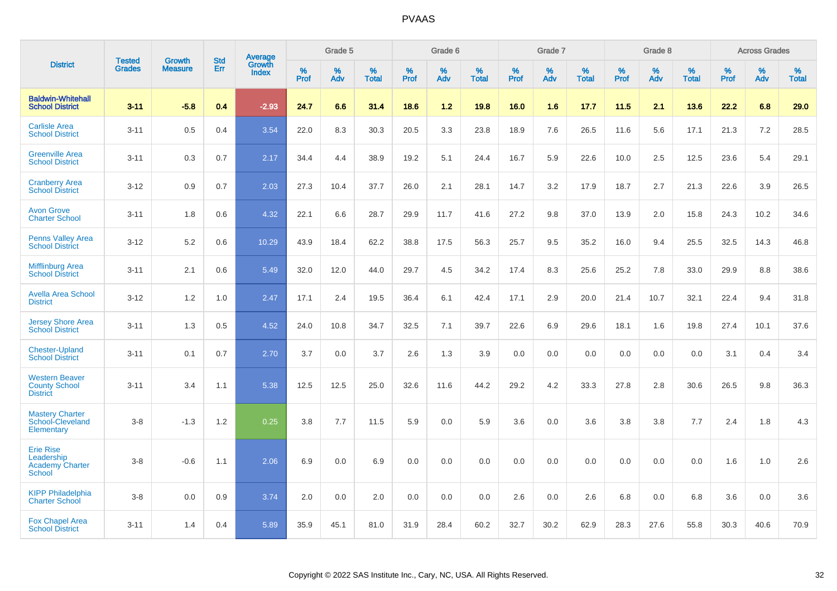|                                                                    |                                | <b>Growth</b>  | <b>Std</b> | Average                |              | Grade 5  |                   |           | Grade 6  |                   |           | Grade 7  |                   |           | Grade 8  |                   |              | <b>Across Grades</b> |                   |
|--------------------------------------------------------------------|--------------------------------|----------------|------------|------------------------|--------------|----------|-------------------|-----------|----------|-------------------|-----------|----------|-------------------|-----------|----------|-------------------|--------------|----------------------|-------------------|
| <b>District</b>                                                    | <b>Tested</b><br><b>Grades</b> | <b>Measure</b> | Err        | Growth<br><b>Index</b> | $\%$<br>Prof | %<br>Adv | %<br><b>Total</b> | %<br>Prof | %<br>Adv | %<br><b>Total</b> | %<br>Prof | %<br>Adv | %<br><b>Total</b> | %<br>Prof | %<br>Adv | %<br><b>Total</b> | $\%$<br>Prof | $\%$<br>Adv          | %<br><b>Total</b> |
| <b>Baldwin-Whitehall</b><br><b>School District</b>                 | $3 - 11$                       | $-5.8$         | 0.4        | $-2.93$                | 24.7         | 6.6      | 31.4              | 18.6      | 1.2      | 19.8              | 16.0      | 1.6      | 17.7              | 11.5      | 2.1      | 13.6              | 22.2         | 6.8                  | 29.0              |
| <b>Carlisle Area</b><br><b>School District</b>                     | $3 - 11$                       | 0.5            | 0.4        | 3.54                   | 22.0         | 8.3      | 30.3              | 20.5      | 3.3      | 23.8              | 18.9      | 7.6      | 26.5              | 11.6      | 5.6      | 17.1              | 21.3         | 7.2                  | 28.5              |
| <b>Greenville Area</b><br><b>School District</b>                   | $3 - 11$                       | 0.3            | 0.7        | 2.17                   | 34.4         | 4.4      | 38.9              | 19.2      | 5.1      | 24.4              | 16.7      | 5.9      | 22.6              | 10.0      | 2.5      | 12.5              | 23.6         | 5.4                  | 29.1              |
| <b>Cranberry Area</b><br><b>School District</b>                    | $3 - 12$                       | 0.9            | 0.7        | 2.03                   | 27.3         | 10.4     | 37.7              | 26.0      | 2.1      | 28.1              | 14.7      | 3.2      | 17.9              | 18.7      | 2.7      | 21.3              | 22.6         | 3.9                  | 26.5              |
| <b>Avon Grove</b><br><b>Charter School</b>                         | $3 - 11$                       | 1.8            | 0.6        | 4.32                   | 22.1         | 6.6      | 28.7              | 29.9      | 11.7     | 41.6              | 27.2      | 9.8      | 37.0              | 13.9      | 2.0      | 15.8              | 24.3         | 10.2                 | 34.6              |
| <b>Penns Valley Area</b><br><b>School District</b>                 | $3 - 12$                       | 5.2            | 0.6        | 10.29                  | 43.9         | 18.4     | 62.2              | 38.8      | 17.5     | 56.3              | 25.7      | 9.5      | 35.2              | 16.0      | 9.4      | 25.5              | 32.5         | 14.3                 | 46.8              |
| <b>Mifflinburg Area</b><br><b>School District</b>                  | $3 - 11$                       | 2.1            | 0.6        | 5.49                   | 32.0         | 12.0     | 44.0              | 29.7      | 4.5      | 34.2              | 17.4      | 8.3      | 25.6              | 25.2      | 7.8      | 33.0              | 29.9         | 8.8                  | 38.6              |
| <b>Avella Area School</b><br><b>District</b>                       | $3 - 12$                       | 1.2            | 1.0        | 2.47                   | 17.1         | 2.4      | 19.5              | 36.4      | 6.1      | 42.4              | 17.1      | 2.9      | 20.0              | 21.4      | 10.7     | 32.1              | 22.4         | 9.4                  | 31.8              |
| <b>Jersey Shore Area</b><br><b>School District</b>                 | $3 - 11$                       | 1.3            | 0.5        | 4.52                   | 24.0         | 10.8     | 34.7              | 32.5      | 7.1      | 39.7              | 22.6      | 6.9      | 29.6              | 18.1      | 1.6      | 19.8              | 27.4         | 10.1                 | 37.6              |
| <b>Chester-Upland</b><br><b>School District</b>                    | $3 - 11$                       | 0.1            | 0.7        | 2.70                   | 3.7          | 0.0      | 3.7               | 2.6       | 1.3      | 3.9               | 0.0       | 0.0      | 0.0               | 0.0       | 0.0      | 0.0               | 3.1          | 0.4                  | 3.4               |
| <b>Western Beaver</b><br><b>County School</b><br><b>District</b>   | $3 - 11$                       | 3.4            | 1.1        | 5.38                   | 12.5         | 12.5     | 25.0              | 32.6      | 11.6     | 44.2              | 29.2      | 4.2      | 33.3              | 27.8      | 2.8      | 30.6              | 26.5         | 9.8                  | 36.3              |
| <b>Mastery Charter</b><br>School-Cleveland<br>Elementary           | $3 - 8$                        | $-1.3$         | 1.2        | 0.25                   | 3.8          | 7.7      | 11.5              | 5.9       | 0.0      | 5.9               | 3.6       | 0.0      | 3.6               | 3.8       | 3.8      | 7.7               | 2.4          | 1.8                  | 4.3               |
| <b>Erie Rise</b><br>Leadership<br><b>Academy Charter</b><br>School | $3 - 8$                        | $-0.6$         | 1.1        | 2.06                   | 6.9          | 0.0      | 6.9               | 0.0       | 0.0      | 0.0               | 0.0       | 0.0      | 0.0               | 0.0       | 0.0      | 0.0               | 1.6          | 1.0                  | 2.6               |
| <b>KIPP Philadelphia</b><br><b>Charter School</b>                  | $3 - 8$                        | 0.0            | 0.9        | 3.74                   | 2.0          | 0.0      | 2.0               | 0.0       | 0.0      | 0.0               | 2.6       | 0.0      | 2.6               | 6.8       | 0.0      | 6.8               | 3.6          | 0.0                  | 3.6               |
| <b>Fox Chapel Area</b><br><b>School District</b>                   | $3 - 11$                       | 1.4            | 0.4        | 5.89                   | 35.9         | 45.1     | 81.0              | 31.9      | 28.4     | 60.2              | 32.7      | 30.2     | 62.9              | 28.3      | 27.6     | 55.8              | 30.3         | 40.6                 | 70.9              |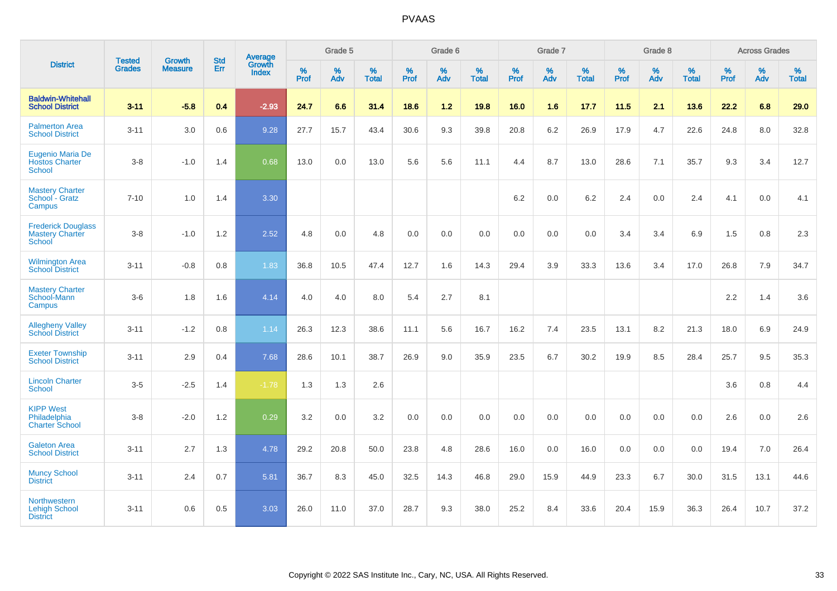|                                                               |                                | <b>Growth</b>  | <b>Std</b> | Average         |              | Grade 5  |                   |              | Grade 6  |                   |              | Grade 7  |                   |              | Grade 8  |                   |              | <b>Across Grades</b> |                   |
|---------------------------------------------------------------|--------------------------------|----------------|------------|-----------------|--------------|----------|-------------------|--------------|----------|-------------------|--------------|----------|-------------------|--------------|----------|-------------------|--------------|----------------------|-------------------|
| <b>District</b>                                               | <b>Tested</b><br><b>Grades</b> | <b>Measure</b> | Err        | Growth<br>Index | $\%$<br>Prof | %<br>Adv | %<br><b>Total</b> | $\%$<br>Prof | %<br>Adv | %<br><b>Total</b> | $\%$<br>Prof | %<br>Adv | %<br><b>Total</b> | $\%$<br>Prof | %<br>Adv | %<br><b>Total</b> | $\%$<br>Prof | $\%$<br>Adv          | %<br><b>Total</b> |
| <b>Baldwin-Whitehall</b><br><b>School District</b>            | $3 - 11$                       | $-5.8$         | 0.4        | $-2.93$         | 24.7         | 6.6      | 31.4              | 18.6         | $1.2$    | 19.8              | 16.0         | 1.6      | 17.7              | 11.5         | 2.1      | 13.6              | 22.2         | 6.8                  | 29.0              |
| <b>Palmerton Area</b><br><b>School District</b>               | $3 - 11$                       | 3.0            | 0.6        | 9.28            | 27.7         | 15.7     | 43.4              | 30.6         | 9.3      | 39.8              | 20.8         | 6.2      | 26.9              | 17.9         | 4.7      | 22.6              | 24.8         | 8.0                  | 32.8              |
| Eugenio Maria De<br><b>Hostos Charter</b><br><b>School</b>    | $3 - 8$                        | $-1.0$         | 1.4        | 0.68            | 13.0         | 0.0      | 13.0              | 5.6          | 5.6      | 11.1              | 4.4          | 8.7      | 13.0              | 28.6         | 7.1      | 35.7              | 9.3          | 3.4                  | 12.7              |
| <b>Mastery Charter</b><br>School - Gratz<br>Campus            | $7 - 10$                       | 1.0            | 1.4        | 3.30            |              |          |                   |              |          |                   | 6.2          | 0.0      | 6.2               | 2.4          | 0.0      | 2.4               | 4.1          | 0.0                  | 4.1               |
| <b>Frederick Douglass</b><br><b>Mastery Charter</b><br>School | $3 - 8$                        | $-1.0$         | 1.2        | 2.52            | 4.8          | 0.0      | 4.8               | 0.0          | 0.0      | 0.0               | 0.0          | 0.0      | 0.0               | 3.4          | 3.4      | 6.9               | 1.5          | 0.8                  | $2.3\,$           |
| <b>Wilmington Area</b><br><b>School District</b>              | $3 - 11$                       | $-0.8$         | 0.8        | 1.83            | 36.8         | 10.5     | 47.4              | 12.7         | 1.6      | 14.3              | 29.4         | 3.9      | 33.3              | 13.6         | 3.4      | 17.0              | 26.8         | 7.9                  | 34.7              |
| <b>Mastery Charter</b><br>School-Mann<br>Campus               | $3-6$                          | 1.8            | 1.6        | 4.14            | 4.0          | 4.0      | 8.0               | 5.4          | 2.7      | 8.1               |              |          |                   |              |          |                   | $2.2\,$      | 1.4                  | 3.6               |
| <b>Allegheny Valley</b><br><b>School District</b>             | $3 - 11$                       | $-1.2$         | $0.8\,$    | 1.14            | 26.3         | 12.3     | 38.6              | 11.1         | 5.6      | 16.7              | 16.2         | 7.4      | 23.5              | 13.1         | 8.2      | 21.3              | 18.0         | 6.9                  | 24.9              |
| <b>Exeter Township</b><br><b>School District</b>              | $3 - 11$                       | 2.9            | 0.4        | 7.68            | 28.6         | 10.1     | 38.7              | 26.9         | 9.0      | 35.9              | 23.5         | 6.7      | 30.2              | 19.9         | 8.5      | 28.4              | 25.7         | 9.5                  | 35.3              |
| <b>Lincoln Charter</b><br><b>School</b>                       | $3 - 5$                        | $-2.5$         | 1.4        | $-1.78$         | 1.3          | 1.3      | 2.6               |              |          |                   |              |          |                   |              |          |                   | 3.6          | 0.8                  | 4.4               |
| <b>KIPP West</b><br>Philadelphia<br><b>Charter School</b>     | $3 - 8$                        | $-2.0$         | 1.2        | 0.29            | 3.2          | 0.0      | 3.2               | 0.0          | 0.0      | 0.0               | 0.0          | 0.0      | 0.0               | 0.0          | 0.0      | 0.0               | 2.6          | 0.0                  | 2.6               |
| <b>Galeton Area</b><br><b>School District</b>                 | $3 - 11$                       | 2.7            | 1.3        | 4.78            | 29.2         | 20.8     | 50.0              | 23.8         | 4.8      | 28.6              | 16.0         | 0.0      | 16.0              | 0.0          | 0.0      | 0.0               | 19.4         | 7.0                  | 26.4              |
| <b>Muncy School</b><br><b>District</b>                        | $3 - 11$                       | 2.4            | 0.7        | 5.81            | 36.7         | 8.3      | 45.0              | 32.5         | 14.3     | 46.8              | 29.0         | 15.9     | 44.9              | 23.3         | 6.7      | 30.0              | 31.5         | 13.1                 | 44.6              |
| Northwestern<br><b>Lehigh School</b><br><b>District</b>       | $3 - 11$                       | 0.6            | 0.5        | 3.03            | 26.0         | 11.0     | 37.0              | 28.7         | 9.3      | 38.0              | 25.2         | 8.4      | 33.6              | 20.4         | 15.9     | 36.3              | 26.4         | 10.7                 | 37.2              |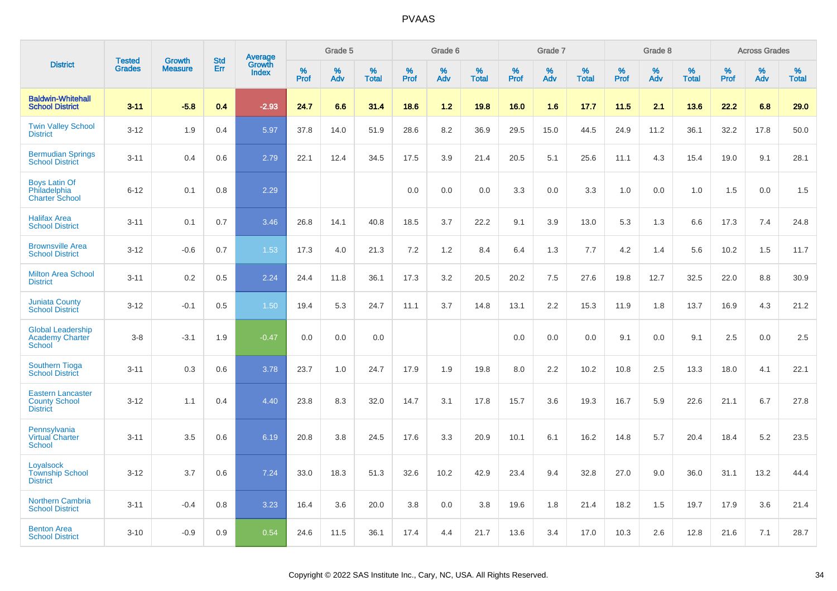|                                                                     | <b>Tested</b> | <b>Growth</b>  | <b>Std</b> | Average                |           | Grade 5  |                   |           | Grade 6  |                   |           | Grade 7  |                   |           | Grade 8  |                   |              | <b>Across Grades</b> |                   |
|---------------------------------------------------------------------|---------------|----------------|------------|------------------------|-----------|----------|-------------------|-----------|----------|-------------------|-----------|----------|-------------------|-----------|----------|-------------------|--------------|----------------------|-------------------|
| <b>District</b>                                                     | <b>Grades</b> | <b>Measure</b> | Err        | Growth<br><b>Index</b> | %<br>Prof | %<br>Adv | %<br><b>Total</b> | %<br>Prof | %<br>Adv | %<br><b>Total</b> | %<br>Prof | %<br>Adv | %<br><b>Total</b> | %<br>Prof | %<br>Adv | %<br><b>Total</b> | $\%$<br>Prof | %<br>Adv             | %<br><b>Total</b> |
| <b>Baldwin-Whitehall</b><br><b>School District</b>                  | $3 - 11$      | $-5.8$         | 0.4        | $-2.93$                | 24.7      | 6.6      | 31.4              | 18.6      | $1.2$    | 19.8              | 16.0      | 1.6      | 17.7              | 11.5      | 2.1      | 13.6              | 22.2         | 6.8                  | 29.0              |
| <b>Twin Valley School</b><br><b>District</b>                        | $3 - 12$      | 1.9            | 0.4        | 5.97                   | 37.8      | 14.0     | 51.9              | 28.6      | 8.2      | 36.9              | 29.5      | 15.0     | 44.5              | 24.9      | 11.2     | 36.1              | 32.2         | 17.8                 | 50.0              |
| <b>Bermudian Springs</b><br><b>School District</b>                  | $3 - 11$      | 0.4            | 0.6        | 2.79                   | 22.1      | 12.4     | 34.5              | 17.5      | 3.9      | 21.4              | 20.5      | 5.1      | 25.6              | 11.1      | 4.3      | 15.4              | 19.0         | 9.1                  | 28.1              |
| <b>Boys Latin Of</b><br>Philadelphia<br><b>Charter School</b>       | $6 - 12$      | 0.1            | 0.8        | 2.29                   |           |          |                   | 0.0       | 0.0      | 0.0               | 3.3       | 0.0      | 3.3               | 1.0       | 0.0      | 1.0               | 1.5          | 0.0                  | 1.5               |
| <b>Halifax Area</b><br><b>School District</b>                       | $3 - 11$      | 0.1            | 0.7        | 3.46                   | 26.8      | 14.1     | 40.8              | 18.5      | 3.7      | 22.2              | 9.1       | 3.9      | 13.0              | 5.3       | 1.3      | 6.6               | 17.3         | 7.4                  | 24.8              |
| <b>Brownsville Area</b><br><b>School District</b>                   | $3 - 12$      | $-0.6$         | 0.7        | 1.53                   | 17.3      | 4.0      | 21.3              | 7.2       | 1.2      | 8.4               | 6.4       | 1.3      | 7.7               | 4.2       | 1.4      | 5.6               | 10.2         | 1.5                  | 11.7              |
| <b>Milton Area School</b><br><b>District</b>                        | $3 - 11$      | 0.2            | 0.5        | 2.24                   | 24.4      | 11.8     | 36.1              | 17.3      | 3.2      | 20.5              | 20.2      | 7.5      | 27.6              | 19.8      | 12.7     | 32.5              | 22.0         | 8.8                  | 30.9              |
| <b>Juniata County</b><br><b>School District</b>                     | $3 - 12$      | $-0.1$         | 0.5        | 1.50                   | 19.4      | 5.3      | 24.7              | 11.1      | 3.7      | 14.8              | 13.1      | 2.2      | 15.3              | 11.9      | 1.8      | 13.7              | 16.9         | 4.3                  | 21.2              |
| <b>Global Leadership</b><br><b>Academy Charter</b><br><b>School</b> | $3 - 8$       | $-3.1$         | 1.9        | $-0.47$                | 0.0       | 0.0      | 0.0               |           |          |                   | 0.0       | 0.0      | 0.0               | 9.1       | 0.0      | 9.1               | 2.5          | 0.0                  | 2.5               |
| <b>Southern Tioga</b><br><b>School District</b>                     | $3 - 11$      | 0.3            | 0.6        | 3.78                   | 23.7      | 1.0      | 24.7              | 17.9      | 1.9      | 19.8              | 8.0       | 2.2      | 10.2              | 10.8      | 2.5      | 13.3              | 18.0         | 4.1                  | 22.1              |
| <b>Eastern Lancaster</b><br><b>County School</b><br><b>District</b> | $3 - 12$      | 1.1            | 0.4        | 4.40                   | 23.8      | 8.3      | 32.0              | 14.7      | 3.1      | 17.8              | 15.7      | 3.6      | 19.3              | 16.7      | 5.9      | 22.6              | 21.1         | 6.7                  | 27.8              |
| Pennsylvania<br><b>Virtual Charter</b><br><b>School</b>             | $3 - 11$      | 3.5            | 0.6        | 6.19                   | 20.8      | 3.8      | 24.5              | 17.6      | 3.3      | 20.9              | 10.1      | 6.1      | 16.2              | 14.8      | 5.7      | 20.4              | 18.4         | 5.2                  | 23.5              |
| Loyalsock<br><b>Township School</b><br><b>District</b>              | $3 - 12$      | 3.7            | 0.6        | 7.24                   | 33.0      | 18.3     | 51.3              | 32.6      | 10.2     | 42.9              | 23.4      | 9.4      | 32.8              | 27.0      | 9.0      | 36.0              | 31.1         | 13.2                 | 44.4              |
| <b>Northern Cambria</b><br><b>School District</b>                   | $3 - 11$      | $-0.4$         | 0.8        | 3.23                   | 16.4      | 3.6      | 20.0              | 3.8       | 0.0      | 3.8               | 19.6      | 1.8      | 21.4              | 18.2      | 1.5      | 19.7              | 17.9         | 3.6                  | 21.4              |
| <b>Benton Area</b><br><b>School District</b>                        | $3 - 10$      | $-0.9$         | 0.9        | 0.54                   | 24.6      | 11.5     | 36.1              | 17.4      | 4.4      | 21.7              | 13.6      | 3.4      | 17.0              | 10.3      | 2.6      | 12.8              | 21.6         | 7.1                  | 28.7              |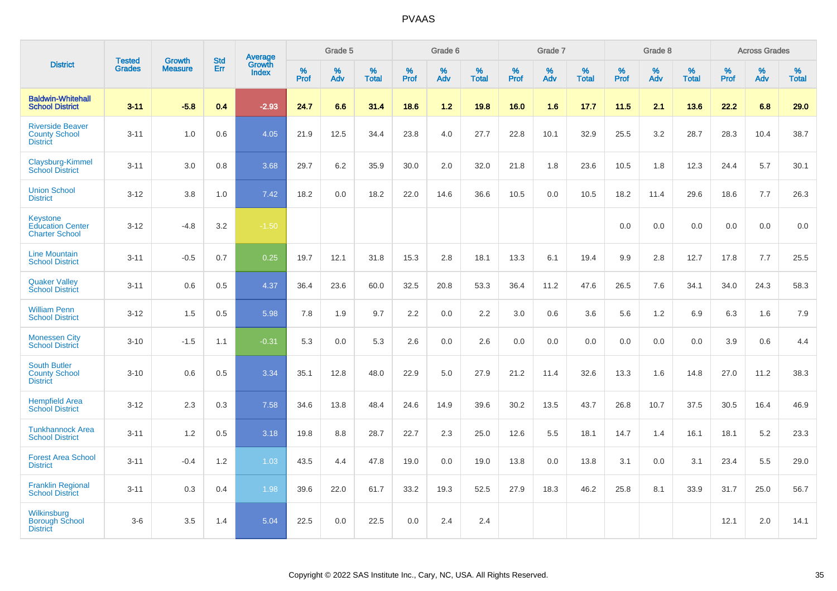|                                                                     |                                |                                 | <b>Std</b> | Average                |              | Grade 5  |                   |           | Grade 6  |                   |           | Grade 7  |                   |           | Grade 8  |                   |           | <b>Across Grades</b> |                   |
|---------------------------------------------------------------------|--------------------------------|---------------------------------|------------|------------------------|--------------|----------|-------------------|-----------|----------|-------------------|-----------|----------|-------------------|-----------|----------|-------------------|-----------|----------------------|-------------------|
| <b>District</b>                                                     | <b>Tested</b><br><b>Grades</b> | <b>Growth</b><br><b>Measure</b> | Err        | Growth<br><b>Index</b> | $\%$<br>Prof | %<br>Adv | %<br><b>Total</b> | %<br>Prof | %<br>Adv | %<br><b>Total</b> | %<br>Prof | %<br>Adv | %<br><b>Total</b> | %<br>Prof | %<br>Adv | %<br><b>Total</b> | %<br>Prof | %<br>Adv             | %<br><b>Total</b> |
| <b>Baldwin-Whitehall</b><br><b>School District</b>                  | $3 - 11$                       | $-5.8$                          | 0.4        | $-2.93$                | 24.7         | 6.6      | 31.4              | 18.6      | $1.2$    | 19.8              | 16.0      | 1.6      | 17.7              | 11.5      | 2.1      | 13.6              | 22.2      | 6.8                  | 29.0              |
| <b>Riverside Beaver</b><br><b>County School</b><br><b>District</b>  | $3 - 11$                       | 1.0                             | 0.6        | 4.05                   | 21.9         | 12.5     | 34.4              | 23.8      | 4.0      | 27.7              | 22.8      | 10.1     | 32.9              | 25.5      | 3.2      | 28.7              | 28.3      | 10.4                 | 38.7              |
| Claysburg-Kimmel<br><b>School District</b>                          | $3 - 11$                       | 3.0                             | 0.8        | 3.68                   | 29.7         | 6.2      | 35.9              | 30.0      | 2.0      | 32.0              | 21.8      | 1.8      | 23.6              | 10.5      | 1.8      | 12.3              | 24.4      | 5.7                  | 30.1              |
| <b>Union School</b><br><b>District</b>                              | $3 - 12$                       | 3.8                             | 1.0        | 7.42                   | 18.2         | 0.0      | 18.2              | 22.0      | 14.6     | 36.6              | 10.5      | 0.0      | 10.5              | 18.2      | 11.4     | 29.6              | 18.6      | 7.7                  | 26.3              |
| <b>Keystone</b><br><b>Education Center</b><br><b>Charter School</b> | $3 - 12$                       | $-4.8$                          | 3.2        | $-1.50$                |              |          |                   |           |          |                   |           |          |                   | 0.0       | 0.0      | 0.0               | 0.0       | 0.0                  | 0.0               |
| <b>Line Mountain</b><br><b>School District</b>                      | $3 - 11$                       | $-0.5$                          | 0.7        | 0.25                   | 19.7         | 12.1     | 31.8              | 15.3      | 2.8      | 18.1              | 13.3      | 6.1      | 19.4              | 9.9       | 2.8      | 12.7              | 17.8      | 7.7                  | 25.5              |
| <b>Quaker Valley</b><br><b>School District</b>                      | $3 - 11$                       | 0.6                             | 0.5        | 4.37                   | 36.4         | 23.6     | 60.0              | 32.5      | 20.8     | 53.3              | 36.4      | 11.2     | 47.6              | 26.5      | 7.6      | 34.1              | 34.0      | 24.3                 | 58.3              |
| <b>William Penn</b><br><b>School District</b>                       | $3 - 12$                       | 1.5                             | 0.5        | 5.98                   | 7.8          | 1.9      | 9.7               | 2.2       | 0.0      | 2.2               | 3.0       | 0.6      | 3.6               | 5.6       | 1.2      | 6.9               | 6.3       | 1.6                  | 7.9               |
| <b>Monessen City</b><br><b>School District</b>                      | $3 - 10$                       | $-1.5$                          | 1.1        | $-0.31$                | 5.3          | 0.0      | 5.3               | 2.6       | 0.0      | 2.6               | 0.0       | 0.0      | 0.0               | 0.0       | 0.0      | 0.0               | 3.9       | 0.6                  | 4.4               |
| <b>South Butler</b><br><b>County School</b><br><b>District</b>      | $3 - 10$                       | 0.6                             | 0.5        | 3.34                   | 35.1         | 12.8     | 48.0              | 22.9      | 5.0      | 27.9              | 21.2      | 11.4     | 32.6              | 13.3      | 1.6      | 14.8              | 27.0      | 11.2                 | 38.3              |
| <b>Hempfield Area</b><br><b>School District</b>                     | $3 - 12$                       | 2.3                             | 0.3        | 7.58                   | 34.6         | 13.8     | 48.4              | 24.6      | 14.9     | 39.6              | 30.2      | 13.5     | 43.7              | 26.8      | 10.7     | 37.5              | 30.5      | 16.4                 | 46.9              |
| <b>Tunkhannock Area</b><br><b>School District</b>                   | $3 - 11$                       | 1.2                             | 0.5        | 3.18                   | 19.8         | 8.8      | 28.7              | 22.7      | 2.3      | 25.0              | 12.6      | 5.5      | 18.1              | 14.7      | 1.4      | 16.1              | 18.1      | 5.2                  | 23.3              |
| <b>Forest Area School</b><br><b>District</b>                        | $3 - 11$                       | $-0.4$                          | 1.2        | 1.03                   | 43.5         | 4.4      | 47.8              | 19.0      | 0.0      | 19.0              | 13.8      | 0.0      | 13.8              | 3.1       | 0.0      | 3.1               | 23.4      | 5.5                  | 29.0              |
| <b>Franklin Regional</b><br><b>School District</b>                  | $3 - 11$                       | 0.3                             | 0.4        | 1.98                   | 39.6         | 22.0     | 61.7              | 33.2      | 19.3     | 52.5              | 27.9      | 18.3     | 46.2              | 25.8      | 8.1      | 33.9              | 31.7      | 25.0                 | 56.7              |
| Wilkinsburg<br><b>Borough School</b><br><b>District</b>             | $3 - 6$                        | 3.5                             | 1.4        | 5.04                   | 22.5         | 0.0      | 22.5              | 0.0       | 2.4      | 2.4               |           |          |                   |           |          |                   | 12.1      | 2.0                  | 14.1              |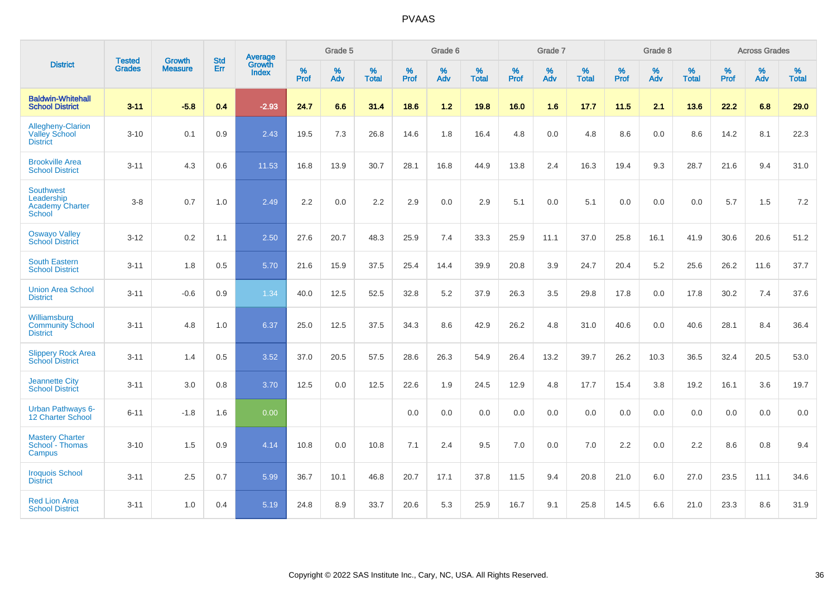|                                                                           | <b>Tested</b> | <b>Growth</b>  | <b>Std</b> | Average                |                     | Grade 5     |                   |                     | Grade 6  |                   |                     | Grade 7  |                   |              | Grade 8  |                   |                     | <b>Across Grades</b> |                   |
|---------------------------------------------------------------------------|---------------|----------------|------------|------------------------|---------------------|-------------|-------------------|---------------------|----------|-------------------|---------------------|----------|-------------------|--------------|----------|-------------------|---------------------|----------------------|-------------------|
| <b>District</b>                                                           | <b>Grades</b> | <b>Measure</b> | Err        | Growth<br><b>Index</b> | $\%$<br><b>Prof</b> | $\%$<br>Adv | %<br><b>Total</b> | $\%$<br><b>Prof</b> | %<br>Adv | %<br><b>Total</b> | $\%$<br><b>Prof</b> | %<br>Adv | %<br><b>Total</b> | $\%$<br>Prof | %<br>Adv | %<br><b>Total</b> | $\%$<br><b>Prof</b> | %<br>Adv             | %<br><b>Total</b> |
| <b>Baldwin-Whitehall</b><br><b>School District</b>                        | $3 - 11$      | $-5.8$         | 0.4        | $-2.93$                | 24.7                | 6.6         | 31.4              | 18.6                | 1.2      | 19.8              | 16.0                | 1.6      | 17.7              | 11.5         | 2.1      | 13.6              | 22.2                | 6.8                  | 29.0              |
| Allegheny-Clarion<br><b>Valley School</b><br><b>District</b>              | $3 - 10$      | 0.1            | 0.9        | 2.43                   | 19.5                | 7.3         | 26.8              | 14.6                | 1.8      | 16.4              | 4.8                 | 0.0      | 4.8               | 8.6          | 0.0      | 8.6               | 14.2                | 8.1                  | 22.3              |
| <b>Brookville Area</b><br><b>School District</b>                          | $3 - 11$      | 4.3            | 0.6        | 11.53                  | 16.8                | 13.9        | 30.7              | 28.1                | 16.8     | 44.9              | 13.8                | 2.4      | 16.3              | 19.4         | 9.3      | 28.7              | 21.6                | 9.4                  | 31.0              |
| <b>Southwest</b><br>Leadership<br><b>Academy Charter</b><br><b>School</b> | $3-8$         | 0.7            | 1.0        | 2.49                   | 2.2                 | 0.0         | $2.2\,$           | 2.9                 | 0.0      | 2.9               | 5.1                 | 0.0      | 5.1               | 0.0          | 0.0      | 0.0               | 5.7                 | 1.5                  | 7.2               |
| <b>Oswayo Valley</b><br><b>School District</b>                            | $3 - 12$      | 0.2            | 1.1        | 2.50                   | 27.6                | 20.7        | 48.3              | 25.9                | 7.4      | 33.3              | 25.9                | 11.1     | 37.0              | 25.8         | 16.1     | 41.9              | 30.6                | 20.6                 | 51.2              |
| <b>South Eastern</b><br><b>School District</b>                            | $3 - 11$      | 1.8            | 0.5        | 5.70                   | 21.6                | 15.9        | 37.5              | 25.4                | 14.4     | 39.9              | 20.8                | 3.9      | 24.7              | 20.4         | 5.2      | 25.6              | 26.2                | 11.6                 | 37.7              |
| <b>Union Area School</b><br><b>District</b>                               | $3 - 11$      | $-0.6$         | 0.9        | 1.34                   | 40.0                | 12.5        | 52.5              | 32.8                | 5.2      | 37.9              | 26.3                | 3.5      | 29.8              | 17.8         | 0.0      | 17.8              | 30.2                | 7.4                  | 37.6              |
| Williamsburg<br><b>Community School</b><br><b>District</b>                | $3 - 11$      | 4.8            | 1.0        | 6.37                   | 25.0                | 12.5        | 37.5              | 34.3                | 8.6      | 42.9              | 26.2                | 4.8      | 31.0              | 40.6         | 0.0      | 40.6              | 28.1                | 8.4                  | 36.4              |
| <b>Slippery Rock Area</b><br><b>School District</b>                       | $3 - 11$      | 1.4            | 0.5        | 3.52                   | 37.0                | 20.5        | 57.5              | 28.6                | 26.3     | 54.9              | 26.4                | 13.2     | 39.7              | 26.2         | 10.3     | 36.5              | 32.4                | 20.5                 | 53.0              |
| <b>Jeannette City</b><br><b>School District</b>                           | $3 - 11$      | 3.0            | 0.8        | 3.70                   | 12.5                | 0.0         | 12.5              | 22.6                | 1.9      | 24.5              | 12.9                | 4.8      | 17.7              | 15.4         | 3.8      | 19.2              | 16.1                | 3.6                  | 19.7              |
| Urban Pathways 6-<br>12 Charter School                                    | $6 - 11$      | $-1.8$         | 1.6        | 0.00                   |                     |             |                   | 0.0                 | $0.0\,$  | 0.0               | 0.0                 | $0.0\,$  | 0.0               | 0.0          | $0.0\,$  | 0.0               | 0.0                 | $0.0\,$              | $0.0\,$           |
| <b>Mastery Charter</b><br>School - Thomas<br>Campus                       | $3 - 10$      | 1.5            | 0.9        | 4.14                   | 10.8                | 0.0         | 10.8              | 7.1                 | 2.4      | 9.5               | 7.0                 | 0.0      | 7.0               | 2.2          | 0.0      | 2.2               | 8.6                 | 0.8                  | 9.4               |
| <b>Iroquois School</b><br><b>District</b>                                 | $3 - 11$      | 2.5            | 0.7        | 5.99                   | 36.7                | 10.1        | 46.8              | 20.7                | 17.1     | 37.8              | 11.5                | 9.4      | 20.8              | 21.0         | 6.0      | 27.0              | 23.5                | 11.1                 | 34.6              |
| <b>Red Lion Area</b><br><b>School District</b>                            | $3 - 11$      | 1.0            | 0.4        | 5.19                   | 24.8                | 8.9         | 33.7              | 20.6                | 5.3      | 25.9              | 16.7                | 9.1      | 25.8              | 14.5         | 6.6      | 21.0              | 23.3                | 8.6                  | 31.9              |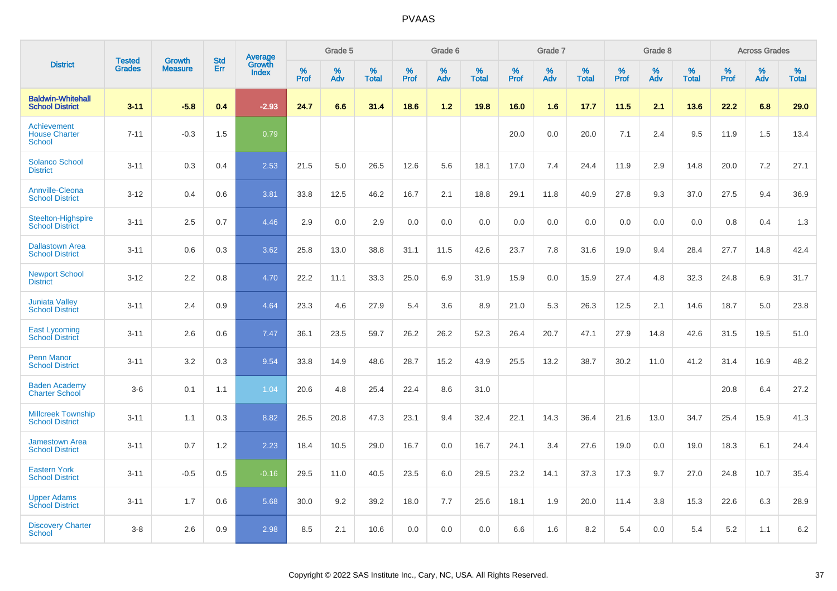|                                                      |                                |                                 | <b>Std</b> | Average                |           | Grade 5  |                   |           | Grade 6  |                   |           | Grade 7  |                   |           | Grade 8  |                   |           | <b>Across Grades</b> |                   |
|------------------------------------------------------|--------------------------------|---------------------------------|------------|------------------------|-----------|----------|-------------------|-----------|----------|-------------------|-----------|----------|-------------------|-----------|----------|-------------------|-----------|----------------------|-------------------|
| <b>District</b>                                      | <b>Tested</b><br><b>Grades</b> | <b>Growth</b><br><b>Measure</b> | Err        | Growth<br><b>Index</b> | %<br>Prof | %<br>Adv | %<br><b>Total</b> | %<br>Prof | %<br>Adv | %<br><b>Total</b> | %<br>Prof | %<br>Adv | %<br><b>Total</b> | %<br>Prof | %<br>Adv | %<br><b>Total</b> | %<br>Prof | %<br>Adv             | %<br><b>Total</b> |
| <b>Baldwin-Whitehall</b><br><b>School District</b>   | $3 - 11$                       | $-5.8$                          | 0.4        | $-2.93$                | 24.7      | 6.6      | 31.4              | 18.6      | 1.2      | 19.8              | 16.0      | 1.6      | 17.7              | 11.5      | 2.1      | 13.6              | 22.2      | 6.8                  | 29.0              |
| Achievement<br><b>House Charter</b><br><b>School</b> | $7 - 11$                       | $-0.3$                          | 1.5        | 0.79                   |           |          |                   |           |          |                   | 20.0      | 0.0      | 20.0              | 7.1       | 2.4      | 9.5               | 11.9      | 1.5                  | 13.4              |
| <b>Solanco School</b><br><b>District</b>             | $3 - 11$                       | 0.3                             | 0.4        | 2.53                   | 21.5      | 5.0      | 26.5              | 12.6      | 5.6      | 18.1              | 17.0      | 7.4      | 24.4              | 11.9      | 2.9      | 14.8              | 20.0      | 7.2                  | 27.1              |
| <b>Annville-Cleona</b><br><b>School District</b>     | $3 - 12$                       | 0.4                             | 0.6        | 3.81                   | 33.8      | 12.5     | 46.2              | 16.7      | 2.1      | 18.8              | 29.1      | 11.8     | 40.9              | 27.8      | 9.3      | 37.0              | 27.5      | 9.4                  | 36.9              |
| <b>Steelton-Highspire</b><br><b>School District</b>  | $3 - 11$                       | 2.5                             | 0.7        | 4.46                   | 2.9       | 0.0      | 2.9               | 0.0       | 0.0      | 0.0               | 0.0       | 0.0      | 0.0               | 0.0       | 0.0      | 0.0               | 0.8       | 0.4                  | 1.3               |
| <b>Dallastown Area</b><br><b>School District</b>     | $3 - 11$                       | 0.6                             | 0.3        | 3.62                   | 25.8      | 13.0     | 38.8              | 31.1      | 11.5     | 42.6              | 23.7      | 7.8      | 31.6              | 19.0      | 9.4      | 28.4              | 27.7      | 14.8                 | 42.4              |
| <b>Newport School</b><br><b>District</b>             | $3 - 12$                       | 2.2                             | 0.8        | 4.70                   | 22.2      | 11.1     | 33.3              | 25.0      | 6.9      | 31.9              | 15.9      | 0.0      | 15.9              | 27.4      | 4.8      | 32.3              | 24.8      | 6.9                  | 31.7              |
| <b>Juniata Valley</b><br><b>School District</b>      | $3 - 11$                       | 2.4                             | 0.9        | 4.64                   | 23.3      | 4.6      | 27.9              | 5.4       | 3.6      | 8.9               | 21.0      | 5.3      | 26.3              | 12.5      | 2.1      | 14.6              | 18.7      | 5.0                  | 23.8              |
| <b>East Lycoming</b><br><b>School District</b>       | $3 - 11$                       | 2.6                             | 0.6        | 7.47                   | 36.1      | 23.5     | 59.7              | 26.2      | 26.2     | 52.3              | 26.4      | 20.7     | 47.1              | 27.9      | 14.8     | 42.6              | 31.5      | 19.5                 | 51.0              |
| <b>Penn Manor</b><br><b>School District</b>          | $3 - 11$                       | 3.2                             | 0.3        | 9.54                   | 33.8      | 14.9     | 48.6              | 28.7      | 15.2     | 43.9              | 25.5      | 13.2     | 38.7              | 30.2      | 11.0     | 41.2              | 31.4      | 16.9                 | 48.2              |
| <b>Baden Academy</b><br><b>Charter School</b>        | $3-6$                          | 0.1                             | 1.1        | 1.04                   | 20.6      | 4.8      | 25.4              | 22.4      | 8.6      | 31.0              |           |          |                   |           |          |                   | 20.8      | 6.4                  | 27.2              |
| <b>Millcreek Township</b><br><b>School District</b>  | $3 - 11$                       | 1.1                             | 0.3        | 8.82                   | 26.5      | 20.8     | 47.3              | 23.1      | 9.4      | 32.4              | 22.1      | 14.3     | 36.4              | 21.6      | 13.0     | 34.7              | 25.4      | 15.9                 | 41.3              |
| <b>Jamestown Area</b><br><b>School District</b>      | $3 - 11$                       | 0.7                             | 1.2        | 2.23                   | 18.4      | 10.5     | 29.0              | 16.7      | 0.0      | 16.7              | 24.1      | 3.4      | 27.6              | 19.0      | 0.0      | 19.0              | 18.3      | 6.1                  | 24.4              |
| <b>Eastern York</b><br><b>School District</b>        | $3 - 11$                       | $-0.5$                          | 0.5        | $-0.16$                | 29.5      | 11.0     | 40.5              | 23.5      | 6.0      | 29.5              | 23.2      | 14.1     | 37.3              | 17.3      | 9.7      | 27.0              | 24.8      | 10.7                 | 35.4              |
| <b>Upper Adams</b><br><b>School District</b>         | $3 - 11$                       | 1.7                             | 0.6        | 5.68                   | 30.0      | 9.2      | 39.2              | 18.0      | 7.7      | 25.6              | 18.1      | 1.9      | 20.0              | 11.4      | 3.8      | 15.3              | 22.6      | 6.3                  | 28.9              |
| <b>Discovery Charter</b><br>School                   | $3 - 8$                        | 2.6                             | 0.9        | 2.98                   | 8.5       | 2.1      | 10.6              | 0.0       | 0.0      | 0.0               | 6.6       | 1.6      | 8.2               | 5.4       | $0.0\,$  | 5.4               | 5.2       | 1.1                  | 6.2               |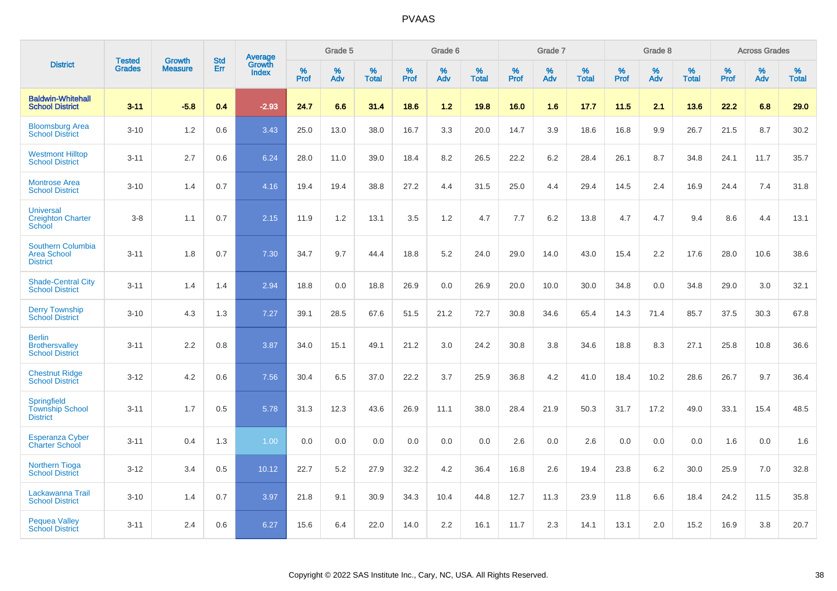|                                                                   | <b>Tested</b> | <b>Growth</b>  | <b>Std</b> | Average                |              | Grade 5  |                   |           | Grade 6  |                   |           | Grade 7  |                   |           | Grade 8  |                   |              | <b>Across Grades</b> |                   |
|-------------------------------------------------------------------|---------------|----------------|------------|------------------------|--------------|----------|-------------------|-----------|----------|-------------------|-----------|----------|-------------------|-----------|----------|-------------------|--------------|----------------------|-------------------|
| <b>District</b>                                                   | <b>Grades</b> | <b>Measure</b> | Err        | Growth<br><b>Index</b> | $\%$<br>Prof | %<br>Adv | %<br><b>Total</b> | %<br>Prof | %<br>Adv | %<br><b>Total</b> | %<br>Prof | %<br>Adv | %<br><b>Total</b> | %<br>Prof | %<br>Adv | %<br><b>Total</b> | $\%$<br>Prof | $\%$<br>Adv          | %<br><b>Total</b> |
| <b>Baldwin-Whitehall</b><br><b>School District</b>                | $3 - 11$      | $-5.8$         | 0.4        | $-2.93$                | 24.7         | 6.6      | 31.4              | 18.6      | 1.2      | 19.8              | 16.0      | 1.6      | 17.7              | 11.5      | 2.1      | 13.6              | 22.2         | 6.8                  | 29.0              |
| <b>Bloomsburg Area</b><br><b>School District</b>                  | $3 - 10$      | 1.2            | 0.6        | 3.43                   | 25.0         | 13.0     | 38.0              | 16.7      | 3.3      | 20.0              | 14.7      | 3.9      | 18.6              | 16.8      | 9.9      | 26.7              | 21.5         | 8.7                  | 30.2              |
| <b>Westmont Hilltop</b><br><b>School District</b>                 | $3 - 11$      | 2.7            | 0.6        | 6.24                   | 28.0         | 11.0     | 39.0              | 18.4      | 8.2      | 26.5              | 22.2      | 6.2      | 28.4              | 26.1      | 8.7      | 34.8              | 24.1         | 11.7                 | 35.7              |
| <b>Montrose Area</b><br><b>School District</b>                    | $3 - 10$      | 1.4            | 0.7        | 4.16                   | 19.4         | 19.4     | 38.8              | 27.2      | 4.4      | 31.5              | 25.0      | 4.4      | 29.4              | 14.5      | 2.4      | 16.9              | 24.4         | 7.4                  | 31.8              |
| <b>Universal</b><br><b>Creighton Charter</b><br>School            | $3 - 8$       | 1.1            | 0.7        | 2.15                   | 11.9         | 1.2      | 13.1              | 3.5       | 1.2      | 4.7               | 7.7       | 6.2      | 13.8              | 4.7       | 4.7      | 9.4               | 8.6          | 4.4                  | 13.1              |
| <b>Southern Columbia</b><br><b>Area School</b><br><b>District</b> | $3 - 11$      | 1.8            | 0.7        | 7.30                   | 34.7         | 9.7      | 44.4              | 18.8      | 5.2      | 24.0              | 29.0      | 14.0     | 43.0              | 15.4      | 2.2      | 17.6              | 28.0         | 10.6                 | 38.6              |
| <b>Shade-Central City</b><br><b>School District</b>               | $3 - 11$      | 1.4            | 1.4        | 2.94                   | 18.8         | 0.0      | 18.8              | 26.9      | 0.0      | 26.9              | 20.0      | 10.0     | 30.0              | 34.8      | 0.0      | 34.8              | 29.0         | 3.0                  | 32.1              |
| <b>Derry Township</b><br><b>School District</b>                   | $3 - 10$      | 4.3            | 1.3        | 7.27                   | 39.1         | 28.5     | 67.6              | 51.5      | 21.2     | 72.7              | 30.8      | 34.6     | 65.4              | 14.3      | 71.4     | 85.7              | 37.5         | 30.3                 | 67.8              |
| <b>Berlin</b><br><b>Brothersvalley</b><br><b>School District</b>  | $3 - 11$      | 2.2            | 0.8        | 3.87                   | 34.0         | 15.1     | 49.1              | 21.2      | 3.0      | 24.2              | 30.8      | 3.8      | 34.6              | 18.8      | 8.3      | 27.1              | 25.8         | 10.8                 | 36.6              |
| <b>Chestnut Ridge</b><br><b>School District</b>                   | $3 - 12$      | 4.2            | 0.6        | 7.56                   | 30.4         | 6.5      | 37.0              | 22.2      | 3.7      | 25.9              | 36.8      | 4.2      | 41.0              | 18.4      | 10.2     | 28.6              | 26.7         | 9.7                  | 36.4              |
| <b>Springfield</b><br><b>Township School</b><br><b>District</b>   | $3 - 11$      | 1.7            | 0.5        | 5.78                   | 31.3         | 12.3     | 43.6              | 26.9      | 11.1     | 38.0              | 28.4      | 21.9     | 50.3              | 31.7      | 17.2     | 49.0              | 33.1         | 15.4                 | 48.5              |
| <b>Esperanza Cyber</b><br><b>Charter School</b>                   | $3 - 11$      | 0.4            | 1.3        | 1.00                   | 0.0          | 0.0      | 0.0               | 0.0       | 0.0      | 0.0               | 2.6       | 0.0      | 2.6               | 0.0       | 0.0      | 0.0               | 1.6          | 0.0                  | 1.6               |
| <b>Northern Tioga</b><br><b>School District</b>                   | $3 - 12$      | 3.4            | 0.5        | 10.12                  | 22.7         | 5.2      | 27.9              | 32.2      | 4.2      | 36.4              | 16.8      | 2.6      | 19.4              | 23.8      | 6.2      | 30.0              | 25.9         | 7.0                  | 32.8              |
| Lackawanna Trail<br><b>School District</b>                        | $3 - 10$      | 1.4            | 0.7        | 3.97                   | 21.8         | 9.1      | 30.9              | 34.3      | 10.4     | 44.8              | 12.7      | 11.3     | 23.9              | 11.8      | 6.6      | 18.4              | 24.2         | 11.5                 | 35.8              |
| <b>Pequea Valley</b><br><b>School District</b>                    | $3 - 11$      | 2.4            | 0.6        | 6.27                   | 15.6         | 6.4      | 22.0              | 14.0      | 2.2      | 16.1              | 11.7      | 2.3      | 14.1              | 13.1      | 2.0      | 15.2              | 16.9         | 3.8                  | 20.7              |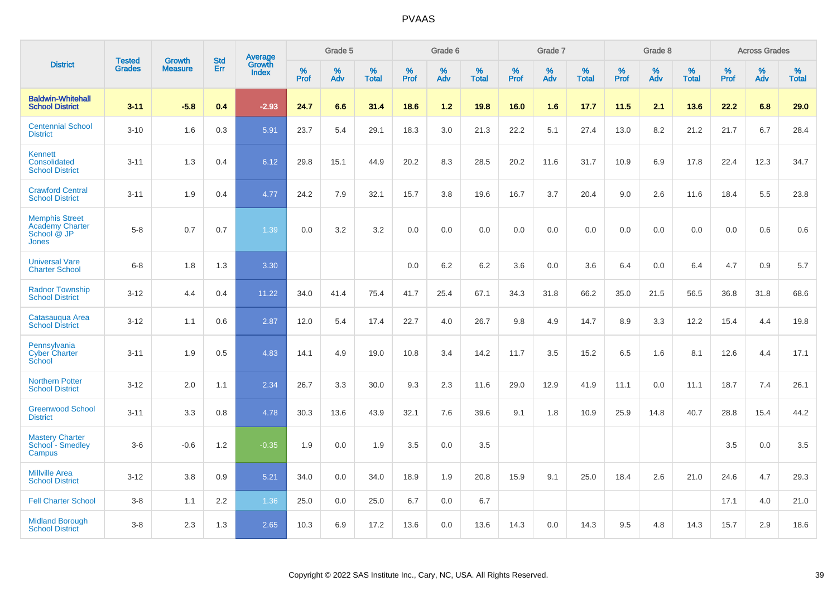|                                                                                |                                |                                 | <b>Std</b> | Average                |           | Grade 5  |                   |           | Grade 6  |                   |           | Grade 7  |                   |           | Grade 8  |                   |              | <b>Across Grades</b> |                   |
|--------------------------------------------------------------------------------|--------------------------------|---------------------------------|------------|------------------------|-----------|----------|-------------------|-----------|----------|-------------------|-----------|----------|-------------------|-----------|----------|-------------------|--------------|----------------------|-------------------|
| <b>District</b>                                                                | <b>Tested</b><br><b>Grades</b> | <b>Growth</b><br><b>Measure</b> | <b>Err</b> | Growth<br><b>Index</b> | %<br>Prof | %<br>Adv | %<br><b>Total</b> | %<br>Prof | %<br>Adv | %<br><b>Total</b> | %<br>Prof | %<br>Adv | %<br><b>Total</b> | %<br>Prof | %<br>Adv | %<br><b>Total</b> | $\%$<br>Prof | %<br>Adv             | %<br><b>Total</b> |
| <b>Baldwin-Whitehall</b><br><b>School District</b>                             | $3 - 11$                       | $-5.8$                          | 0.4        | $-2.93$                | 24.7      | 6.6      | 31.4              | 18.6      | 1.2      | 19.8              | 16.0      | 1.6      | 17.7              | 11.5      | 2.1      | 13.6              | 22.2         | 6.8                  | 29.0              |
| <b>Centennial School</b><br><b>District</b>                                    | $3 - 10$                       | 1.6                             | 0.3        | 5.91                   | 23.7      | 5.4      | 29.1              | 18.3      | 3.0      | 21.3              | 22.2      | 5.1      | 27.4              | 13.0      | 8.2      | 21.2              | 21.7         | 6.7                  | 28.4              |
| <b>Kennett</b><br>Consolidated<br><b>School District</b>                       | $3 - 11$                       | 1.3                             | 0.4        | 6.12                   | 29.8      | 15.1     | 44.9              | 20.2      | 8.3      | 28.5              | 20.2      | 11.6     | 31.7              | 10.9      | 6.9      | 17.8              | 22.4         | 12.3                 | 34.7              |
| <b>Crawford Central</b><br><b>School District</b>                              | $3 - 11$                       | 1.9                             | 0.4        | 4.77                   | 24.2      | 7.9      | 32.1              | 15.7      | 3.8      | 19.6              | 16.7      | 3.7      | 20.4              | 9.0       | 2.6      | 11.6              | 18.4         | 5.5                  | 23.8              |
| <b>Memphis Street</b><br><b>Academy Charter</b><br>School @ JP<br><b>Jones</b> | $5 - 8$                        | 0.7                             | 0.7        | 1.39                   | 0.0       | 3.2      | 3.2               | 0.0       | 0.0      | 0.0               | 0.0       | 0.0      | 0.0               | 0.0       | 0.0      | 0.0               | 0.0          | 0.6                  | 0.6               |
| <b>Universal Vare</b><br><b>Charter School</b>                                 | $6-8$                          | 1.8                             | 1.3        | 3.30                   |           |          |                   | 0.0       | 6.2      | 6.2               | 3.6       | 0.0      | 3.6               | 6.4       | 0.0      | 6.4               | 4.7          | 0.9                  | 5.7               |
| <b>Radnor Township</b><br><b>School District</b>                               | $3 - 12$                       | 4.4                             | 0.4        | 11.22                  | 34.0      | 41.4     | 75.4              | 41.7      | 25.4     | 67.1              | 34.3      | 31.8     | 66.2              | 35.0      | 21.5     | 56.5              | 36.8         | 31.8                 | 68.6              |
| Catasauqua Area<br><b>School District</b>                                      | $3 - 12$                       | 1.1                             | 0.6        | 2.87                   | 12.0      | 5.4      | 17.4              | 22.7      | 4.0      | 26.7              | 9.8       | 4.9      | 14.7              | 8.9       | 3.3      | 12.2              | 15.4         | 4.4                  | 19.8              |
| Pennsylvania<br><b>Cyber Charter</b><br>School                                 | $3 - 11$                       | 1.9                             | 0.5        | 4.83                   | 14.1      | 4.9      | 19.0              | 10.8      | 3.4      | 14.2              | 11.7      | 3.5      | 15.2              | 6.5       | 1.6      | 8.1               | 12.6         | 4.4                  | 17.1              |
| <b>Northern Potter</b><br><b>School District</b>                               | $3 - 12$                       | 2.0                             | 1.1        | 2.34                   | 26.7      | 3.3      | 30.0              | 9.3       | 2.3      | 11.6              | 29.0      | 12.9     | 41.9              | 11.1      | 0.0      | 11.1              | 18.7         | 7.4                  | 26.1              |
| <b>Greenwood School</b><br><b>District</b>                                     | $3 - 11$                       | 3.3                             | 0.8        | 4.78                   | 30.3      | 13.6     | 43.9              | 32.1      | 7.6      | 39.6              | 9.1       | 1.8      | 10.9              | 25.9      | 14.8     | 40.7              | 28.8         | 15.4                 | 44.2              |
| <b>Mastery Charter</b><br>School - Smedley<br>Campus                           | $3-6$                          | $-0.6$                          | 1.2        | $-0.35$                | 1.9       | 0.0      | 1.9               | 3.5       | 0.0      | 3.5               |           |          |                   |           |          |                   | 3.5          | 0.0                  | 3.5               |
| <b>Millville Area</b><br><b>School District</b>                                | $3 - 12$                       | 3.8                             | 0.9        | 5.21                   | 34.0      | 0.0      | 34.0              | 18.9      | 1.9      | 20.8              | 15.9      | 9.1      | 25.0              | 18.4      | 2.6      | 21.0              | 24.6         | 4.7                  | 29.3              |
| <b>Fell Charter School</b>                                                     | $3 - 8$                        | 1.1                             | 2.2        | 1.36                   | 25.0      | 0.0      | 25.0              | 6.7       | 0.0      | 6.7               |           |          |                   |           |          |                   | 17.1         | 4.0                  | 21.0              |
| <b>Midland Borough</b><br><b>School District</b>                               | $3 - 8$                        | 2.3                             | 1.3        | 2.65                   | 10.3      | 6.9      | 17.2              | 13.6      | 0.0      | 13.6              | 14.3      | 0.0      | 14.3              | 9.5       | 4.8      | 14.3              | 15.7         | 2.9                  | 18.6              |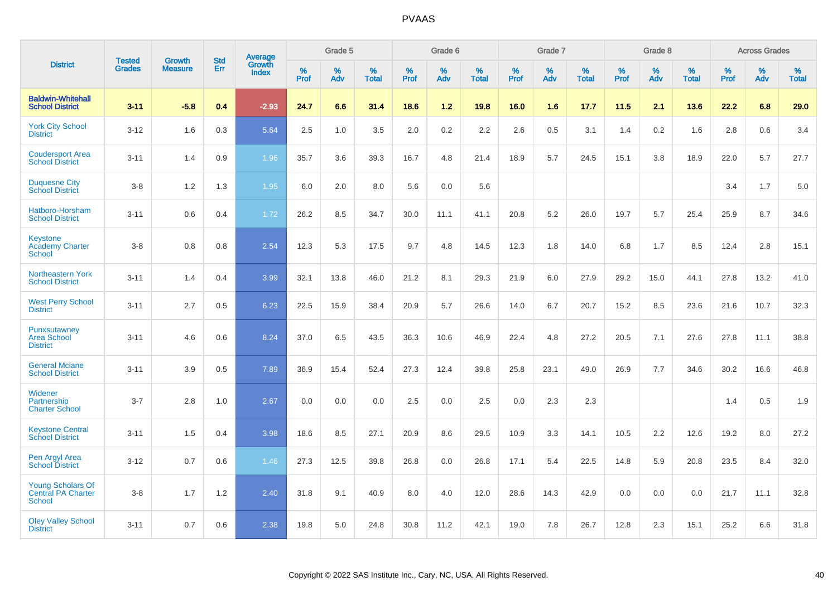|                                                          |                                | <b>Growth</b>  | <b>Std</b> | Average                |              | Grade 5  |                   |              | Grade 6  |                   |              | Grade 7  |                   |              | Grade 8  |                   |              | <b>Across Grades</b> |                   |
|----------------------------------------------------------|--------------------------------|----------------|------------|------------------------|--------------|----------|-------------------|--------------|----------|-------------------|--------------|----------|-------------------|--------------|----------|-------------------|--------------|----------------------|-------------------|
| <b>District</b>                                          | <b>Tested</b><br><b>Grades</b> | <b>Measure</b> | Err        | Growth<br><b>Index</b> | $\%$<br>Prof | %<br>Adv | %<br><b>Total</b> | $\%$<br>Prof | %<br>Adv | %<br><b>Total</b> | $\%$<br>Prof | %<br>Adv | %<br><b>Total</b> | $\%$<br>Prof | %<br>Adv | %<br><b>Total</b> | $\%$<br>Prof | %<br>Adv             | %<br><b>Total</b> |
| <b>Baldwin-Whitehall</b><br><b>School District</b>       | $3 - 11$                       | $-5.8$         | 0.4        | $-2.93$                | 24.7         | 6.6      | 31.4              | 18.6         | $1.2$    | 19.8              | 16.0         | 1.6      | 17.7              | 11.5         | 2.1      | 13.6              | 22.2         | 6.8                  | 29.0              |
| <b>York City School</b><br><b>District</b>               | $3 - 12$                       | 1.6            | 0.3        | 5.64                   | 2.5          | 1.0      | 3.5               | 2.0          | $0.2\,$  | 2.2               | 2.6          | 0.5      | 3.1               | 1.4          | 0.2      | 1.6               | 2.8          | 0.6                  | 3.4               |
| <b>Coudersport Area</b><br><b>School District</b>        | $3 - 11$                       | 1.4            | 0.9        | 1.96                   | 35.7         | 3.6      | 39.3              | 16.7         | 4.8      | 21.4              | 18.9         | 5.7      | 24.5              | 15.1         | 3.8      | 18.9              | 22.0         | 5.7                  | 27.7              |
| <b>Duquesne City</b><br><b>School District</b>           | $3-8$                          | 1.2            | 1.3        | 1.95                   | 6.0          | 2.0      | 8.0               | 5.6          | 0.0      | 5.6               |              |          |                   |              |          |                   | 3.4          | 1.7                  | 5.0               |
| Hatboro-Horsham<br><b>School District</b>                | $3 - 11$                       | 0.6            | 0.4        | 1.72                   | 26.2         | 8.5      | 34.7              | 30.0         | 11.1     | 41.1              | 20.8         | 5.2      | 26.0              | 19.7         | 5.7      | 25.4              | 25.9         | 8.7                  | 34.6              |
| Keystone<br><b>Academy Charter</b><br><b>School</b>      | $3 - 8$                        | 0.8            | 0.8        | 2.54                   | 12.3         | 5.3      | 17.5              | 9.7          | 4.8      | 14.5              | 12.3         | 1.8      | 14.0              | 6.8          | 1.7      | 8.5               | 12.4         | 2.8                  | 15.1              |
| <b>Northeastern York</b><br><b>School District</b>       | $3 - 11$                       | 1.4            | 0.4        | 3.99                   | 32.1         | 13.8     | 46.0              | 21.2         | 8.1      | 29.3              | 21.9         | 6.0      | 27.9              | 29.2         | 15.0     | 44.1              | 27.8         | 13.2                 | 41.0              |
| <b>West Perry School</b><br><b>District</b>              | $3 - 11$                       | 2.7            | 0.5        | 6.23                   | 22.5         | 15.9     | 38.4              | 20.9         | 5.7      | 26.6              | 14.0         | 6.7      | 20.7              | 15.2         | 8.5      | 23.6              | 21.6         | 10.7                 | 32.3              |
| Punxsutawney<br><b>Area School</b><br><b>District</b>    | $3 - 11$                       | 4.6            | 0.6        | 8.24                   | 37.0         | 6.5      | 43.5              | 36.3         | 10.6     | 46.9              | 22.4         | 4.8      | 27.2              | 20.5         | 7.1      | 27.6              | 27.8         | 11.1                 | 38.8              |
| <b>General Mclane</b><br><b>School District</b>          | $3 - 11$                       | 3.9            | 0.5        | 7.89                   | 36.9         | 15.4     | 52.4              | 27.3         | 12.4     | 39.8              | 25.8         | 23.1     | 49.0              | 26.9         | 7.7      | 34.6              | 30.2         | 16.6                 | 46.8              |
| Widener<br>Partnership<br><b>Charter School</b>          | $3 - 7$                        | 2.8            | 1.0        | 2.67                   | 0.0          | 0.0      | 0.0               | 2.5          | 0.0      | 2.5               | 0.0          | 2.3      | 2.3               |              |          |                   | 1.4          | 0.5                  | 1.9               |
| <b>Keystone Central</b><br><b>School District</b>        | $3 - 11$                       | 1.5            | 0.4        | 3.98                   | 18.6         | 8.5      | 27.1              | 20.9         | 8.6      | 29.5              | 10.9         | 3.3      | 14.1              | 10.5         | 2.2      | 12.6              | 19.2         | 8.0                  | 27.2              |
| Pen Argyl Area<br><b>School District</b>                 | $3 - 12$                       | 0.7            | 0.6        | 1.46                   | 27.3         | 12.5     | 39.8              | 26.8         | 0.0      | 26.8              | 17.1         | 5.4      | 22.5              | 14.8         | 5.9      | 20.8              | 23.5         | 8.4                  | 32.0              |
| <b>Young Scholars Of</b><br>Central PA Charter<br>School | $3-8$                          | 1.7            | 1.2        | 2.40                   | 31.8         | 9.1      | 40.9              | 8.0          | 4.0      | 12.0              | 28.6         | 14.3     | 42.9              | 0.0          | 0.0      | 0.0               | 21.7         | 11.1                 | 32.8              |
| <b>Oley Valley School</b><br><b>District</b>             | $3 - 11$                       | 0.7            | 0.6        | 2.38                   | 19.8         | 5.0      | 24.8              | 30.8         | 11.2     | 42.1              | 19.0         | 7.8      | 26.7              | 12.8         | 2.3      | 15.1              | 25.2         | 6.6                  | 31.8              |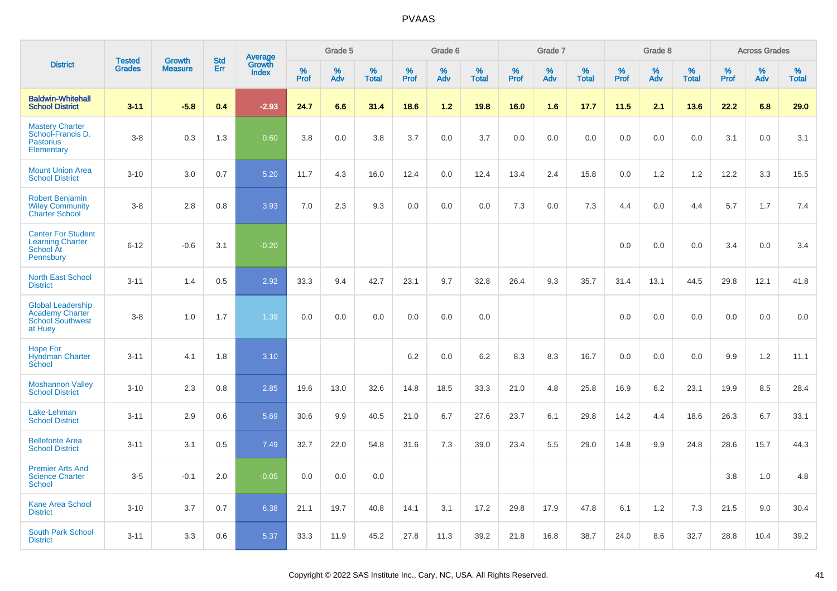|                                                                                          | <b>Tested</b> | <b>Growth</b>  | <b>Std</b> |                                   |                     | Grade 5  |                   |              | Grade 6  |                   |              | Grade 7  |                   |              | Grade 8  |                   |              | <b>Across Grades</b> |                   |
|------------------------------------------------------------------------------------------|---------------|----------------|------------|-----------------------------------|---------------------|----------|-------------------|--------------|----------|-------------------|--------------|----------|-------------------|--------------|----------|-------------------|--------------|----------------------|-------------------|
| <b>District</b>                                                                          | <b>Grades</b> | <b>Measure</b> | Err        | Average<br>Growth<br><b>Index</b> | $\%$<br><b>Prof</b> | %<br>Adv | %<br><b>Total</b> | $\%$<br>Prof | %<br>Adv | %<br><b>Total</b> | $\%$<br>Prof | %<br>Adv | %<br><b>Total</b> | $\%$<br>Prof | %<br>Adv | %<br><b>Total</b> | $\%$<br>Prof | %<br>Adv             | %<br><b>Total</b> |
| <b>Baldwin-Whitehall</b><br><b>School District</b>                                       | $3 - 11$      | $-5.8$         | 0.4        | $-2.93$                           | 24.7                | 6.6      | 31.4              | 18.6         | 1.2      | 19.8              | 16.0         | 1.6      | 17.7              | 11.5         | 2.1      | 13.6              | 22.2         | 6.8                  | 29.0              |
| <b>Mastery Charter</b><br>School-Francis D.<br><b>Pastorius</b><br>Elementary            | $3-8$         | 0.3            | 1.3        | 0.60                              | 3.8                 | 0.0      | 3.8               | 3.7          | 0.0      | 3.7               | 0.0          | 0.0      | 0.0               | 0.0          | 0.0      | 0.0               | 3.1          | 0.0                  | 3.1               |
| <b>Mount Union Area</b><br><b>School District</b>                                        | $3 - 10$      | 3.0            | 0.7        | 5.20                              | 11.7                | 4.3      | 16.0              | 12.4         | 0.0      | 12.4              | 13.4         | 2.4      | 15.8              | 0.0          | 1.2      | 1.2               | 12.2         | 3.3                  | 15.5              |
| <b>Robert Benjamin</b><br><b>Wiley Community</b><br><b>Charter School</b>                | $3-8$         | 2.8            | 0.8        | 3.93                              | 7.0                 | 2.3      | 9.3               | 0.0          | 0.0      | 0.0               | 7.3          | 0.0      | 7.3               | 4.4          | 0.0      | 4.4               | 5.7          | 1.7                  | 7.4               |
| <b>Center For Student</b><br><b>Learning Charter</b><br><b>School At</b><br>Pennsbury    | $6 - 12$      | $-0.6$         | 3.1        | $-0.20$                           |                     |          |                   |              |          |                   |              |          |                   | 0.0          | 0.0      | 0.0               | 3.4          | 0.0                  | 3.4               |
| <b>North East School</b><br><b>District</b>                                              | $3 - 11$      | 1.4            | 0.5        | 2.92                              | 33.3                | 9.4      | 42.7              | 23.1         | 9.7      | 32.8              | 26.4         | 9.3      | 35.7              | 31.4         | 13.1     | 44.5              | 29.8         | 12.1                 | 41.8              |
| <b>Global Leadership</b><br><b>Academy Charter</b><br><b>School Southwest</b><br>at Huey | $3-8$         | 1.0            | 1.7        | 1.39                              | 0.0                 | 0.0      | 0.0               | 0.0          | 0.0      | 0.0               |              |          |                   | 0.0          | 0.0      | 0.0               | 0.0          | 0.0                  | 0.0               |
| <b>Hope For</b><br><b>Hyndman Charter</b><br>School                                      | $3 - 11$      | 4.1            | 1.8        | 3.10                              |                     |          |                   | $6.2\,$      | 0.0      | 6.2               | 8.3          | 8.3      | 16.7              | 0.0          | 0.0      | 0.0               | 9.9          | $1.2$                | 11.1              |
| <b>Moshannon Valley</b><br><b>School District</b>                                        | $3 - 10$      | 2.3            | 0.8        | 2.85                              | 19.6                | 13.0     | 32.6              | 14.8         | 18.5     | 33.3              | 21.0         | 4.8      | 25.8              | 16.9         | 6.2      | 23.1              | 19.9         | 8.5                  | 28.4              |
| Lake-Lehman<br><b>School District</b>                                                    | $3 - 11$      | 2.9            | 0.6        | 5.69                              | 30.6                | 9.9      | 40.5              | 21.0         | 6.7      | 27.6              | 23.7         | 6.1      | 29.8              | 14.2         | 4.4      | 18.6              | 26.3         | 6.7                  | 33.1              |
| <b>Bellefonte Area</b><br><b>School District</b>                                         | $3 - 11$      | 3.1            | 0.5        | 7.49                              | 32.7                | 22.0     | 54.8              | 31.6         | 7.3      | 39.0              | 23.4         | 5.5      | 29.0              | 14.8         | 9.9      | 24.8              | 28.6         | 15.7                 | 44.3              |
| <b>Premier Arts And</b><br><b>Science Charter</b><br><b>School</b>                       | $3-5$         | $-0.1$         | 2.0        | $-0.05$                           | 0.0                 | 0.0      | 0.0               |              |          |                   |              |          |                   |              |          |                   | 3.8          | 1.0                  | 4.8               |
| <b>Kane Area School</b><br><b>District</b>                                               | $3 - 10$      | 3.7            | 0.7        | 6.38                              | 21.1                | 19.7     | 40.8              | 14.1         | 3.1      | 17.2              | 29.8         | 17.9     | 47.8              | 6.1          | 1.2      | 7.3               | 21.5         | 9.0                  | 30.4              |
| <b>South Park School</b><br><b>District</b>                                              | $3 - 11$      | 3.3            | 0.6        | 5.37                              | 33.3                | 11.9     | 45.2              | 27.8         | 11.3     | 39.2              | 21.8         | 16.8     | 38.7              | 24.0         | 8.6      | 32.7              | 28.8         | 10.4                 | 39.2              |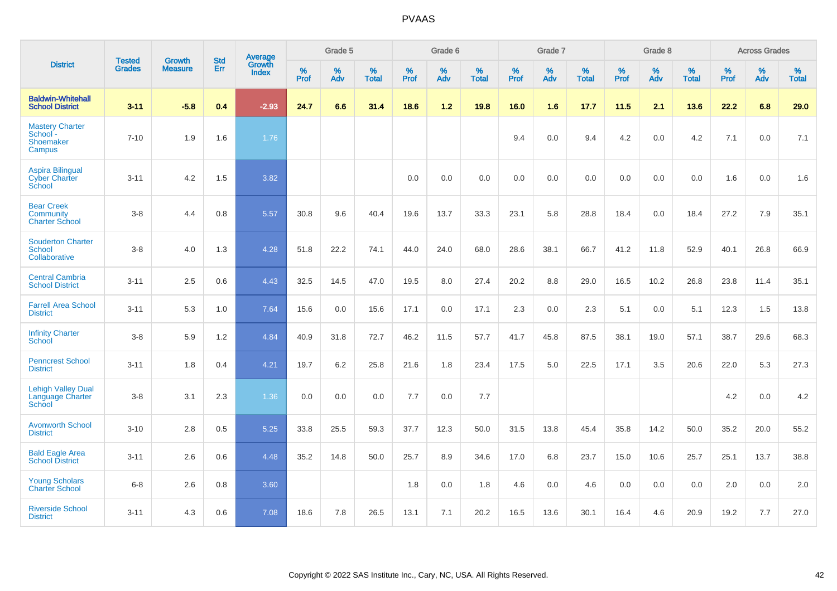|                                                                  | <b>Tested</b> | <b>Growth</b>  | <b>Std</b> | <b>Average</b>         |           | Grade 5  |                   |           | Grade 6  |                   |           | Grade 7  |                   |           | Grade 8  |                   |           | <b>Across Grades</b> |                   |
|------------------------------------------------------------------|---------------|----------------|------------|------------------------|-----------|----------|-------------------|-----------|----------|-------------------|-----------|----------|-------------------|-----------|----------|-------------------|-----------|----------------------|-------------------|
| <b>District</b>                                                  | <b>Grades</b> | <b>Measure</b> | Err        | Growth<br><b>Index</b> | %<br>Prof | %<br>Adv | %<br><b>Total</b> | %<br>Prof | %<br>Adv | %<br><b>Total</b> | %<br>Prof | %<br>Adv | %<br><b>Total</b> | %<br>Prof | %<br>Adv | %<br><b>Total</b> | %<br>Prof | %<br>Adv             | %<br><b>Total</b> |
| <b>Baldwin-Whitehall</b><br><b>School District</b>               | $3 - 11$      | $-5.8$         | 0.4        | $-2.93$                | 24.7      | 6.6      | 31.4              | 18.6      | $1.2$    | 19.8              | 16.0      | 1.6      | 17.7              | 11.5      | 2.1      | 13.6              | 22.2      | 6.8                  | 29.0              |
| <b>Mastery Charter</b><br>School -<br><b>Shoemaker</b><br>Campus | $7 - 10$      | 1.9            | 1.6        | 1.76                   |           |          |                   |           |          |                   | 9.4       | 0.0      | 9.4               | 4.2       | 0.0      | 4.2               | 7.1       | 0.0                  | 7.1               |
| <b>Aspira Bilingual</b><br><b>Cyber Charter</b><br>School        | $3 - 11$      | 4.2            | 1.5        | 3.82                   |           |          |                   | 0.0       | 0.0      | 0.0               | 0.0       | 0.0      | 0.0               | 0.0       | 0.0      | 0.0               | 1.6       | 0.0                  | 1.6               |
| <b>Bear Creek</b><br><b>Community</b><br><b>Charter School</b>   | $3 - 8$       | 4.4            | 0.8        | 5.57                   | 30.8      | 9.6      | 40.4              | 19.6      | 13.7     | 33.3              | 23.1      | 5.8      | 28.8              | 18.4      | 0.0      | 18.4              | 27.2      | 7.9                  | 35.1              |
| <b>Souderton Charter</b><br>School<br>Collaborative              | $3 - 8$       | 4.0            | 1.3        | 4.28                   | 51.8      | 22.2     | 74.1              | 44.0      | 24.0     | 68.0              | 28.6      | 38.1     | 66.7              | 41.2      | 11.8     | 52.9              | 40.1      | 26.8                 | 66.9              |
| <b>Central Cambria</b><br><b>School District</b>                 | $3 - 11$      | 2.5            | 0.6        | 4.43                   | 32.5      | 14.5     | 47.0              | 19.5      | 8.0      | 27.4              | 20.2      | 8.8      | 29.0              | 16.5      | 10.2     | 26.8              | 23.8      | 11.4                 | 35.1              |
| <b>Farrell Area School</b><br><b>District</b>                    | $3 - 11$      | 5.3            | 1.0        | 7.64                   | 15.6      | 0.0      | 15.6              | 17.1      | 0.0      | 17.1              | 2.3       | 0.0      | 2.3               | 5.1       | 0.0      | 5.1               | 12.3      | 1.5                  | 13.8              |
| <b>Infinity Charter</b><br>School                                | $3-8$         | 5.9            | 1.2        | 4.84                   | 40.9      | 31.8     | 72.7              | 46.2      | 11.5     | 57.7              | 41.7      | 45.8     | 87.5              | 38.1      | 19.0     | 57.1              | 38.7      | 29.6                 | 68.3              |
| <b>Penncrest School</b><br><b>District</b>                       | $3 - 11$      | 1.8            | 0.4        | 4.21                   | 19.7      | 6.2      | 25.8              | 21.6      | 1.8      | 23.4              | 17.5      | 5.0      | 22.5              | 17.1      | 3.5      | 20.6              | 22.0      | 5.3                  | 27.3              |
| <b>Lehigh Valley Dual</b><br>Language Charter<br>School          | $3 - 8$       | 3.1            | 2.3        | 1.36                   | 0.0       | 0.0      | 0.0               | 7.7       | 0.0      | 7.7               |           |          |                   |           |          |                   | 4.2       | 0.0                  | 4.2               |
| <b>Avonworth School</b><br><b>District</b>                       | $3 - 10$      | 2.8            | 0.5        | 5.25                   | 33.8      | 25.5     | 59.3              | 37.7      | 12.3     | 50.0              | 31.5      | 13.8     | 45.4              | 35.8      | 14.2     | 50.0              | 35.2      | 20.0                 | 55.2              |
| <b>Bald Eagle Area</b><br><b>School District</b>                 | $3 - 11$      | 2.6            | 0.6        | 4.48                   | 35.2      | 14.8     | 50.0              | 25.7      | 8.9      | 34.6              | 17.0      | 6.8      | 23.7              | 15.0      | 10.6     | 25.7              | 25.1      | 13.7                 | 38.8              |
| <b>Young Scholars</b><br><b>Charter School</b>                   | $6 - 8$       | 2.6            | 0.8        | 3.60                   |           |          |                   | 1.8       | 0.0      | 1.8               | 4.6       | 0.0      | 4.6               | 0.0       | 0.0      | 0.0               | 2.0       | 0.0                  | 2.0               |
| <b>Riverside School</b><br><b>District</b>                       | $3 - 11$      | 4.3            | 0.6        | 7.08                   | 18.6      | 7.8      | 26.5              | 13.1      | 7.1      | 20.2              | 16.5      | 13.6     | 30.1              | 16.4      | 4.6      | 20.9              | 19.2      | 7.7                  | 27.0              |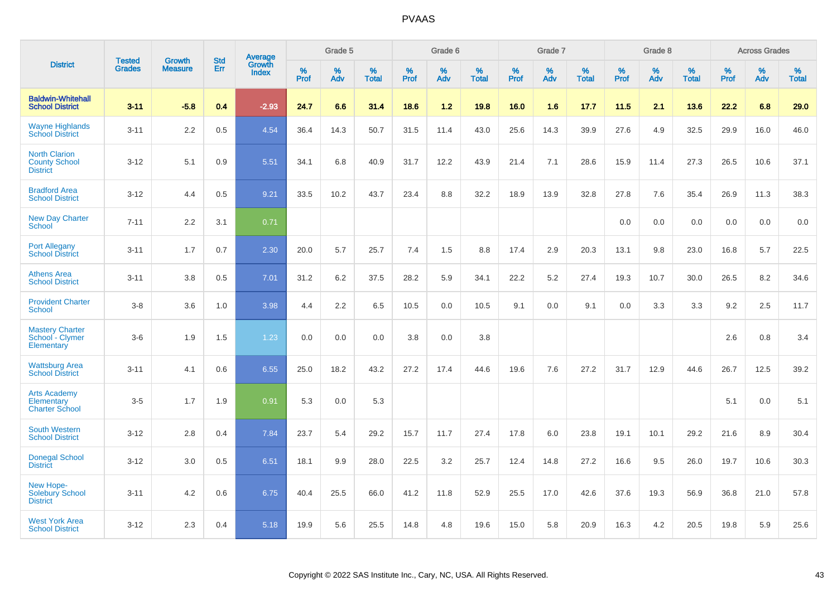|                                                                 |                                | <b>Growth</b>  | <b>Std</b> | Average                |              | Grade 5  |                   |           | Grade 6  |                   |           | Grade 7  |                   |           | Grade 8  |                   |           | <b>Across Grades</b> |                   |
|-----------------------------------------------------------------|--------------------------------|----------------|------------|------------------------|--------------|----------|-------------------|-----------|----------|-------------------|-----------|----------|-------------------|-----------|----------|-------------------|-----------|----------------------|-------------------|
| <b>District</b>                                                 | <b>Tested</b><br><b>Grades</b> | <b>Measure</b> | <b>Err</b> | Growth<br><b>Index</b> | $\%$<br>Prof | %<br>Adv | %<br><b>Total</b> | %<br>Prof | %<br>Adv | %<br><b>Total</b> | %<br>Prof | %<br>Adv | %<br><b>Total</b> | %<br>Prof | %<br>Adv | %<br><b>Total</b> | %<br>Prof | %<br>Adv             | %<br><b>Total</b> |
| <b>Baldwin-Whitehall</b><br><b>School District</b>              | $3 - 11$                       | $-5.8$         | 0.4        | $-2.93$                | 24.7         | 6.6      | 31.4              | 18.6      | 1.2      | 19.8              | 16.0      | 1.6      | 17.7              | 11.5      | 2.1      | 13.6              | 22.2      | 6.8                  | 29.0              |
| <b>Wayne Highlands</b><br><b>School District</b>                | $3 - 11$                       | 2.2            | 0.5        | 4.54                   | 36.4         | 14.3     | 50.7              | 31.5      | 11.4     | 43.0              | 25.6      | 14.3     | 39.9              | 27.6      | 4.9      | 32.5              | 29.9      | 16.0                 | 46.0              |
| <b>North Clarion</b><br><b>County School</b><br><b>District</b> | $3 - 12$                       | 5.1            | 0.9        | 5.51                   | 34.1         | 6.8      | 40.9              | 31.7      | 12.2     | 43.9              | 21.4      | 7.1      | 28.6              | 15.9      | 11.4     | 27.3              | 26.5      | 10.6                 | 37.1              |
| <b>Bradford Area</b><br><b>School District</b>                  | $3 - 12$                       | 4.4            | 0.5        | 9.21                   | 33.5         | 10.2     | 43.7              | 23.4      | 8.8      | 32.2              | 18.9      | 13.9     | 32.8              | 27.8      | 7.6      | 35.4              | 26.9      | 11.3                 | 38.3              |
| <b>New Day Charter</b><br><b>School</b>                         | $7 - 11$                       | 2.2            | 3.1        | 0.71                   |              |          |                   |           |          |                   |           |          |                   | 0.0       | 0.0      | 0.0               | 0.0       | 0.0                  | 0.0               |
| <b>Port Allegany</b><br><b>School District</b>                  | $3 - 11$                       | 1.7            | 0.7        | 2.30                   | 20.0         | 5.7      | 25.7              | 7.4       | 1.5      | 8.8               | 17.4      | 2.9      | 20.3              | 13.1      | 9.8      | 23.0              | 16.8      | 5.7                  | 22.5              |
| <b>Athens Area</b><br><b>School District</b>                    | $3 - 11$                       | 3.8            | 0.5        | 7.01                   | 31.2         | 6.2      | 37.5              | 28.2      | 5.9      | 34.1              | 22.2      | 5.2      | 27.4              | 19.3      | 10.7     | 30.0              | 26.5      | 8.2                  | 34.6              |
| <b>Provident Charter</b><br><b>School</b>                       | $3 - 8$                        | 3.6            | 1.0        | 3.98                   | 4.4          | 2.2      | 6.5               | 10.5      | 0.0      | 10.5              | 9.1       | 0.0      | 9.1               | 0.0       | 3.3      | 3.3               | 9.2       | 2.5                  | 11.7              |
| <b>Mastery Charter</b><br>School - Clymer<br>Elementary         | $3-6$                          | 1.9            | 1.5        | 1.23                   | 0.0          | 0.0      | 0.0               | 3.8       | 0.0      | 3.8               |           |          |                   |           |          |                   | 2.6       | 0.8                  | 3.4               |
| <b>Wattsburg Area</b><br><b>School District</b>                 | $3 - 11$                       | 4.1            | 0.6        | 6.55                   | 25.0         | 18.2     | 43.2              | 27.2      | 17.4     | 44.6              | 19.6      | 7.6      | 27.2              | 31.7      | 12.9     | 44.6              | 26.7      | 12.5                 | 39.2              |
| <b>Arts Academy</b><br>Elementary<br><b>Charter School</b>      | $3-5$                          | 1.7            | 1.9        | 0.91                   | 5.3          | 0.0      | 5.3               |           |          |                   |           |          |                   |           |          |                   | 5.1       | 0.0                  | 5.1               |
| <b>South Western</b><br><b>School District</b>                  | $3 - 12$                       | 2.8            | 0.4        | 7.84                   | 23.7         | 5.4      | 29.2              | 15.7      | 11.7     | 27.4              | 17.8      | 6.0      | 23.8              | 19.1      | 10.1     | 29.2              | 21.6      | 8.9                  | 30.4              |
| <b>Donegal School</b><br><b>District</b>                        | $3 - 12$                       | 3.0            | 0.5        | 6.51                   | 18.1         | 9.9      | 28.0              | 22.5      | 3.2      | 25.7              | 12.4      | 14.8     | 27.2              | 16.6      | 9.5      | 26.0              | 19.7      | 10.6                 | 30.3              |
| New Hope-<br><b>Solebury School</b><br><b>District</b>          | $3 - 11$                       | 4.2            | 0.6        | 6.75                   | 40.4         | 25.5     | 66.0              | 41.2      | 11.8     | 52.9              | 25.5      | 17.0     | 42.6              | 37.6      | 19.3     | 56.9              | 36.8      | 21.0                 | 57.8              |
| <b>West York Area</b><br><b>School District</b>                 | $3 - 12$                       | 2.3            | 0.4        | 5.18                   | 19.9         | 5.6      | 25.5              | 14.8      | 4.8      | 19.6              | 15.0      | 5.8      | 20.9              | 16.3      | 4.2      | 20.5              | 19.8      | 5.9                  | 25.6              |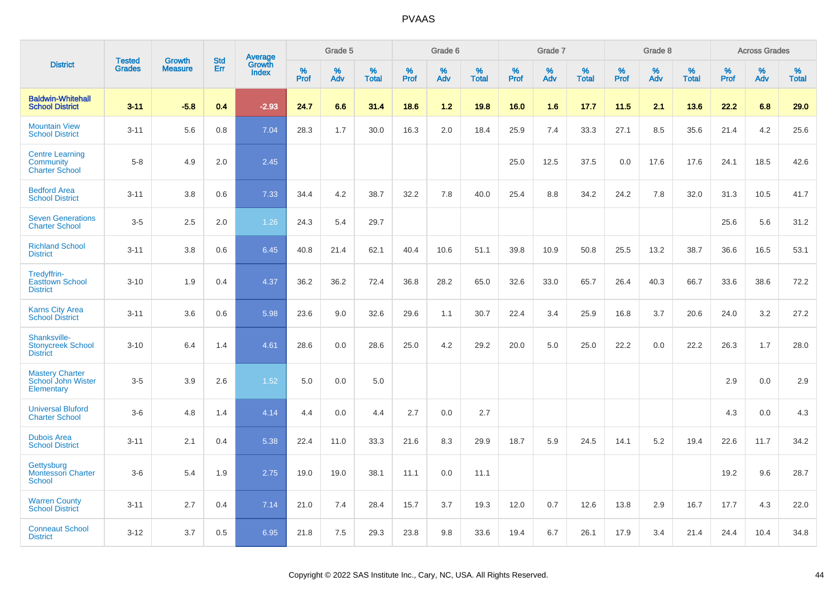|                                                              |                                |                                 | <b>Std</b> |                            |                     | Grade 5  |                   |                     | Grade 6  |                   |              | Grade 7  |                   |                     | Grade 8  |                   |              | <b>Across Grades</b> |                      |
|--------------------------------------------------------------|--------------------------------|---------------------------------|------------|----------------------------|---------------------|----------|-------------------|---------------------|----------|-------------------|--------------|----------|-------------------|---------------------|----------|-------------------|--------------|----------------------|----------------------|
| <b>District</b>                                              | <b>Tested</b><br><b>Grades</b> | <b>Growth</b><br><b>Measure</b> | Err        | Average<br>Growth<br>Index | $\%$<br><b>Prof</b> | %<br>Adv | %<br><b>Total</b> | $\%$<br><b>Prof</b> | %<br>Adv | %<br><b>Total</b> | $\%$<br>Prof | %<br>Adv | %<br><b>Total</b> | $\%$<br><b>Prof</b> | %<br>Adv | %<br><b>Total</b> | $\%$<br>Prof | %<br>Adv             | $\%$<br><b>Total</b> |
| <b>Baldwin-Whitehall</b><br><b>School District</b>           | $3 - 11$                       | $-5.8$                          | 0.4        | $-2.93$                    | 24.7                | 6.6      | 31.4              | 18.6                | $1.2$    | 19.8              | 16.0         | 1.6      | 17.7              | 11.5                | 2.1      | 13.6              | 22.2         | 6.8                  | 29.0                 |
| <b>Mountain View</b><br><b>School District</b>               | $3 - 11$                       | 5.6                             | 0.8        | 7.04                       | 28.3                | 1.7      | 30.0              | 16.3                | 2.0      | 18.4              | 25.9         | 7.4      | 33.3              | 27.1                | 8.5      | 35.6              | 21.4         | 4.2                  | 25.6                 |
| <b>Centre Learning</b><br>Community<br><b>Charter School</b> | $5 - 8$                        | 4.9                             | 2.0        | 2.45                       |                     |          |                   |                     |          |                   | 25.0         | 12.5     | 37.5              | 0.0                 | 17.6     | 17.6              | 24.1         | 18.5                 | 42.6                 |
| <b>Bedford Area</b><br><b>School District</b>                | $3 - 11$                       | 3.8                             | 0.6        | 7.33                       | 34.4                | 4.2      | 38.7              | 32.2                | 7.8      | 40.0              | 25.4         | 8.8      | 34.2              | 24.2                | 7.8      | 32.0              | 31.3         | 10.5                 | 41.7                 |
| <b>Seven Generations</b><br><b>Charter School</b>            | $3-5$                          | 2.5                             | 2.0        | 1.26                       | 24.3                | 5.4      | 29.7              |                     |          |                   |              |          |                   |                     |          |                   | 25.6         | 5.6                  | 31.2                 |
| <b>Richland School</b><br><b>District</b>                    | $3 - 11$                       | 3.8                             | 0.6        | 6.45                       | 40.8                | 21.4     | 62.1              | 40.4                | 10.6     | 51.1              | 39.8         | 10.9     | 50.8              | 25.5                | 13.2     | 38.7              | 36.6         | 16.5                 | 53.1                 |
| Tredyffrin-<br><b>Easttown School</b><br><b>District</b>     | $3 - 10$                       | 1.9                             | 0.4        | 4.37                       | 36.2                | 36.2     | 72.4              | 36.8                | 28.2     | 65.0              | 32.6         | 33.0     | 65.7              | 26.4                | 40.3     | 66.7              | 33.6         | 38.6                 | 72.2                 |
| <b>Karns City Area</b><br><b>School District</b>             | $3 - 11$                       | 3.6                             | 0.6        | 5.98                       | 23.6                | 9.0      | 32.6              | 29.6                | 1.1      | 30.7              | 22.4         | 3.4      | 25.9              | 16.8                | 3.7      | 20.6              | 24.0         | 3.2                  | 27.2                 |
| Shanksville-<br><b>Stonycreek School</b><br><b>District</b>  | $3 - 10$                       | 6.4                             | 1.4        | 4.61                       | 28.6                | 0.0      | 28.6              | 25.0                | 4.2      | 29.2              | 20.0         | 5.0      | 25.0              | 22.2                | 0.0      | 22.2              | 26.3         | 1.7                  | 28.0                 |
| <b>Mastery Charter</b><br>School John Wister<br>Elementary   | $3-5$                          | 3.9                             | 2.6        | 1.52                       | 5.0                 | 0.0      | 5.0               |                     |          |                   |              |          |                   |                     |          |                   | 2.9          | 0.0                  | 2.9                  |
| <b>Universal Bluford</b><br><b>Charter School</b>            | $3-6$                          | 4.8                             | 1.4        | 4.14                       | 4.4                 | 0.0      | 4.4               | 2.7                 | 0.0      | 2.7               |              |          |                   |                     |          |                   | 4.3          | 0.0                  | 4.3                  |
| <b>Dubois Area</b><br><b>School District</b>                 | $3 - 11$                       | 2.1                             | 0.4        | 5.38                       | 22.4                | 11.0     | 33.3              | 21.6                | 8.3      | 29.9              | 18.7         | 5.9      | 24.5              | 14.1                | 5.2      | 19.4              | 22.6         | 11.7                 | 34.2                 |
| Gettysburg<br><b>Montessori Charter</b><br>School            | $3-6$                          | 5.4                             | 1.9        | 2.75                       | 19.0                | 19.0     | 38.1              | 11.1                | 0.0      | 11.1              |              |          |                   |                     |          |                   | 19.2         | 9.6                  | 28.7                 |
| <b>Warren County</b><br><b>School District</b>               | $3 - 11$                       | 2.7                             | 0.4        | 7.14                       | 21.0                | 7.4      | 28.4              | 15.7                | 3.7      | 19.3              | 12.0         | 0.7      | 12.6              | 13.8                | 2.9      | 16.7              | 17.7         | 4.3                  | 22.0                 |
| <b>Conneaut School</b><br><b>District</b>                    | $3 - 12$                       | 3.7                             | 0.5        | 6.95                       | 21.8                | 7.5      | 29.3              | 23.8                | 9.8      | 33.6              | 19.4         | 6.7      | 26.1              | 17.9                | 3.4      | 21.4              | 24.4         | 10.4                 | 34.8                 |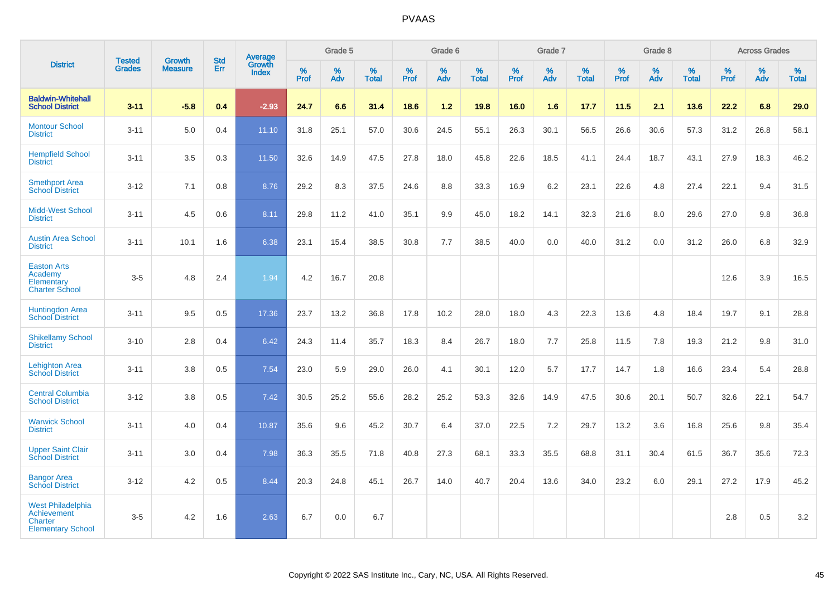|                                                                                              | <b>Tested</b> | <b>Growth</b>  | <b>Std</b> | Average                |              | Grade 5  |                   |                     | Grade 6  |                   |           | Grade 7  |                   |                     | Grade 8  |                   |              | <b>Across Grades</b> |                   |
|----------------------------------------------------------------------------------------------|---------------|----------------|------------|------------------------|--------------|----------|-------------------|---------------------|----------|-------------------|-----------|----------|-------------------|---------------------|----------|-------------------|--------------|----------------------|-------------------|
| <b>District</b>                                                                              | <b>Grades</b> | <b>Measure</b> | Err        | Growth<br><b>Index</b> | $\%$<br>Prof | %<br>Adv | %<br><b>Total</b> | $\%$<br><b>Prof</b> | %<br>Adv | %<br><b>Total</b> | %<br>Prof | %<br>Adv | %<br><b>Total</b> | $\%$<br><b>Prof</b> | %<br>Adv | %<br><b>Total</b> | $\%$<br>Prof | %<br>Adv             | %<br><b>Total</b> |
| <b>Baldwin-Whitehall</b><br><b>School District</b>                                           | $3 - 11$      | $-5.8$         | 0.4        | $-2.93$                | 24.7         | 6.6      | 31.4              | 18.6                | 1.2      | 19.8              | 16.0      | 1.6      | 17.7              | 11.5                | 2.1      | 13.6              | 22.2         | 6.8                  | 29.0              |
| <b>Montour School</b><br><b>District</b>                                                     | $3 - 11$      | 5.0            | 0.4        | 11.10                  | 31.8         | 25.1     | 57.0              | 30.6                | 24.5     | 55.1              | 26.3      | 30.1     | 56.5              | 26.6                | 30.6     | 57.3              | 31.2         | 26.8                 | 58.1              |
| <b>Hempfield School</b><br><b>District</b>                                                   | $3 - 11$      | 3.5            | 0.3        | 11.50                  | 32.6         | 14.9     | 47.5              | 27.8                | 18.0     | 45.8              | 22.6      | 18.5     | 41.1              | 24.4                | 18.7     | 43.1              | 27.9         | 18.3                 | 46.2              |
| <b>Smethport Area</b><br><b>School District</b>                                              | $3 - 12$      | 7.1            | 0.8        | 8.76                   | 29.2         | 8.3      | 37.5              | 24.6                | 8.8      | 33.3              | 16.9      | 6.2      | 23.1              | 22.6                | 4.8      | 27.4              | 22.1         | 9.4                  | 31.5              |
| <b>Midd-West School</b><br><b>District</b>                                                   | $3 - 11$      | 4.5            | 0.6        | 8.11                   | 29.8         | 11.2     | 41.0              | 35.1                | 9.9      | 45.0              | 18.2      | 14.1     | 32.3              | 21.6                | 8.0      | 29.6              | 27.0         | 9.8                  | 36.8              |
| <b>Austin Area School</b><br><b>District</b>                                                 | $3 - 11$      | 10.1           | 1.6        | 6.38                   | 23.1         | 15.4     | 38.5              | 30.8                | 7.7      | 38.5              | 40.0      | 0.0      | 40.0              | 31.2                | 0.0      | 31.2              | 26.0         | 6.8                  | 32.9              |
| <b>Easton Arts</b><br>Academy<br>Elementary<br><b>Charter School</b>                         | $3 - 5$       | 4.8            | 2.4        | 1.94                   | 4.2          | 16.7     | 20.8              |                     |          |                   |           |          |                   |                     |          |                   | 12.6         | 3.9                  | 16.5              |
| <b>Huntingdon Area</b><br><b>School District</b>                                             | $3 - 11$      | 9.5            | 0.5        | 17.36                  | 23.7         | 13.2     | 36.8              | 17.8                | 10.2     | 28.0              | 18.0      | 4.3      | 22.3              | 13.6                | 4.8      | 18.4              | 19.7         | 9.1                  | 28.8              |
| <b>Shikellamy School</b><br><b>District</b>                                                  | $3 - 10$      | 2.8            | 0.4        | 6.42                   | 24.3         | 11.4     | 35.7              | 18.3                | 8.4      | 26.7              | 18.0      | 7.7      | 25.8              | 11.5                | 7.8      | 19.3              | 21.2         | 9.8                  | 31.0              |
| <b>Lehighton Area</b><br><b>School District</b>                                              | $3 - 11$      | 3.8            | 0.5        | 7.54                   | 23.0         | 5.9      | 29.0              | 26.0                | 4.1      | 30.1              | 12.0      | 5.7      | 17.7              | 14.7                | 1.8      | 16.6              | 23.4         | 5.4                  | 28.8              |
| <b>Central Columbia</b><br><b>School District</b>                                            | $3 - 12$      | 3.8            | 0.5        | 7.42                   | 30.5         | 25.2     | 55.6              | 28.2                | 25.2     | 53.3              | 32.6      | 14.9     | 47.5              | 30.6                | 20.1     | 50.7              | 32.6         | 22.1                 | 54.7              |
| <b>Warwick School</b><br><b>District</b>                                                     | $3 - 11$      | 4.0            | 0.4        | 10.87                  | 35.6         | 9.6      | 45.2              | 30.7                | 6.4      | 37.0              | 22.5      | 7.2      | 29.7              | 13.2                | 3.6      | 16.8              | 25.6         | 9.8                  | 35.4              |
| <b>Upper Saint Clair</b><br><b>School District</b>                                           | $3 - 11$      | 3.0            | 0.4        | 7.98                   | 36.3         | 35.5     | 71.8              | 40.8                | 27.3     | 68.1              | 33.3      | 35.5     | 68.8              | 31.1                | 30.4     | 61.5              | 36.7         | 35.6                 | 72.3              |
| <b>Bangor Area</b><br><b>School District</b>                                                 | $3 - 12$      | 4.2            | 0.5        | 8.44                   | 20.3         | 24.8     | 45.1              | 26.7                | 14.0     | 40.7              | 20.4      | 13.6     | 34.0              | 23.2                | 6.0      | 29.1              | 27.2         | 17.9                 | 45.2              |
| <b>West Philadelphia</b><br><b>Achievement</b><br><b>Charter</b><br><b>Elementary School</b> | $3-5$         | 4.2            | 1.6        | 2.63                   | 6.7          | 0.0      | 6.7               |                     |          |                   |           |          |                   |                     |          |                   | 2.8          | 0.5                  | 3.2               |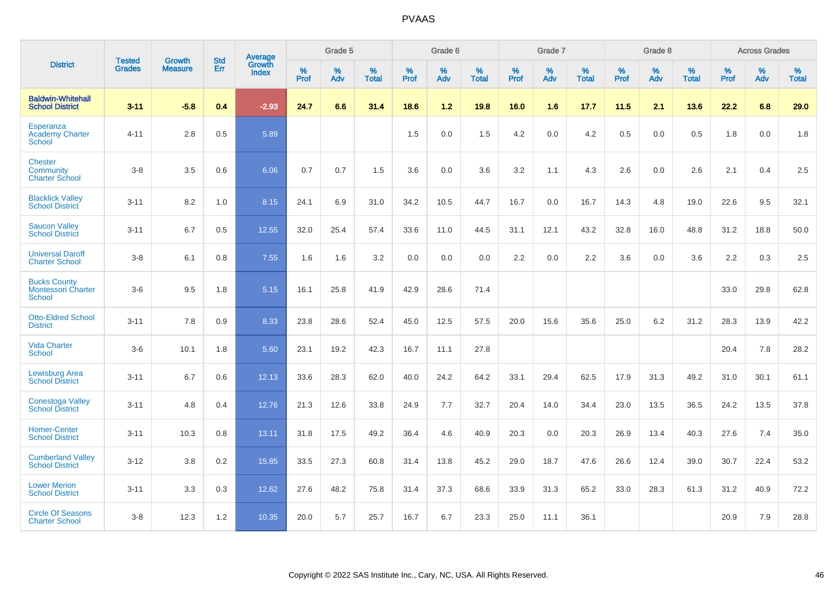|                                                                   | <b>Tested</b> | <b>Growth</b>  | <b>Std</b> | Average                       |           | Grade 5  |                   |           | Grade 6  |                   |           | Grade 7  |                   |           | Grade 8  |                   |           | <b>Across Grades</b> |                   |
|-------------------------------------------------------------------|---------------|----------------|------------|-------------------------------|-----------|----------|-------------------|-----------|----------|-------------------|-----------|----------|-------------------|-----------|----------|-------------------|-----------|----------------------|-------------------|
| <b>District</b>                                                   | <b>Grades</b> | <b>Measure</b> | Err        | <b>Growth</b><br><b>Index</b> | %<br>Prof | %<br>Adv | %<br><b>Total</b> | %<br>Prof | %<br>Adv | %<br><b>Total</b> | %<br>Prof | %<br>Adv | %<br><b>Total</b> | %<br>Prof | %<br>Adv | %<br><b>Total</b> | %<br>Prof | %<br>Adv             | %<br><b>Total</b> |
| <b>Baldwin-Whitehall</b><br><b>School District</b>                | $3 - 11$      | $-5.8$         | 0.4        | $-2.93$                       | 24.7      | 6.6      | 31.4              | 18.6      | $1.2$    | 19.8              | 16.0      | 1.6      | 17.7              | 11.5      | 2.1      | 13.6              | 22.2      | 6.8                  | 29.0              |
| Esperanza<br><b>Academy Charter</b><br>School                     | $4 - 11$      | 2.8            | 0.5        | 5.89                          |           |          |                   | 1.5       | 0.0      | 1.5               | 4.2       | 0.0      | 4.2               | 0.5       | 0.0      | 0.5               | 1.8       | 0.0                  | 1.8               |
| <b>Chester</b><br>Community<br><b>Charter School</b>              | $3 - 8$       | 3.5            | 0.6        | 6.06                          | 0.7       | 0.7      | 1.5               | 3.6       | 0.0      | 3.6               | 3.2       | 1.1      | 4.3               | 2.6       | 0.0      | 2.6               | 2.1       | 0.4                  | 2.5               |
| <b>Blacklick Valley</b><br><b>School District</b>                 | $3 - 11$      | 8.2            | 1.0        | 8.15                          | 24.1      | 6.9      | 31.0              | 34.2      | 10.5     | 44.7              | 16.7      | 0.0      | 16.7              | 14.3      | 4.8      | 19.0              | 22.6      | 9.5                  | 32.1              |
| <b>Saucon Valley</b><br><b>School District</b>                    | $3 - 11$      | 6.7            | 0.5        | 12.55                         | 32.0      | 25.4     | 57.4              | 33.6      | 11.0     | 44.5              | 31.1      | 12.1     | 43.2              | 32.8      | 16.0     | 48.8              | 31.2      | 18.8                 | 50.0              |
| <b>Universal Daroff</b><br><b>Charter School</b>                  | $3 - 8$       | 6.1            | 0.8        | 7.55                          | 1.6       | 1.6      | 3.2               | 0.0       | 0.0      | 0.0               | 2.2       | 0.0      | 2.2               | 3.6       | 0.0      | 3.6               | 2.2       | 0.3                  | 2.5               |
| <b>Bucks County</b><br><b>Montessori Charter</b><br><b>School</b> | $3-6$         | 9.5            | 1.8        | 5.15                          | 16.1      | 25.8     | 41.9              | 42.9      | 28.6     | 71.4              |           |          |                   |           |          |                   | 33.0      | 29.8                 | 62.8              |
| <b>Otto-Eldred School</b><br><b>District</b>                      | $3 - 11$      | 7.8            | 0.9        | 8.33                          | 23.8      | 28.6     | 52.4              | 45.0      | 12.5     | 57.5              | 20.0      | 15.6     | 35.6              | 25.0      | 6.2      | 31.2              | 28.3      | 13.9                 | 42.2              |
| <b>Vida Charter</b><br><b>School</b>                              | $3-6$         | 10.1           | 1.8        | 5.60                          | 23.1      | 19.2     | 42.3              | 16.7      | 11.1     | 27.8              |           |          |                   |           |          |                   | 20.4      | 7.8                  | 28.2              |
| <b>Lewisburg Area</b><br><b>School District</b>                   | $3 - 11$      | 6.7            | 0.6        | 12.13                         | 33.6      | 28.3     | 62.0              | 40.0      | 24.2     | 64.2              | 33.1      | 29.4     | 62.5              | 17.9      | 31.3     | 49.2              | 31.0      | 30.1                 | 61.1              |
| <b>Conestoga Valley</b><br><b>School District</b>                 | $3 - 11$      | 4.8            | 0.4        | 12.76                         | 21.3      | 12.6     | 33.8              | 24.9      | 7.7      | 32.7              | 20.4      | 14.0     | 34.4              | 23.0      | 13.5     | 36.5              | 24.2      | 13.5                 | 37.8              |
| <b>Homer-Center</b><br><b>School District</b>                     | $3 - 11$      | 10.3           | 0.8        | 13.11                         | 31.8      | 17.5     | 49.2              | 36.4      | 4.6      | 40.9              | 20.3      | 0.0      | 20.3              | 26.9      | 13.4     | 40.3              | 27.6      | 7.4                  | 35.0              |
| <b>Cumberland Valley</b><br><b>School District</b>                | $3 - 12$      | 3.8            | 0.2        | 15.85                         | 33.5      | 27.3     | 60.8              | 31.4      | 13.8     | 45.2              | 29.0      | 18.7     | 47.6              | 26.6      | 12.4     | 39.0              | 30.7      | 22.4                 | 53.2              |
| <b>Lower Merion</b><br><b>School District</b>                     | $3 - 11$      | 3.3            | 0.3        | 12.62                         | 27.6      | 48.2     | 75.8              | 31.4      | 37.3     | 68.6              | 33.9      | 31.3     | 65.2              | 33.0      | 28.3     | 61.3              | 31.2      | 40.9                 | 72.2              |
| <b>Circle Of Seasons</b><br><b>Charter School</b>                 | $3 - 8$       | 12.3           | 1.2        | 10.35                         | 20.0      | 5.7      | 25.7              | 16.7      | 6.7      | 23.3              | 25.0      | 11.1     | 36.1              |           |          |                   | 20.9      | 7.9                  | 28.8              |